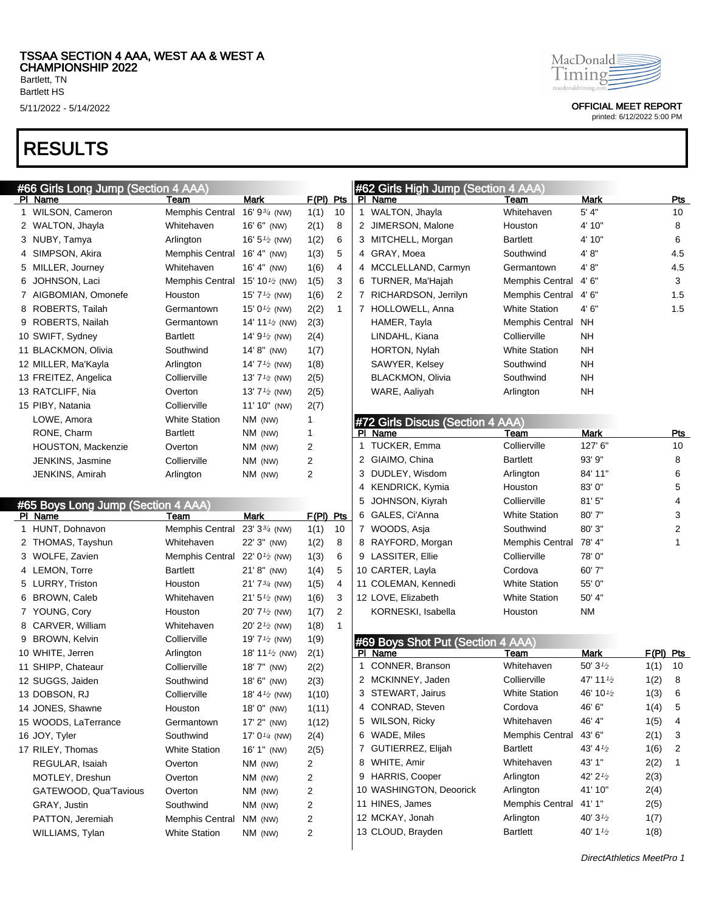#66 Girls Long Jump (Section 4 AAA)

## RESULTS

|    | PI Name                                       | Team                                      | Mark                                   | <u>F(PI)</u> | <u>Pts</u> |    | PI Name         |
|----|-----------------------------------------------|-------------------------------------------|----------------------------------------|--------------|------------|----|-----------------|
|    | 1 WILSON, Cameron                             | <b>Memphis Central</b>                    | 16' $9^{3/4}$ (NW)                     | 1(1)         | 10         | 1. | WALTON,         |
|    | 2 WALTON, Jhayla                              | Whitehaven                                | 16' 6" (NW)                            | 2(1)         | 8          | 2  | <b>JIMERSON</b> |
|    | 3 NUBY, Tamya                                 | Arlington                                 | 16' $5\frac{1}{2}$ (NW)                | 1(2)         | 6          |    | 3 MITCHELL      |
| 4  | SIMPSON, Akira                                | <b>Memphis Central</b>                    | $16' 4''$ (NW)                         | 1(3)         | 5          | 4  | GRAY, Mo        |
| 5  | MILLER, Journey                               | Whitehaven                                | 16' 4" (NW)                            | 1(6)         | 4          | 4  | <b>MCCLELLA</b> |
| 6. | JOHNSON, Laci                                 | <b>Memphis Central</b>                    | 15' 10 $\frac{1}{2}$ (NW)              | 1(5)         | 3          | 6  | TURNER, I       |
|    | 7 AIGBOMIAN, Omonefe                          | Houston                                   | 15' 7 $\frac{1}{2}$ (NW)               | 1(6)         | 2          |    | 7 RICHARDS      |
|    | 8 ROBERTS, Tailah                             | Germantown                                | 15' 0 <sup>1</sup> / <sub>2</sub> (NW) | 2(2)         | 1          |    | 7 HOLLOWE       |
|    | 9 ROBERTS, Nailah                             | Germantown                                | 14' 11 $\frac{1}{2}$ (NW)              | 2(3)         |            |    | HAMER, Ta       |
|    | 10 SWIFT, Sydney                              | <b>Bartlett</b>                           | 14' $9\frac{1}{2}$ (NW)                | 2(4)         |            |    | LINDAHL, I      |
|    | 11 BLACKMON, Olivia                           | Southwind                                 | 14' 8" (NW)                            | 1(7)         |            |    | HORTON,         |
|    | 12 MILLER, Ma'Kayla                           | Arlington                                 | 14' $7\frac{1}{2}$ (NW)                | 1(8)         |            |    | SAWYER,         |
|    | 13 FREITEZ, Angelica                          | Collierville                              | 13' $7\frac{1}{2}$ (NW)                | 2(5)         |            |    | <b>BLACKMO</b>  |
|    | 13 RATCLIFF, Nia                              | Overton                                   | 13' $7\frac{1}{2}$ (NW)                | 2(5)         |            |    | WARE, Aal       |
|    | 15 PIBY, Natania                              | Collierville                              | 11' 10" (NW)                           | 2(7)         |            |    |                 |
|    | LOWE, Amora                                   | <b>White Station</b>                      | $NM$ (NW)                              | 1            |            |    | #72 Girls Dis   |
|    | RONE, Charm                                   | <b>Bartlett</b>                           | NM (NW)                                | 1            |            |    | PI Name         |
|    | HOUSTON, Mackenzie                            | Overton                                   | NM (NW)                                | 2            |            |    | 1 TUCKER, E     |
|    | JENKINS, Jasmine                              | Collierville                              | NM (NW)                                | 2            |            |    | 2 GIAIMO, CI    |
|    | JENKINS, Amirah                               | Arlington                                 | NM (NW)                                | 2            |            |    | 3 DUDLEY, V     |
|    |                                               |                                           |                                        |              |            |    | 4 KENDRICK      |
|    |                                               |                                           |                                        |              |            | 5  | <b>JOHNSON</b>  |
|    |                                               |                                           |                                        |              |            |    |                 |
|    | #65 Boys Long Jump (Section 4 AAA)<br>PI Name | Team                                      | <b>Mark</b>                            | F(PI) Pts    |            |    | 6 GALES, Ci'    |
|    | 1 HUNT, Dohnavon                              | Memphis Central 23' 3 <sup>3/4</sup> (NW) |                                        | 1(1)         | 10         |    | 7 WOODS, A      |
|    | 2 THOMAS, Tayshun                             | Whitehaven                                | 22' 3" (NW)                            | 1(2)         | 8          |    | 8 RAYFORD.      |
|    | 3 WOLFE, Zavien                               | Memphis Central 22' 0 <sup>1/2</sup> (NW) |                                        | 1(3)         | 6          |    | 9 LASSITER,     |
|    | 4 LEMON, Torre                                | <b>Bartlett</b>                           | $21' 8''$ (NW)                         | 1(4)         | 5          |    | 10 CARTER, L    |
|    | 5 LURRY, Triston                              | Houston                                   | $21'7^{3/4}$ (NW)                      | 1(5)         | 4          |    | 11 COLEMAN      |
|    | 6 BROWN, Caleb                                | Whitehaven                                | 21' $5\frac{1}{2}$ (NW)                | 1(6)         | 3          |    | 12 LOVE, Eliza  |
|    | 7 YOUNG, Cory                                 | Houston                                   | $20'$ 7 <sup>1/2</sup> (NW)            | 1(7)         | 2          |    | <b>KORNESK</b>  |
|    | 8 CARVER, William                             | Whitehaven                                | 20' $2\frac{1}{2}$ (NW)                | 1(8)         | 1          |    |                 |
|    | 9 BROWN, Kelvin                               | Collierville                              | 19' $7\frac{1}{2}$ (NW)                | 1(9)         |            |    | #69 Boys SI     |
|    | 10 WHITE, Jerren                              | Arlington                                 | 18' 11 $\frac{1}{2}$ (NW)              | 2(1)         |            |    | PI Name         |
|    | 11 SHIPP, Chateaur                            | Collierville                              | 18' 7" (NW)                            | 2(2)         |            | 1  | CONNER,         |
|    | 12 SUGGS, Jaiden                              | Southwind                                 | 18' 6" (NW)                            | 2(3)         |            |    | 2 MCKINNEY      |
|    | 13 DOBSON, RJ                                 | Collierville                              | 18' 4 $\frac{1}{2}$ (NW)               | 1(10)        |            |    | 3 STEWART       |
|    | 14 JONES, Shawne                              | Houston                                   | 18' 0" (NW)                            | 1(11)        |            |    | 4 CONRAD,       |
|    | 15 WOODS, LaTerrance                          | Germantown                                | 17' 2" (NW)                            | 1(12)        |            |    | 5 WILSON, R     |
|    | 16 JOY, Tyler                                 | Southwind                                 | 17' $0\frac{1}{4}$ (NW)                | 2(4)         |            |    | 6 WADE, Mile    |
|    | 17 RILEY, Thomas                              | <b>White Station</b>                      | 16' 1" (NW)                            | 2(5)         |            | 7  | <b>GUTIERRE</b> |
|    | REGULAR, Isaiah                               | Overton                                   | NM (NW)                                | 2            |            | 8  | WHITE, An       |
|    | MOTLEY, Dreshun                               | Overton                                   | NM (NW)                                | 2            |            |    | 9 HARRIS, C     |
|    | GATEWOOD, Qua'Tavious                         | Overton                                   | NM (NW)                                | 2            |            |    | 10 WASHING      |
|    | GRAY, Justin                                  | Southwind                                 | NM (NW)                                | 2            |            |    | 11 HINES, Jar   |

WILLIAMS, Tylan White Station NM (NW) 2



5/11/2022 - 5/14/2022 OFFICIAL MEET REPORT

| #62 Girls High Jump (Section 4 AAA) |                                  |                        |        |                |  |  |  |  |  |
|-------------------------------------|----------------------------------|------------------------|--------|----------------|--|--|--|--|--|
| PI.                                 | Name                             | Team                   | Mark   | Pts            |  |  |  |  |  |
| 1                                   | WALTON, Jhayla                   | Whitehaven             | 5' 4"  | 10             |  |  |  |  |  |
| 2                                   | JIMERSON, Malone                 | Houston                | 4' 10" | 8              |  |  |  |  |  |
| 3                                   | MITCHELL, Morgan                 | <b>Bartlett</b>        | 4' 10" | 6              |  |  |  |  |  |
| 4                                   | GRAY, Moea                       | Southwind              | 4'8"   | 4.5            |  |  |  |  |  |
| 4                                   | MCCLELLAND, Carmyn               | Germantown             | 4'8"   | 4.5            |  |  |  |  |  |
| 6                                   | TURNER, Ma'Hajah                 | Memphis Central        | 4'6''  | 3              |  |  |  |  |  |
| 7                                   | RICHARDSON, Jerrilyn             | <b>Memphis Central</b> | 4' 6"  | 1.5            |  |  |  |  |  |
| 7                                   | HOLLOWELL, Anna                  | <b>White Station</b>   | 4' 6"  | 1.5            |  |  |  |  |  |
|                                     | HAMER, Tayla                     | <b>Memphis Central</b> | NΗ     |                |  |  |  |  |  |
|                                     | LINDAHL, Kiana                   | Collierville           | NΗ     |                |  |  |  |  |  |
|                                     | HORTON, Nylah                    | <b>White Station</b>   | NΗ     |                |  |  |  |  |  |
|                                     | SAWYER, Kelsey                   | Southwind              | NΗ     |                |  |  |  |  |  |
|                                     | <b>BLACKMON, Olivia</b>          | Southwind              | NΗ     |                |  |  |  |  |  |
|                                     | WARE, Aaliyah                    | Arlington              | NΗ     |                |  |  |  |  |  |
|                                     |                                  |                        |        |                |  |  |  |  |  |
|                                     | #72 Girls Discus (Section 4 AAA) |                        |        |                |  |  |  |  |  |
| ΡI                                  | Name                             | Team                   | Mark   | Pts            |  |  |  |  |  |
|                                     | THOMED E.                        | $0.10 - 0.01$          | 107101 | $\overline{ }$ |  |  |  |  |  |

|    | PI Name             | Team                   | <b>Mark</b> | Pts |
|----|---------------------|------------------------|-------------|-----|
| 1. | TUCKER, Emma        | Collierville           | 127' 6"     | 10  |
|    | 2 GIAIMO, China     | <b>Bartlett</b>        | 93' 9"      | 8   |
|    | 3 DUDLEY, Wisdom    | Arlington              | 84' 11"     | 6   |
| 4  | KENDRICK, Kymia     | Houston                | 83'0"       | 5   |
|    | 5 JOHNSON, Kiyrah   | Collierville           | 81'5''      | 4   |
| 6  | GALES, Ci'Anna      | <b>White Station</b>   | 80'7"       | 3   |
|    | 7 WOODS, Asja       | Southwind              | 80' 3"      | 2   |
|    | 8 RAYFORD, Morgan   | <b>Memphis Central</b> | 78' 4"      | 1   |
|    | 9 LASSITER, Ellie   | Collierville           | 78' 0"      |     |
|    | 10 CARTER, Layla    | Cordova                | 60' 7"      |     |
|    | 11 COLEMAN, Kennedi | <b>White Station</b>   | 55' 0"      |     |
|    | 12 LOVE, Elizabeth  | <b>White Station</b>   | 50' 4"      |     |
|    | KORNESKI, Isabella  | Houston                | <b>NM</b>   |     |

|   | #69 Boys Shot Put (Section 4 AAA) |                        |                                    |       |                |  |  |  |  |  |  |  |
|---|-----------------------------------|------------------------|------------------------------------|-------|----------------|--|--|--|--|--|--|--|
| Р | Name                              | Team                   | Mark                               | F(PI) | Pts            |  |  |  |  |  |  |  |
|   | CONNER, Branson                   | Whitehaven             | 50' $3\frac{1}{2}$                 | 1(1)  | 10             |  |  |  |  |  |  |  |
| 2 | MCKINNEY, Jaden                   | Collierville           | 47' 11 <sup>1</sup> / <sub>2</sub> | 1(2)  | 8              |  |  |  |  |  |  |  |
|   | 3 STEWART, Jairus                 | <b>White Station</b>   | 46' 10 <sup>1</sup> / <sub>2</sub> | 1(3)  | 6              |  |  |  |  |  |  |  |
| 4 | CONRAD, Steven                    | Cordova                | 46' 6"                             | 1(4)  | 5              |  |  |  |  |  |  |  |
| 5 | <b>WILSON, Ricky</b>              | Whitehaven             | 46' 4"                             | 1(5)  | 4              |  |  |  |  |  |  |  |
| 6 | WADE, Miles                       | <b>Memphis Central</b> | 43' 6"                             | 2(1)  | 3              |  |  |  |  |  |  |  |
| 7 | GUTIERREZ, Elijah                 | <b>Bartlett</b>        | 43' $4\frac{1}{2}$                 | 1(6)  | $\overline{2}$ |  |  |  |  |  |  |  |
| 8 | WHITE, Amir                       | Whitehaven             | 43' 1"                             | 2(2)  | 1              |  |  |  |  |  |  |  |
| 9 | <b>HARRIS, Cooper</b>             | Arlington              | $42'$ 2 $1/2$                      | 2(3)  |                |  |  |  |  |  |  |  |
|   | 10 WASHINGTON, Deoorick           | Arlington              | 41' 10"                            | 2(4)  |                |  |  |  |  |  |  |  |
|   | 11 HINES, James                   | <b>Memphis Central</b> | 41' 1"                             | 2(5)  |                |  |  |  |  |  |  |  |
|   | 12 MCKAY, Jonah                   | Arlington              | 40' $3\frac{1}{2}$                 | 1(7)  |                |  |  |  |  |  |  |  |
|   | 13 CLOUD, Brayden                 | <b>Bartlett</b>        | 40' 1 $\frac{1}{2}$                | 1(8)  |                |  |  |  |  |  |  |  |
|   |                                   |                        |                                    |       |                |  |  |  |  |  |  |  |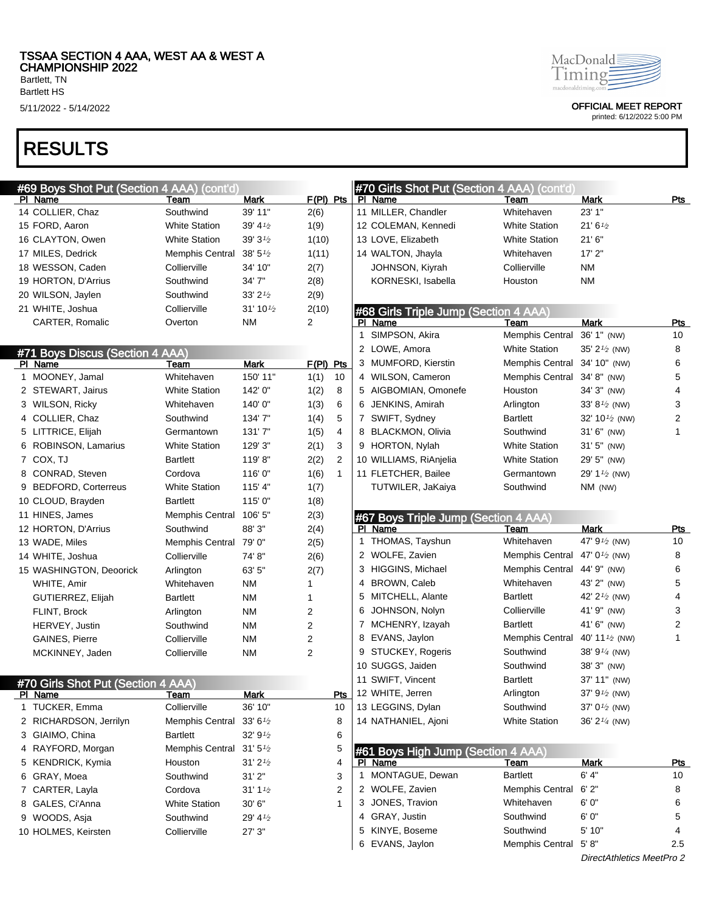Bartlett HS

# RESULTS

5/11/2022 - 5/14/2022 OFFICIAL MEET REPORT

| #69 Boys Shot Put (Section 4 AAA) (cont'd)           |                                                   |                       |             |                |    | #70 Girls Shot Put (Section 4 AAA) (cont'd)   |                                            |                            |            |
|------------------------------------------------------|---------------------------------------------------|-----------------------|-------------|----------------|----|-----------------------------------------------|--------------------------------------------|----------------------------|------------|
| PI Name                                              | Team                                              | Mark                  | $F(PI)$ Pts |                |    | PI Name                                       | Team                                       | Mark                       | <u>Pts</u> |
| 14 COLLIER, Chaz                                     | Southwind                                         | 39' 11"               | 2(6)        |                |    | 11 MILLER, Chandler                           | Whitehaven                                 | 23' 1"                     |            |
| 15 FORD, Aaron                                       | <b>White Station</b>                              | $39' 4\frac{1}{2}$    | 1(9)        |                |    | 12 COLEMAN, Kennedi                           | <b>White Station</b>                       | 21'6'' <sub>2</sub>        |            |
| 16 CLAYTON, Owen                                     | <b>White Station</b>                              | 39'3'2                | 1(10)       |                |    | 13 LOVE, Elizabeth                            | <b>White Station</b>                       | 21'6''                     |            |
| 17 MILES, Dedrick                                    | Memphis Central                                   | $38' 5\frac{1}{2}$    | 1(11)       |                |    | 14 WALTON, Jhayla                             | Whitehaven                                 | 17'2"                      |            |
| 18 WESSON, Caden                                     | Collierville                                      | 34' 10"               | 2(7)        |                |    | JOHNSON, Kiyrah                               | Collierville                               | ΝM                         |            |
| 19 HORTON, D'Arrius                                  | Southwind                                         | 34'7"                 | 2(8)        |                |    | KORNESKI, Isabella                            | Houston                                    | ΝM                         |            |
| 20 WILSON, Jaylen                                    | Southwind                                         | $33'$ 2 $\frac{1}{2}$ | 2(9)        |                |    |                                               |                                            |                            |            |
| 21 WHITE, Joshua                                     | Collierville                                      | $31'10\frac{1}{2}$    | 2(10)       |                |    | #68 Girls Triple Jump (Section 4 AAA)         |                                            |                            |            |
| CARTER, Romalic                                      | Overton                                           | NM                    | 2           |                |    | PI Name                                       | Team                                       | <b>Mark</b>                | Pts        |
|                                                      |                                                   |                       |             |                | 1. | SIMPSON, Akira                                | Memphis Central                            | 36' 1" (NW)                | 10         |
| #71 Boys Discus (Section 4 AAA)                      |                                                   |                       |             |                |    | 2 LOWE, Amora                                 | <b>White Station</b>                       | 35' $2^{1/2}$ (NW)         | 8          |
| PI Name                                              | Team                                              | <b>Mark</b>           | $F(PI)$ Pts |                |    | 3 MUMFORD, Kierstin                           | Memphis Central                            | 34' 10" (NW)               | 6          |
| 1 MOONEY, Jamal                                      | Whitehaven                                        | 150' 11"              | 1(1)        | 10             |    | 4 WILSON, Cameron                             | Memphis Central                            | 34' 8" (NW)                | 5          |
| 2 STEWART, Jairus                                    | <b>White Station</b>                              | 142' 0"               | 1(2)        | 8              |    | 5 AIGBOMIAN, Omonefe                          | Houston                                    | 34' 3" (NW)                | 4          |
| 3 WILSON, Ricky                                      | Whitehaven                                        | 140'0"                | 1(3)        | 6              |    | 6 JENKINS, Amirah                             | Arlington                                  | 33' $8^{1/2}$ (NW)         | 3          |
| 4 COLLIER, Chaz                                      | Southwind                                         | 134'7"                | 1(4)        | 5              |    | 7 SWIFT, Sydney                               | <b>Bartlett</b>                            | 32' 10 <sup>1/2</sup> (NW) | 2          |
| 5 LITTRICE, Elijah                                   | Germantown                                        | 131'7''               | 1(5)        | 4              |    | 8 BLACKMON, Olivia                            | Southwind                                  | 31' 6" (NW)                | 1          |
| 6 ROBINSON, Lamarius                                 | <b>White Station</b>                              | 129' 3"               | 2(1)        | 3              |    | 9 HORTON, Nylah                               | <b>White Station</b>                       | $31'5''$ (NW)              |            |
| 7 COX, TJ                                            | <b>Bartlett</b>                                   | 119'8"                | 2(2)        | $\overline{2}$ |    | 10 WILLIAMS, RiAnjelia                        | <b>White Station</b>                       | 29' 5" (NW)                |            |
| 8 CONRAD, Steven                                     | Cordova                                           | 116'0"                | 1(6)        | $\mathbf{1}$   |    | 11 FLETCHER, Bailee                           | Germantown                                 | 29' $1\frac{1}{2}$ (NW)    |            |
| 9 BEDFORD, Corterreus                                | <b>White Station</b>                              | 115' 4"               | 1(7)        |                |    | TUTWILER, JaKaiya                             | Southwind                                  | NM (NW)                    |            |
| 10 CLOUD, Brayden                                    | <b>Bartlett</b>                                   | 115'0"                | 1(8)        |                |    |                                               |                                            |                            |            |
| 11 HINES, James                                      | Memphis Central 106' 5"                           |                       | 2(3)        |                |    | #67 Boys Triple Jump (Section 4 AAA)          |                                            |                            |            |
|                                                      |                                                   |                       |             |                |    |                                               |                                            |                            |            |
| 12 HORTON, D'Arrius                                  | Southwind                                         | 88'3"                 | 2(4)        |                |    | PI Name                                       | Team                                       | Mark                       | <u>Pts</u> |
| 13 WADE, Miles                                       | Memphis Central 79' 0"                            |                       | 2(5)        |                |    | 1 THOMAS, Tayshun                             | Whitehaven                                 | 47' $9\frac{1}{2}$ (NW)    | 10         |
| 14 WHITE, Joshua                                     | Collierville                                      | 74' 8"                | 2(6)        |                |    | 2 WOLFE, Zavien                               | Memphis Central                            | 47' $0\frac{1}{2}$ (NW)    | 8          |
| 15 WASHINGTON, Deoorick                              | Arlington                                         | 63' 5"                | 2(7)        |                |    | 3 HIGGINS, Michael                            | Memphis Central                            | 44' 9" (NW)                | 6          |
| WHITE, Amir                                          | Whitehaven                                        | <b>NM</b>             | 1           |                |    | 4 BROWN, Caleb                                | Whitehaven                                 | 43' 2" (NW)                | 5          |
| GUTIERREZ, Elijah                                    | <b>Bartlett</b>                                   | <b>NM</b>             | 1           |                |    | 5 MITCHELL, Alante                            | Bartlett                                   | 42' $2\frac{1}{2}$ (NW)    | 4          |
| FLINT, Brock                                         | Arlington                                         | <b>NM</b>             | 2           |                | 6  | JOHNSON, Nolyn                                | Collierville                               | 41' 9" (NW)                | 3          |
| HERVEY, Justin                                       | Southwind                                         | <b>NM</b>             | 2           |                |    | 7 MCHENRY, Izayah                             | Bartlett                                   | 41' 6" (NW)                | 2          |
| GAINES, Pierre                                       | Collierville                                      | <b>NM</b>             | 2           |                | 8  | EVANS, Jaylon                                 | Memphis Central 40' 11 <sup>1/2</sup> (NW) |                            | 1          |
| MCKINNEY, Jaden                                      | Collierville                                      | <b>NM</b>             | 2           |                |    | 9 STUCKEY, Rogeris                            | Southwind                                  | 38' $9\frac{1}{4}$ (NW)    |            |
|                                                      |                                                   |                       |             |                |    | 10 SUGGS, Jaiden                              | Southwind                                  | 38' 3" (NW)                |            |
|                                                      |                                                   |                       |             |                |    | 11 SWIFT, Vincent                             | Bartlett                                   | 37' 11" (NW)               |            |
| #70 Girls Shot Put (Section 4 AAA)<br><u>PI Name</u> | <u>leam</u>                                       | <b>Mark</b>           |             | Pts            |    | 12 WHITE, Jerren                              | Arlington                                  | 37' 9 <sup>1/2</sup> (NW)  |            |
| 1 TUCKER, Emma                                       | Collierville                                      | 36' 10"               |             | 10             |    | 13 LEGGINS, Dylan                             | Southwind                                  | 37' $0^{1/2}$ (NW)         |            |
| 2 RICHARDSON, Jerrilyn                               | Memphis Central 33' 6 <sup>1</sup> / <sub>2</sub> |                       |             | 8              |    | 14 NATHANIEL, Ajoni                           | <b>White Station</b>                       | 36' 2 <sup>1/4</sup> (NW)  |            |
| 3 GIAIMO, China                                      | Bartlett                                          | 32'9'2                |             | 6              |    |                                               |                                            |                            |            |
| 4 RAYFORD, Morgan                                    | Memphis Central 31' 5 <sup>1</sup> / <sub>2</sub> |                       |             | 5              |    |                                               |                                            |                            |            |
| 5 KENDRICK, Kymia                                    | Houston                                           | 31'2'                 |             | 4              |    | #61 Boys High Jump (Section 4 AAA)<br>PI Name | Team                                       | Mark                       | <u>Pts</u> |
| 6 GRAY, Moea                                         | Southwind                                         | 31'2"                 |             | 3              |    | 1 MONTAGUE, Dewan                             | <b>Bartlett</b>                            | 6' 4"                      | 10         |
| 7 CARTER, Layla                                      | Cordova                                           | $31' 1\frac{1}{2}$    |             | 2              |    | 2 WOLFE, Zavien                               | Memphis Central                            | 6'2"                       | 8          |
| 8 GALES, Ci'Anna                                     | <b>White Station</b>                              | 30' 6"                |             | 1              |    | 3 JONES, Travion                              | Whitehaven                                 | 6' 0"                      | 6          |
| 9 WOODS, Asja                                        | Southwind                                         | 29' 41/2              |             |                |    | 4 GRAY, Justin                                | Southwind                                  | 6' 0"                      | 5          |
| 10 HOLMES, Keirsten                                  | Collierville                                      | 27' 3"                |             |                |    | 5 KINYE, Boseme                               | Southwind                                  | 5' 10"                     | 4          |
|                                                      |                                                   |                       |             |                |    | 6 EVANS, Jaylon                               | Memphis Central                            | 5' 8''                     | 2.5        |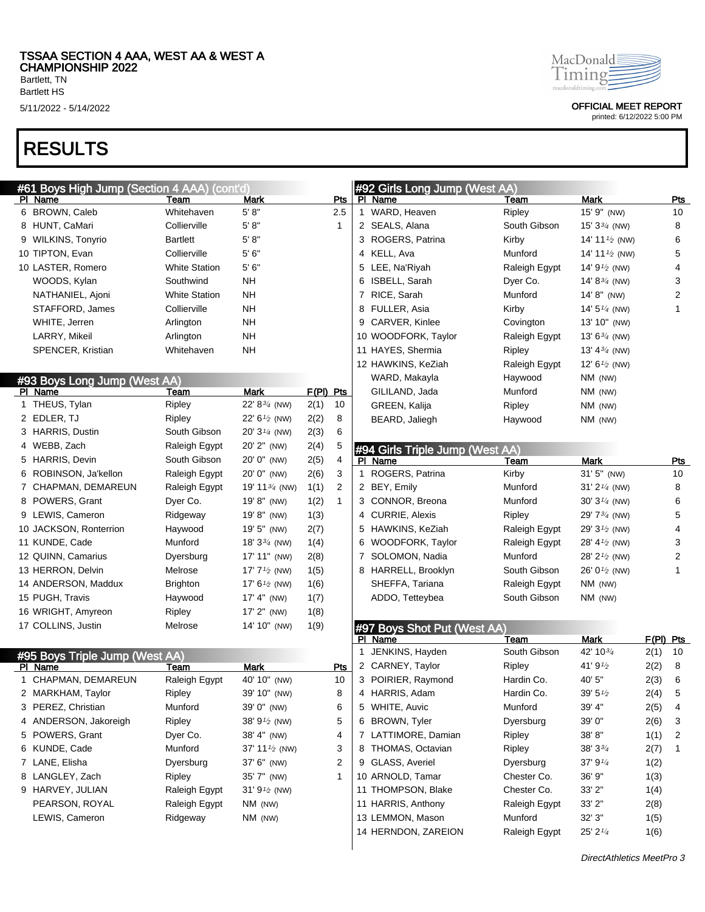Bartlett HS

## RESULTS

| #61 Boys High Jump (Section 4 AAA) (cont'd) |                      |                           |           |     | #92 Girls Long Jump (West AA)   |               |                           |             |                |
|---------------------------------------------|----------------------|---------------------------|-----------|-----|---------------------------------|---------------|---------------------------|-------------|----------------|
| PI Name                                     | Team                 | Mark                      |           | Pts | PI Name                         | <b>Team</b>   | Mark                      |             | <b>Pts</b>     |
| 6 BROWN, Caleb                              | Whitehaven           | 5' 8''                    |           | 2.5 | 1 WARD, Heaven                  | Ripley        | 15' 9" (NW)               |             | 10             |
| 8 HUNT, CaMari                              | Collierville         | 5' 8''                    |           | 1   | 2 SEALS, Alana                  | South Gibson  | 15' $3\frac{3}{4}$ (NW)   |             | 8              |
| 9 WILKINS, Tonyrio                          | <b>Bartlett</b>      | 5' 8''                    |           |     | 3 ROGERS, Patrina               | Kirby         | 14' 11 $\frac{1}{2}$ (NW) |             | 6              |
| 10 TIPTON, Evan                             | Collierville         | 5'6''                     |           |     | 4 KELL, Ava                     | Munford       | 14' 11 $\frac{1}{2}$ (NW) |             | 5              |
| 10 LASTER, Romero                           | <b>White Station</b> | 5'6''                     |           |     | 5 LEE, Na'Riyah                 | Raleigh Egypt | 14' $9\frac{1}{2}$ (NW)   |             | 4              |
| WOODS, Kylan                                | Southwind            | <b>NH</b>                 |           |     | 6 ISBELL, Sarah                 | Dyer Co.      | 14' $8\frac{3}{4}$ (NW)   |             | 3              |
| NATHANIEL, Ajoni                            | <b>White Station</b> | <b>NH</b>                 |           |     | 7 RICE, Sarah                   | Munford       | 14' 8" (NW)               |             | 2              |
| STAFFORD, James                             | Collierville         | <b>NH</b>                 |           |     | 8 FULLER, Asia                  | Kirby         | 14' $5\frac{1}{4}$ (NW)   |             | $\mathbf{1}$   |
| WHITE, Jerren                               | Arlington            | <b>NH</b>                 |           |     | 9 CARVER, Kinlee                | Covington     | 13' 10" (NW)              |             |                |
| LARRY, Mikeil                               | Arlington            | <b>NH</b>                 |           |     | 10 WOODFORK, Taylor             | Raleigh Egypt | 13' $6\frac{3}{4}$ (NW)   |             |                |
| SPENCER, Kristian                           | Whitehaven           | NΗ                        |           |     | 11 HAYES, Shermia               | Ripley        | 13' 4 $\frac{3}{4}$ (NW)  |             |                |
|                                             |                      |                           |           |     | 12 HAWKINS, KeZiah              | Raleigh Egypt | 12' $6\frac{1}{2}$ (NW)   |             |                |
| #93 Boys Long Jump (West AA)                |                      |                           |           |     | WARD, Makayla                   | Haywood       | NM (NW)                   |             |                |
| PI Name                                     | Team                 | <b>Mark</b>               | F(PI) Pts |     | GILILAND, Jada                  | Munford       | NM (NW)                   |             |                |
| 1 THEUS, Tylan                              | Ripley               | 22' $8^{3/4}$ (NW)        | 2(1)      | 10  | GREEN, Kalija                   | Ripley        | NM (NW)                   |             |                |
| 2 EDLER, TJ                                 | Ripley               | 22' 6 <sup>1/2</sup> (NW) | 2(2)      | 8   | BEARD, Jaliegh                  | Haywood       | NM (NW)                   |             |                |
| 3 HARRIS, Dustin                            | South Gibson         | 20' 3 <sup>1/4</sup> (NW) | 2(3)      | 6   |                                 |               |                           |             |                |
| 4 WEBB, Zach                                | Raleigh Egypt        | 20' 2" (NW)               | 2(4)      | 5   | #94 Girls Triple Jump (West AA) |               |                           |             |                |
| 5 HARRIS, Devin                             | South Gibson         | 20' 0" (NW)               | 2(5)      | 4   | PI Name                         | Team          | <b>Mark</b>               |             | Pts            |
| 6 ROBINSON, Ja'kellon                       | Raleigh Egypt        | 20' 0" (NW)               | 2(6)      | 3   | 1 ROGERS, Patrina               | Kirby         | 31' 5" (NW)               |             | 10             |
| 7 CHAPMAN, DEMAREUN                         | Raleigh Egypt        | 19' 11 $\frac{3}{4}$ (NW) | 1(1)      | 2   | 2 BEY, Emily                    | Munford       | $31'$ $2\frac{1}{4}$ (NW) |             | 8              |
| 8 POWERS, Grant                             | Dyer Co.             | 19' 8" (NW)               | 1(2)      | 1   | 3 CONNOR, Breona                | Munford       | $30'3\frac{1}{4}$ (NW)    |             | 6              |
| 9 LEWIS, Cameron                            | Ridgeway             | 19'8" (NW)                | 1(3)      |     | 4 CURRIE, Alexis                | Ripley        | 29' $7\frac{3}{4}$ (NW)   |             | 5              |
| 10 JACKSON, Ronterrion                      | Haywood              | 19' 5" (NW)               | 2(7)      |     | 5 HAWKINS, KeZiah               | Raleigh Egypt | 29' $3\frac{1}{2}$ (NW)   |             | 4              |
| 11 KUNDE, Cade                              | Munford              | 18' $3\frac{3}{4}$ (NW)   | 1(4)      |     | 6 WOODFORK, Taylor              | Raleigh Egypt | 28' 4 $\frac{1}{2}$ (NW)  |             | 3              |
| 12 QUINN, Camarius                          | Dyersburg            | 17' 11" (NW)              | 2(8)      |     | 7 SOLOMON, Nadia                | Munford       | 28' $2^{1/2}$ (NW)        |             | $\overline{c}$ |
| 13 HERRON, Delvin                           | Melrose              | 17' $7\frac{1}{2}$ (NW)   | 1(5)      |     | 8 HARRELL, Brooklyn             | South Gibson  | 26' $0^{1/2}$ (NW)        |             | 1              |
| 14 ANDERSON, Maddux                         | <b>Brighton</b>      | 17' $6\frac{1}{2}$ (NW)   | 1(6)      |     | SHEFFA, Tariana                 | Raleigh Egypt | NM (NW)                   |             |                |
| 15 PUGH, Travis                             | Haywood              | 17' 4" (NW)               | 1(7)      |     | ADDO, Tetteybea                 | South Gibson  | NM (NW)                   |             |                |
| 16 WRIGHT, Amyreon                          | Ripley               | 17' 2" (NW)               | 1(8)      |     |                                 |               |                           |             |                |
| 17 COLLINS, Justin                          | Melrose              | 14' 10" (NW)              | 1(9)      |     | #97 Boys Shot Put (West AA)     |               |                           |             |                |
|                                             |                      |                           |           |     | PI Name                         | Team          | <b>Mark</b>               | $F(PI)$ Pts |                |
| #95 Boys Triple Jump (West AA)              |                      |                           |           |     | 1 JENKINS, Hayden               | South Gibson  | 42' 10 $\frac{3}{4}$      | 2(1)        | 10             |
| PI Name                                     | Team                 | Mark                      |           | Pts | 2 CARNEY, Taylor                | Ripley        | 41'9'2                    | 2(2)        | 8              |
| 1 CHAPMAN, DEMAREUN                         | Raleigh Egypt        | 40' 10" (NW)              |           | 10  | 3 POIRIER, Raymond              | Hardin Co.    | 40' 5"                    | 2(3)        | 6              |
| 2 MARKHAM, Taylor                           | Ripley               | 39' 10" (NW)              |           | 8   | 4 HARRIS, Adam                  | Hardin Co.    | $39' 5\%$                 | 2(4)        | 5              |
| 3 PEREZ, Christian                          | Munford              | 39' 0" (NW)               |           | 6   | 5 WHITE, Auvic                  | Munford       | 39' 4"                    | 2(5)        | 4              |
| 4 ANDERSON, Jakoreigh                       | Ripley               | 38' $9^{1/2}$ (NW)        |           | 5   | 6 BROWN, Tyler                  | Dyersburg     | 39' 0"                    | 2(6)        | 3              |
| 5 POWERS, Grant                             | Dyer Co.             | 38' 4" (NW)               |           | 4   | 7 LATTIMORE, Damian             | Ripley        | 38'8"                     | 1(1)        | 2              |
| 6 KUNDE, Cade                               | Munford              | 37' 11 $\frac{1}{2}$ (NW) |           | 3   | 8 THOMAS, Octavian              | Ripley        | $38'3\frac{3}{4}$         | 2(7)        | 1              |
| 7 LANE, Elisha                              | Dyersburg            | 37' 6" (NW)               |           | 2   | 9 GLASS, Averiel                | Dyersburg     | 37' 9 $\frac{1}{4}$       | 1(2)        |                |
| 8 LANGLEY, Zach                             | Ripley               | 35' 7" (NW)               |           | 1   | 10 ARNOLD, Tamar                | Chester Co.   | 36' 9"                    | 1(3)        |                |
| 9 HARVEY, JULIAN                            | Raleigh Egypt        | 31' $91/2$ (NW)           |           |     | 11 THOMPSON, Blake              | Chester Co.   | 33'2"                     | 1(4)        |                |
| PEARSON, ROYAL                              | Raleigh Egypt        | NM (NW)                   |           |     | 11 HARRIS, Anthony              | Raleigh Egypt | 33' 2"                    | 2(8)        |                |
| LEWIS, Cameron                              | Ridgeway             | NM (NW)                   |           |     | 13 LEMMON, Mason                | Munford       | 32'3''                    | 1(5)        |                |
|                                             |                      |                           |           |     | 14 HERNDON, ZAREION             | Raleigh Egypt | 25' 21/4                  | 1(6)        |                |
|                                             |                      |                           |           |     |                                 |               |                           |             |                |



5/11/2022 - 5/14/2022 OFFICIAL MEET REPORT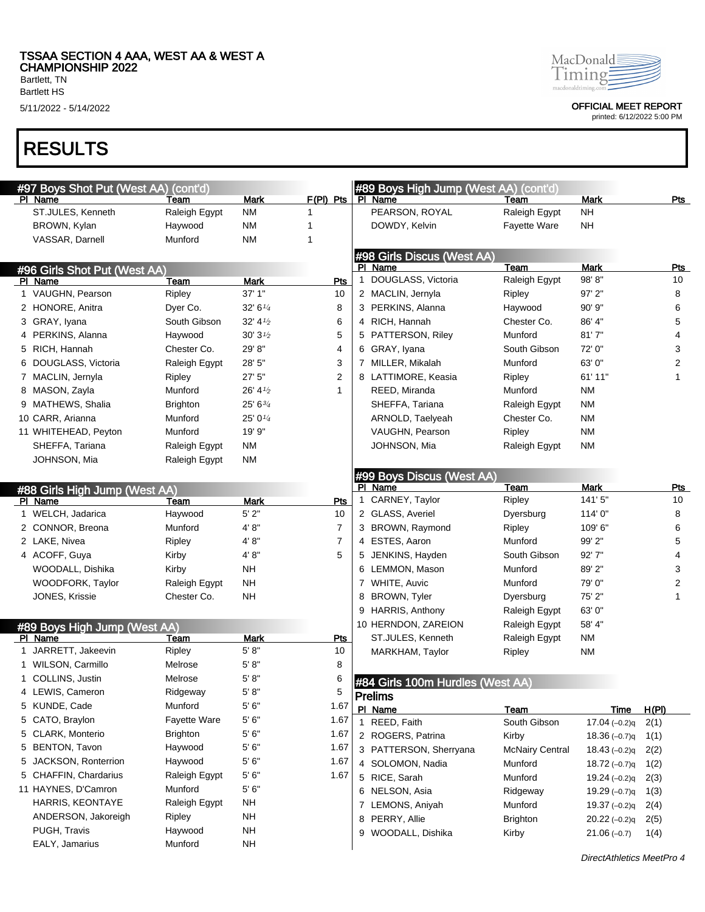Bartlett, TN Bartlett HS

# RESULTS

| #97 Boys Shot Put (West AA)       | (cont'd)                 |                    |                |             | #89 Boys High Jump (West AA) (cont'd) |                                      |                          |       |            |
|-----------------------------------|--------------------------|--------------------|----------------|-------------|---------------------------------------|--------------------------------------|--------------------------|-------|------------|
| PI Name                           | Team                     | Mark               | $F(PI)$ Pts    |             | PI Name                               | Team                                 | <b>Mark</b><br><b>NH</b> |       | Pts        |
| ST.JULES, Kenneth<br>BROWN, Kylan | Raleigh Egypt<br>Haywood | <b>NM</b><br>NM    | 1<br>1         |             | PEARSON, ROYAL<br>DOWDY, Kelvin       | Raleigh Egypt<br><b>Fayette Ware</b> | NH                       |       |            |
| VASSAR, Darnell                   | Munford                  | <b>NM</b>          | 1              |             |                                       |                                      |                          |       |            |
|                                   |                          |                    |                |             | #98 Girls Discus (West AA)            |                                      |                          |       |            |
| #96 Girls Shot Put (West AA)      |                          |                    |                |             | PI Name                               | Team                                 | <b>Mark</b>              |       | <b>Pts</b> |
| PI Name                           | Team                     | <b>Mark</b>        | Pts            | $\mathbf 1$ | DOUGLASS, Victoria                    | Raleigh Egypt                        | 98'8"                    |       | 10         |
| 1 VAUGHN, Pearson                 | Ripley                   | 37' 1"             | 10             |             | 2 MACLIN, Jernyla                     | Ripley                               | $97'$ 2"                 |       | 8          |
| 2 HONORE, Anitra                  | Dyer Co.                 | 32' 6''            | 8              |             | 3 PERKINS, Alanna                     | Haywood                              | $90'$ $9"$               |       | 6          |
| 3 GRAY, Iyana                     | South Gibson             | $32' 41'_{2}$      | 6              |             | 4 RICH, Hannah                        | Chester Co.                          | 86' 4"                   |       | 5          |
| 4 PERKINS, Alanna                 | Haywood                  | $30'31'_{2}$       | 5              |             | 5 PATTERSON, Riley                    | Munford                              | 81'7''                   |       | 4          |
| 5 RICH, Hannah                    | Chester Co.              | 29' 8"             | 4              |             | 6 GRAY, Iyana                         | South Gibson                         | 72' 0"                   |       | 3          |
| 6 DOUGLASS, Victoria              | Raleigh Egypt            | 28' 5"             | 3              |             | 7 MILLER, Mikalah                     | Munford                              | 63' 0"                   |       | 2          |
| 7 MACLIN, Jernyla                 | Ripley                   | 27'5''             | 2              |             | 8 LATTIMORE, Keasia                   | Ripley                               | 61' 11"                  |       | 1          |
| 8 MASON, Zayla                    | Munford                  | $26' 4\frac{1}{2}$ | 1              |             | REED, Miranda                         | Munford                              | <b>NM</b>                |       |            |
| 9 MATHEWS, Shalia                 | <b>Brighton</b>          | 25' 63/4           |                |             | SHEFFA, Tariana                       | Raleigh Egypt                        | <b>NM</b>                |       |            |
| 10 CARR, Arianna                  | Munford                  | 25' 01/4           |                |             | ARNOLD, Taelyeah                      | Chester Co.                          | <b>NM</b>                |       |            |
| 11 WHITEHEAD, Peyton              | Munford                  | 19' 9"             |                |             | VAUGHN, Pearson                       | Ripley                               | <b>NM</b>                |       |            |
| SHEFFA, Tariana                   | Raleigh Egypt            | <b>NM</b>          |                |             | JOHNSON, Mia                          | Raleigh Egypt                        | <b>NM</b>                |       |            |
| JOHNSON, Mia                      | Raleigh Egypt            | <b>NM</b>          |                |             |                                       |                                      |                          |       |            |
|                                   |                          |                    |                |             | #99 Boys Discus (West AA)             |                                      |                          |       |            |
| #88 Girls High Jump (West AA)     |                          |                    |                |             | PI Name                               | Team                                 | Mark                     |       | Pts        |
| PI Name                           | Team                     | Mark               | Pts            |             | 1 CARNEY, Taylor                      | Ripley                               | 141'5"                   |       | 10         |
| 1 WELCH, Jadarica                 | Haywood                  | 5'2"               | 10             |             | 2 GLASS, Averiel                      | Dyersburg                            | 114'0"                   |       | 8          |
| 2 CONNOR, Breona                  | Munford                  | 4' 8''             | $\overline{7}$ |             | 3 BROWN, Raymond                      | Ripley                               | 109' 6"                  |       | 6          |
| 2 LAKE, Nivea                     | Ripley                   | 4' 8''             | $\overline{7}$ |             | 4 ESTES, Aaron                        | Munford                              | 99' 2"                   |       | 5          |
| 4 ACOFF, Guya                     | Kirby                    | 4' 8''             | 5              |             | 5 JENKINS, Hayden                     | South Gibson                         | 92'7"                    |       | 4          |
| WOODALL, Dishika                  | Kirby                    | <b>NH</b>          |                |             | 6 LEMMON, Mason                       | Munford                              | 89' 2"                   |       | 3          |
| WOODFORK, Taylor                  | Raleigh Egypt            | <b>NH</b>          |                |             | 7 WHITE, Auvic                        | Munford                              | 79' 0"                   |       | 2          |
| JONES, Krissie                    | Chester Co.              | <b>NH</b>          |                |             | 8 BROWN, Tyler                        | Dyersburg                            | 75' 2"                   |       | 1          |
|                                   |                          |                    |                |             | 9 HARRIS, Anthony                     | Raleigh Egypt                        | 63' 0"                   |       |            |
| #89 Boys High Jump (West AA)      |                          |                    |                |             | 10 HERNDON, ZAREION                   | Raleigh Egypt                        | 58' 4"                   |       |            |
| PI Name                           | Team                     | Mark               | <u>Pts</u>     |             | ST.JULES, Kenneth                     | Raleigh Egypt                        | <b>NM</b>                |       |            |
| 1 JARRETT, Jakeevin               | Ripley                   | 5' 8''             | 10             |             | MARKHAM, Taylor                       | Ripley                               | <b>NM</b>                |       |            |
| 1 WILSON, Carmillo                | Melrose                  | 5' 8''             | 8              |             |                                       |                                      |                          |       |            |
| 1 COLLINS, Justin                 | Melrose                  | 5' 8''             | 6              |             | #84 Girls 100m Hurdles (West AA)      |                                      |                          |       |            |
| 4 LEWIS, Cameron                  | Ridgeway                 | 5' 8''             | 5              |             | <b>Prelims</b>                        |                                      |                          |       |            |
| 5 KUNDE, Cade                     | Munford                  | 5'6''              | 1.67           |             | PI Name                               | Team                                 | <b>Time</b>              | H(PI) |            |
| 5 CATO, Braylon                   | Fayette Ware             | 5'6''              | 1.67           |             | 1 REED, Faith                         | South Gibson                         | $17.04(-0.2)q$           | 2(1)  |            |
| 5 CLARK, Monterio                 | <b>Brighton</b>          | 5'6''              | 1.67           |             | 2 ROGERS, Patrina                     | Kirby                                | $18.36(-0.7)q$           | 1(1)  |            |
| 5 BENTON, Tavon                   | Haywood                  | 5'6''              | 1.67           |             | 3 PATTERSON, Sherryana                | <b>McNairy Central</b>               | $18.43(-0.2)q$           | 2(2)  |            |
| 5 JACKSON, Ronterrion             | Haywood                  | 5'6''              | 1.67           |             | 4 SOLOMON, Nadia                      | Munford                              | $18.72(-0.7)q$           | 1(2)  |            |
| 5 CHAFFIN, Chardarius             | Raleigh Egypt            | 5'6''              | 1.67           |             | 5 RICE, Sarah                         | Munford                              | $19.24 (-0.2)q$          | 2(3)  |            |
| 11 HAYNES, D'Camron               | Munford                  | 5'6''              |                |             | 6 NELSON, Asia                        | Ridgeway                             | $19.29(-0.7)q$           | 1(3)  |            |
| HARRIS, KEONTAYE                  | Raleigh Egypt            | <b>NH</b>          |                |             | 7 LEMONS, Aniyah                      | Munford                              | $19.37(-0.2)q$           | 2(4)  |            |
| ANDERSON, Jakoreigh               | Ripley                   | <b>NH</b>          |                |             | 8 PERRY, Allie                        | <b>Brighton</b>                      | $20.22(-0.2)q$           | 2(5)  |            |
| PUGH, Travis                      | Haywood                  | <b>NH</b>          |                |             | 9 WOODALL, Dishika                    | Kirby                                | $21.06(-0.7)$            | 1(4)  |            |
| EALY, Jamarius                    | Munford                  | <b>NH</b>          |                |             |                                       |                                      |                          |       |            |



5/11/2022 - 5/14/2022 OFFICIAL MEET REPORT

printed: 6/12/2022 5:00 PM

DirectAthletics MeetPro 4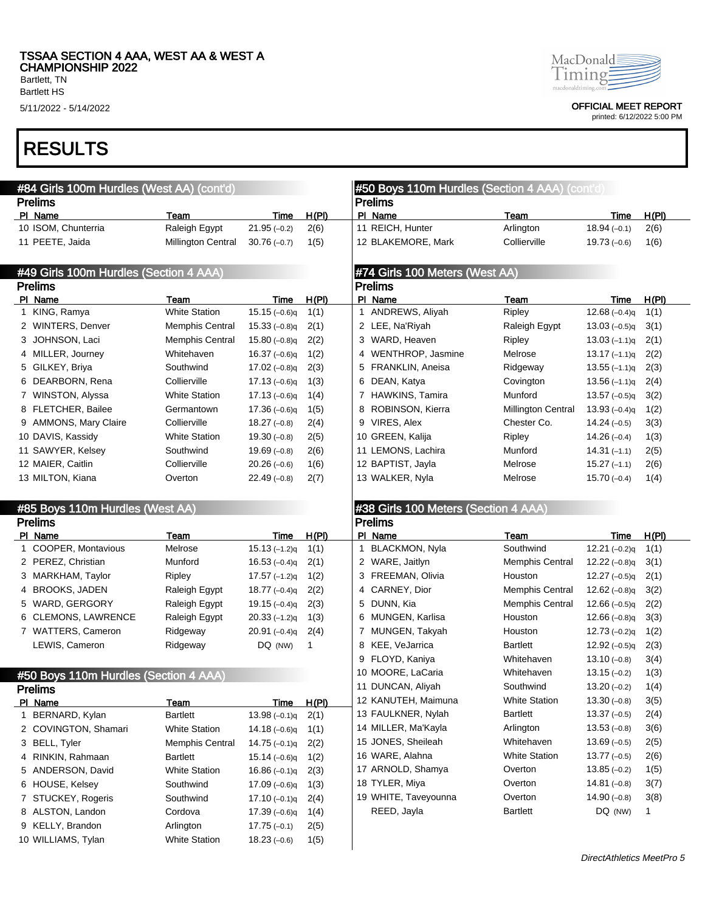Bartlett HS

# RESULTS

| #84 Girls 100m Hurdles (West AA) (cont'd) |                                        |                           |                |       |                | #50 Boys 110m Hurdles (Section 4 AAA) (cont'd) |                           |                 |              |
|-------------------------------------------|----------------------------------------|---------------------------|----------------|-------|----------------|------------------------------------------------|---------------------------|-----------------|--------------|
|                                           | <b>Prelims</b>                         |                           |                |       |                | <b>Prelims</b>                                 |                           |                 |              |
|                                           | PI Name                                | Team                      | Time           | H(PI) |                | PI Name                                        | Team                      | Time            | H(PI)        |
|                                           | 10 ISOM, Chunterria                    | Raleigh Egypt             | $21.95(-0.2)$  | 2(6)  |                | 11 REICH, Hunter                               | Arlington                 | $18.94(-0.1)$   | 2(6)         |
|                                           | 11 PEETE, Jaida                        | <b>Millington Central</b> | $30.76(-0.7)$  | 1(5)  |                | 12 BLAKEMORE, Mark                             | Collierville              | $19.73(-0.6)$   | 1(6)         |
|                                           | #49 Girls 100m Hurdles (Section 4 AAA) |                           |                |       |                | #74 Girls 100 Meters (West AA)                 |                           |                 |              |
|                                           | <b>Prelims</b>                         |                           |                |       |                | <b>Prelims</b>                                 |                           |                 |              |
|                                           | PI Name                                | Team                      | Time           | H(PI) |                | PI Name                                        | Team                      | Time            | H(PI)        |
|                                           | 1 KING, Ramya                          | <b>White Station</b>      | $15.15(-0.6)q$ | 1(1)  |                | 1 ANDREWS, Aliyah                              | Ripley                    | $12.68(-0.4)q$  | 1(1)         |
|                                           | 2 WINTERS, Denver                      | <b>Memphis Central</b>    | $15.33(-0.8)q$ | 2(1)  |                | 2 LEE, Na'Riyah                                | Raleigh Egypt             | $13.03(-0.5)q$  | 3(1)         |
|                                           | 3 JOHNSON, Laci                        | <b>Memphis Central</b>    | $15.80(-0.8)q$ | 2(2)  |                | 3 WARD, Heaven                                 | Ripley                    | $13.03(-1.1)q$  | 2(1)         |
|                                           | 4 MILLER, Journey                      | Whitehaven                | $16.37(-0.6)q$ | 1(2)  |                | 4 WENTHROP, Jasmine                            | Melrose                   | $13.17(-1.1)q$  | 2(2)         |
|                                           | 5 GILKEY, Briya                        | Southwind                 | $17.02(-0.8)q$ | 2(3)  |                | 5 FRANKLIN, Aneisa                             | Ridgeway                  | $13.55(-1.1)q$  | 2(3)         |
|                                           | 6 DEARBORN, Rena                       | Collierville              | $17.13(-0.6)q$ | 1(3)  |                | 6 DEAN, Katya                                  | Covington                 | $13.56(-1.1)q$  | 2(4)         |
|                                           | 7 WINSTON, Alyssa                      | <b>White Station</b>      | $17.13(-0.6)q$ | 1(4)  |                | 7 HAWKINS, Tamira                              | Munford                   | 13.57 $(-0.5)q$ | 3(2)         |
|                                           | 8 FLETCHER, Bailee                     | Germantown                | $17.36(-0.6)q$ | 1(5)  |                | 8 ROBINSON, Kierra                             | <b>Millington Central</b> | $13.93(-0.4)q$  | 1(2)         |
|                                           | 9 AMMONS, Mary Claire                  | Collierville              | $18.27(-0.8)$  | 2(4)  |                | 9 VIRES, Alex                                  | Chester Co.               | $14.24(-0.5)$   | 3(3)         |
|                                           | 10 DAVIS, Kassidy                      | <b>White Station</b>      | $19.30(-0.8)$  | 2(5)  |                | 10 GREEN, Kalija                               | Ripley                    | $14.26(-0.4)$   | 1(3)         |
|                                           | 11 SAWYER, Kelsey                      | Southwind                 | $19.69(-0.8)$  | 2(6)  |                | 11 LEMONS, Lachira                             | Munford                   | $14.31(-1.1)$   | 2(5)         |
|                                           | 12 MAIER, Caitlin                      | Collierville              | $20.26(-0.6)$  | 1(6)  |                | 12 BAPTIST, Jayla                              | Melrose                   | $15.27(-1.1)$   | 2(6)         |
|                                           | 13 MILTON, Kiana                       | Overton                   | $22.49(-0.8)$  | 2(7)  |                | 13 WALKER, Nyla                                | Melrose                   | $15.70(-0.4)$   | 1(4)         |
|                                           | #85 Boys 110m Hurdles (West AA)        |                           |                |       |                | #38 Girls 100 Meters (Section 4 AAA)           |                           |                 |              |
|                                           | <b>Prelims</b>                         |                           |                |       | <b>Prelims</b> |                                                |                           |                 |              |
|                                           | PI Name                                | Team                      | Time           | H(PI) |                | PI Name                                        | Team                      | Time            | H(PI)        |
|                                           | 1 COOPER, Montavious                   | Melrose                   | $15.13(-1.2)q$ | 1(1)  | 1              | <b>BLACKMON, Nyla</b>                          | Southwind                 | $12.21(-0.2)q$  | 1(1)         |
|                                           | 2 PEREZ, Christian                     | Munford                   | $16.53(-0.4)q$ | 2(1)  |                | 2 WARE, Jaitlyn                                | <b>Memphis Central</b>    | $12.22(-0.8)q$  | 3(1)         |
|                                           | 3 MARKHAM, Taylor                      | Ripley                    | $17.57(-1.2)q$ | 1(2)  |                | 3 FREEMAN, Olivia                              | Houston                   | $12.27(-0.5)q$  | 2(1)         |
|                                           | 4 BROOKS, JADEN                        | Raleigh Egypt             | $18.77(-0.4)q$ | 2(2)  |                | 4 CARNEY, Dior                                 | <b>Memphis Central</b>    | 12.62 $(-0.8)q$ | 3(2)         |
|                                           | 5 WARD, GERGORY                        | Raleigh Egypt             | $19.15(-0.4)q$ | 2(3)  |                | 5 DUNN, Kia                                    | <b>Memphis Central</b>    | 12.66 $(-0.5)q$ | 2(2)         |
|                                           | 6 CLEMONS, LAWRENCE                    | Raleigh Egypt             | $20.33(-1.2)q$ | 1(3)  |                | 6 MUNGEN, Karlisa                              | Houston                   | 12.66 $(-0.8)q$ | 3(3)         |
|                                           | 7 WATTERS, Cameron                     | Ridgeway                  | $20.91(-0.4)q$ | 2(4)  |                | 7 MUNGEN, Takyah                               | Houston                   | $12.73(-0.2)q$  | 1(2)         |
|                                           | LEWIS, Cameron                         | Ridgeway                  | DQ (NW)        | 1     | 8              | KEE, VeJarrica                                 | <b>Bartlett</b>           | $12.92(-0.5)q$  | 2(3)         |
|                                           |                                        |                           |                |       | 9              | FLOYD, Kaniya                                  | Whitehaven                | $13.10(-0.8)$   | 3(4)         |
|                                           | #50 Boys 110m Hurdles (Section 4 AAA)  |                           |                |       |                | 10 MOORE, LaCaria                              | Whitehaven                | $13.15(-0.2)$   | 1(3)         |
|                                           | <b>Prelims</b>                         |                           |                |       |                | 11 DUNCAN, Aliyah                              | Southwind                 | $13.20(-0.2)$   | 1(4)         |
|                                           | PI Name                                | Team                      | <u>Time</u>    | H(PI) |                | 12 KANUTEH, Maimuna                            | <b>White Station</b>      | $13.30(-0.8)$   | 3(5)         |
|                                           | 1 BERNARD, Kylan                       | <b>Bartlett</b>           | $13.98(-0.1)q$ | 2(1)  |                | 13 FAULKNER, Nylah                             | Bartlett                  | $13.37(-0.5)$   | 2(4)         |
|                                           | 2 COVINGTON, Shamari                   | <b>White Station</b>      | $14.18(-0.6)q$ | 1(1)  |                | 14 MILLER, Ma'Kayla                            | Arlington                 | $13.53(-0.8)$   | 3(6)         |
|                                           | 3 BELL, Tyler                          | <b>Memphis Central</b>    | $14.75(-0.1)q$ | 2(2)  |                | 15 JONES, Sheileah                             | Whitehaven                | $13.69(-0.5)$   | 2(5)         |
|                                           | 4 RINKIN, Rahmaan                      | <b>Bartlett</b>           | $15.14(-0.6)q$ | 1(2)  |                | 16 WARE, Alahna                                | <b>White Station</b>      | $13.77(-0.5)$   | 2(6)         |
|                                           | 5 ANDERSON, David                      | <b>White Station</b>      | $16.86(-0.1)q$ | 2(3)  |                | 17 ARNOLD, Shamya                              | Overton                   | $13.85(-0.2)$   | 1(5)         |
|                                           | 6 HOUSE, Kelsey                        | Southwind                 | 17.09 (-0.6)q  | 1(3)  |                | 18 TYLER, Miya                                 | Overton                   | 14.81 $(-0.8)$  | 3(7)         |
|                                           | 7 STUCKEY, Rogeris                     | Southwind                 | $17.10(-0.1)q$ | 2(4)  |                | 19 WHITE, Taveyounna                           | Overton                   | $14.90(-0.8)$   | 3(8)         |
|                                           | 8 ALSTON, Landon                       | Cordova                   | $17.39(-0.6)q$ | 1(4)  |                | REED, Jayla                                    | <b>Bartlett</b>           | DQ (NW)         | $\mathbf{1}$ |
|                                           | 9 KELLY, Brandon                       | Arlington                 | $17.75(-0.1)$  | 2(5)  |                |                                                |                           |                 |              |
|                                           | 10 WILLIAMS, Tylan                     | <b>White Station</b>      | $18.23(-0.6)$  | 1(5)  |                |                                                |                           |                 |              |



5/11/2022 - 5/14/2022 OFFICIAL MEET REPORT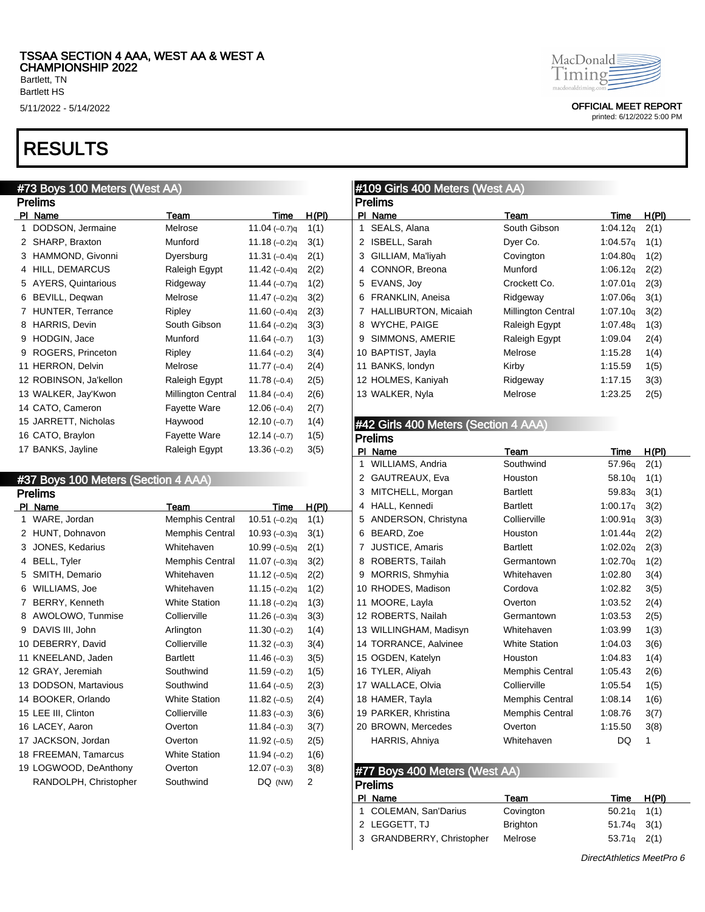Bartlett HS

# RESULTS

### #73 Boys 100 Meters (West AA)

|    | Prelims                   |                           |                 |       |  |  |  |  |  |  |  |
|----|---------------------------|---------------------------|-----------------|-------|--|--|--|--|--|--|--|
| PI | Name                      | Team                      | Time            | H(PI) |  |  |  |  |  |  |  |
| 1  | DODSON, Jermaine          | Melrose                   | 11.04 $(-0.7)q$ | 1(1)  |  |  |  |  |  |  |  |
| 2  | SHARP, Braxton            | Munford                   | 11.18 $(-0.2)q$ | 3(1)  |  |  |  |  |  |  |  |
| 3  | HAMMOND, Givonni          | Dyersburg                 | 11.31 $(-0.4)q$ | 2(1)  |  |  |  |  |  |  |  |
| 4  | HILL, DEMARCUS            | Raleigh Egypt             | 11.42 $(-0.4)q$ | 2(2)  |  |  |  |  |  |  |  |
| 5  | <b>AYERS, Quintarious</b> | Ridgeway                  | 11.44 $(-0.7)q$ | 1(2)  |  |  |  |  |  |  |  |
| 6  | BEVILL, Deqwan            | Melrose                   | 11.47 $(-0.2)q$ | 3(2)  |  |  |  |  |  |  |  |
| 7  | HUNTER, Terrance          | Ripley                    | 11.60 $(-0.4)q$ | 2(3)  |  |  |  |  |  |  |  |
| 8  | <b>HARRIS, Devin</b>      | South Gibson              | 11.64 $(-0.2)q$ | 3(3)  |  |  |  |  |  |  |  |
| 9  | HODGIN, Jace              | Munford                   | $11.64(-0.7)$   | 1(3)  |  |  |  |  |  |  |  |
| 9  | ROGERS, Princeton         | Ripley                    | 11.64 $(-0.2)$  | 3(4)  |  |  |  |  |  |  |  |
|    | 11 HERRON, Delvin         | Melrose                   | $11.77(-0.4)$   | 2(4)  |  |  |  |  |  |  |  |
|    | 12 ROBINSON, Ja'kellon    | Raleigh Egypt             | $11.78(-0.4)$   | 2(5)  |  |  |  |  |  |  |  |
|    | 13 WALKER, Jay'Kwon       | <b>Millington Central</b> | $11.84(-0.4)$   | 2(6)  |  |  |  |  |  |  |  |
|    | 14 CATO, Cameron          | <b>Fayette Ware</b>       | $12.06(-0.4)$   | 2(7)  |  |  |  |  |  |  |  |
|    | 15 JARRETT, Nicholas      | Haywood                   | $12.10(-0.7)$   | 1(4)  |  |  |  |  |  |  |  |
|    | 16 CATO, Braylon          | <b>Fayette Ware</b>       | $12.14(-0.7)$   | 1(5)  |  |  |  |  |  |  |  |
|    | 17 BANKS, Jayline         | Raleigh Egypt             | $13.36(-0.2)$   | 3(5)  |  |  |  |  |  |  |  |

#### #37 Boys 100 Meters (Section 4 AAA) Prelims

|    | гіешіз                |                        |                 |              |  |  |  |  |  |  |  |
|----|-----------------------|------------------------|-----------------|--------------|--|--|--|--|--|--|--|
| ΡI | Name                  | Team                   | <u>Time</u>     | <u>H(PI)</u> |  |  |  |  |  |  |  |
| 1  | WARE, Jordan          | Memphis Central        | $10.51(-0.2)q$  | 1(1)         |  |  |  |  |  |  |  |
| 2  | HUNT, Dohnavon        | <b>Memphis Central</b> | $10.93(-0.3)q$  | 3(1)         |  |  |  |  |  |  |  |
| 3  | JONES, Kedarius       | Whitehaven             | $10.99(-0.5)q$  | 2(1)         |  |  |  |  |  |  |  |
| 4  | <b>BELL, Tyler</b>    | <b>Memphis Central</b> | 11.07 $(-0.3)q$ | 3(2)         |  |  |  |  |  |  |  |
| 5  | SMITH, Demario        | Whitehaven             | 11.12 $(-0.5)q$ | 2(2)         |  |  |  |  |  |  |  |
| 6  | WILLIAMS, Joe         | Whitehaven             | $11.15(-0.2)q$  | 1(2)         |  |  |  |  |  |  |  |
| 7  | BERRY, Kenneth        | <b>White Station</b>   | $11.18(-0.2)q$  | 1(3)         |  |  |  |  |  |  |  |
| 8  | AWOLOWO, Tunmise      | Collierville           | 11.26 $(-0.3)q$ | 3(3)         |  |  |  |  |  |  |  |
| 9  | DAVIS III, John       | Arlington              | $11.30(-0.2)$   | 1(4)         |  |  |  |  |  |  |  |
|    | 10 DEBERRY, David     | Collierville           | $11.32(-0.3)$   | 3(4)         |  |  |  |  |  |  |  |
|    | 11 KNEELAND, Jaden    | <b>Bartlett</b>        | $11.46(-0.3)$   | 3(5)         |  |  |  |  |  |  |  |
|    | 12 GRAY, Jeremiah     | Southwind              | $11.59(-0.2)$   | 1(5)         |  |  |  |  |  |  |  |
|    | 13 DODSON, Martavious | Southwind              | $11.64(-0.5)$   | 2(3)         |  |  |  |  |  |  |  |
|    | 14 BOOKER, Orlando    | <b>White Station</b>   | $11.82(-0.5)$   | 2(4)         |  |  |  |  |  |  |  |
|    | 15 LEE III, Clinton   | Collierville           | $11.83(-0.3)$   | 3(6)         |  |  |  |  |  |  |  |
|    | 16 LACEY, Aaron       | Overton                | $11.84(-0.3)$   | 3(7)         |  |  |  |  |  |  |  |
|    | 17 JACKSON, Jordan    | Overton                | $11.92(-0.5)$   | 2(5)         |  |  |  |  |  |  |  |
|    | 18 FREEMAN, Tamarcus  | <b>White Station</b>   | $11.94(-0.2)$   | 1(6)         |  |  |  |  |  |  |  |
|    | 19 LOGWOOD, DeAnthony | Overton                | $12.07(-0.3)$   | 3(8)         |  |  |  |  |  |  |  |
|    | RANDOLPH, Christopher | Southwind              | DQ (NW)         | 2            |  |  |  |  |  |  |  |

MacDonald Timing macdonaldrimino

5/11/2022 - 5/14/2022 OFFICIAL MEET REPORT

printed: 6/12/2022 5:00 PM

### #109 Girls 400 Meters (West AA)

|    | Prelims                     |                           |          |       |  |  |  |  |  |  |  |
|----|-----------------------------|---------------------------|----------|-------|--|--|--|--|--|--|--|
| Ы  | Name                        | Team                      | Time     | H(PI) |  |  |  |  |  |  |  |
| 1. | SEALS, Alana                | South Gibson              | 1:04.12q | 2(1)  |  |  |  |  |  |  |  |
| 2  | ISBELL, Sarah               | Dyer Co.                  | 1:04.57q | 1(1)  |  |  |  |  |  |  |  |
| 3  | GILLIAM, Ma'liyah           | Covington                 | 1:04.80q | 1(2)  |  |  |  |  |  |  |  |
| 4  | CONNOR, Breona              | Munford                   | 1:06.12q | 2(2)  |  |  |  |  |  |  |  |
| 5  | EVANS, Joy                  | Crockett Co.              | 1:07.01g | 2(3)  |  |  |  |  |  |  |  |
| 6  | FRANKLIN, Aneisa            | Ridgeway                  | 1:07.06g | 3(1)  |  |  |  |  |  |  |  |
| 7  | <b>HALLIBURTON, Micaiah</b> | <b>Millington Central</b> | 1:07.10q | 3(2)  |  |  |  |  |  |  |  |
| 8  | WYCHE, PAIGE                | Raleigh Egypt             | 1:07.48q | 1(3)  |  |  |  |  |  |  |  |
| 9  | SIMMONS, AMERIE             | Raleigh Egypt             | 1:09.04  | 2(4)  |  |  |  |  |  |  |  |
|    | 10 BAPTIST, Jayla           | Melrose                   | 1:15.28  | 1(4)  |  |  |  |  |  |  |  |
|    | 11 BANKS, londyn            | Kirby                     | 1:15.59  | 1(5)  |  |  |  |  |  |  |  |
|    | 12 HOLMES, Kaniyah          | Ridgeway                  | 1:17.15  | 3(3)  |  |  |  |  |  |  |  |
|    | 13 WALKER, Nyla             | Melrose                   | 1:23.25  | 2(5)  |  |  |  |  |  |  |  |
|    |                             |                           |          |       |  |  |  |  |  |  |  |

### #42 Girls 400 Meters (Section 4 AAA)

|    | Prelims                |                        |                      |              |  |  |  |
|----|------------------------|------------------------|----------------------|--------------|--|--|--|
| ΡI | Name                   | Team                   | Time                 | <u>H(PI)</u> |  |  |  |
| 1  | WILLIAMS, Andria       | Southwind              | 57.96 <sub>q</sub>   | 2(1)         |  |  |  |
| 2  | GAUTREAUX, Eva         | Houston                | 58.10 <sub>g</sub>   | 1(1)         |  |  |  |
| 3  | MITCHELL, Morgan       | <b>Bartlett</b>        | 59.83q               | 3(1)         |  |  |  |
| 4  | HALL, Kennedi          | <b>Bartlett</b>        | 1:00.17 <sub>q</sub> | 3(2)         |  |  |  |
| 5  | ANDERSON, Christyna    | Collierville           | 1:00.91q             | 3(3)         |  |  |  |
| 6  | BEARD, Zoe             | Houston                | 1:01.44q             | 2(2)         |  |  |  |
| 7  | <b>JUSTICE, Amaris</b> | <b>Bartlett</b>        | 1:02.02 <sub>q</sub> | 2(3)         |  |  |  |
| 8  | ROBERTS, Tailah        | Germantown             | 1:02.70q             | 1(2)         |  |  |  |
| 9  | MORRIS, Shmyhia        | Whitehaven             | 1:02.80              | 3(4)         |  |  |  |
|    | 10 RHODES, Madison     | Cordova                | 1:02.82              | 3(5)         |  |  |  |
|    | 11 MOORE, Layla        | Overton                | 1:03.52              | 2(4)         |  |  |  |
|    | 12 ROBERTS, Nailah     | Germantown             | 1:03.53              | 2(5)         |  |  |  |
|    | 13 WILLINGHAM, Madisyn | Whitehaven             | 1:03.99              | 1(3)         |  |  |  |
|    | 14 TORRANCE, Aalvinee  | <b>White Station</b>   | 1:04.03              | 3(6)         |  |  |  |
|    | 15 OGDEN, Katelyn      | Houston                | 1:04.83              | 1(4)         |  |  |  |
|    | 16 TYLER, Aliyah       | <b>Memphis Central</b> | 1:05.43              | 2(6)         |  |  |  |
|    | 17 WALLACE, Olvia      | Collierville           | 1:05.54              | 1(5)         |  |  |  |
|    | 18 HAMER, Tayla        | <b>Memphis Central</b> | 1:08.14              | 1(6)         |  |  |  |
|    | 19 PARKER, Khristina   | <b>Memphis Central</b> | 1:08.76              | 3(7)         |  |  |  |
|    | 20 BROWN, Mercedes     | Overton                | 1:15.50              | 3(8)         |  |  |  |
|    | HARRIS, Ahniya         | Whitehaven             | DQ                   | 1            |  |  |  |
|    |                        |                        |                      |              |  |  |  |

#### #77 Boys 400 Meters (West AA) **Prelime**

| г гоннэ                   |                 |                 |       |  |
|---------------------------|-----------------|-----------------|-------|--|
| PI Name                   | Team            | Time            | H(PI) |  |
| 1 COLEMAN, San'Darius     | Covington       | $50.21q$ 1(1)   |       |  |
| 2 LEGGETT, TJ             | <b>Brighton</b> | $51.74q$ $3(1)$ |       |  |
| 3 GRANDBERRY, Christopher | Melrose         | $53.71q$ 2(1)   |       |  |
|                           |                 |                 |       |  |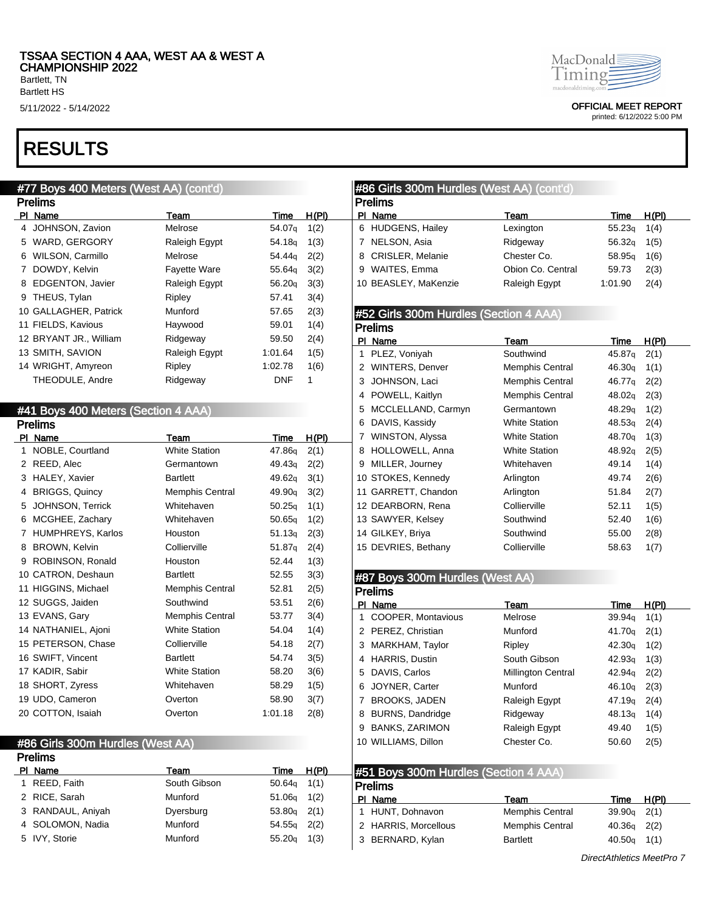## RESULTS

### #77 Boys 400 Meters (West AA) (cont'd)

|     | <b>Prelims</b>          |                     |                    |       |  |  |
|-----|-------------------------|---------------------|--------------------|-------|--|--|
| PI. | Name                    | Team                | Time               | H(PI) |  |  |
| 4   | JOHNSON, Zavion         | Melrose             | 54.07g             | 1(2)  |  |  |
| 5   | WARD, GERGORY           | Raleigh Egypt       | 54.18 <sub>g</sub> | 1(3)  |  |  |
| 6   | WILSON, Carmillo        | Melrose             | 54.44g             | 2(2)  |  |  |
| 7   | DOWDY, Kelvin           | <b>Fayette Ware</b> | 55.64g             | 3(2)  |  |  |
| 8   | <b>EDGENTON, Javier</b> | Raleigh Egypt       | 56.20q             | 3(3)  |  |  |
| 9   | THEUS, Tylan            | Ripley              | 57.41              | 3(4)  |  |  |
|     | 10 GALLAGHER, Patrick   | Munford             | 57.65              | 2(3)  |  |  |
|     | 11 FIELDS, Kavious      | Haywood             | 59.01              | 1(4)  |  |  |
|     | 12 BRYANT JR., William  | Ridgeway            | 59.50              | 2(4)  |  |  |
|     | 13 SMITH, SAVION        | Raleigh Egypt       | 1:01.64            | 1(5)  |  |  |
|     | 14 WRIGHT, Amyreon      | Ripley              | 1:02.78            | 1(6)  |  |  |
|     | THEODULE, Andre         | Ridgeway            | DNF                | 1     |  |  |

### #41 Boys 400 Meters (Section 4 AAA)

|    | <b>Prelims</b>           |                        |                    |              |  |  |  |
|----|--------------------------|------------------------|--------------------|--------------|--|--|--|
| PI | <b>Name</b>              | Team                   | Time               | <u>H(PI)</u> |  |  |  |
| 1  | NOBLE, Courtland         | <b>White Station</b>   | 47.86g             | 2(1)         |  |  |  |
| 2  | REED, Alec               | Germantown             | 49.43 <sub>q</sub> | 2(2)         |  |  |  |
| 3  | HALEY, Xavier            | <b>Bartlett</b>        | 49.62q             | 3(1)         |  |  |  |
| 4  | <b>BRIGGS, Quincy</b>    | <b>Memphis Central</b> | 49.90 <sub>q</sub> | 3(2)         |  |  |  |
| 5  | JOHNSON, Terrick         | Whitehaven             | 50.25q             | 1(1)         |  |  |  |
| 6  | MCGHEE, Zachary          | Whitehaven             | 50.65q             | 1(2)         |  |  |  |
| 7  | <b>HUMPHREYS, Karlos</b> | Houston                | 51.13q             | 2(3)         |  |  |  |
| 8  | <b>BROWN, Kelvin</b>     | Collierville           | 51.87 <sub>g</sub> | 2(4)         |  |  |  |
| 9  | ROBINSON, Ronald         | Houston                | 52.44              | 1(3)         |  |  |  |
|    | 10 CATRON, Deshaun       | <b>Bartlett</b>        | 52.55              | 3(3)         |  |  |  |
|    | 11 HIGGINS, Michael      | <b>Memphis Central</b> | 52.81              | 2(5)         |  |  |  |
|    | 12 SUGGS, Jaiden         | Southwind              | 53.51              | 2(6)         |  |  |  |
|    | 13 EVANS, Gary           | <b>Memphis Central</b> | 53.77              | 3(4)         |  |  |  |
|    | 14 NATHANIEL, Ajoni      | <b>White Station</b>   | 54.04              | 1(4)         |  |  |  |
|    | 15 PETERSON, Chase       | Collierville           | 54.18              | 2(7)         |  |  |  |
|    | 16 SWIFT, Vincent        | <b>Bartlett</b>        | 54.74              | 3(5)         |  |  |  |
|    | 17 KADIR, Sabir          | <b>White Station</b>   | 58.20              | 3(6)         |  |  |  |
|    | 18 SHORT, Zyress         | Whitehaven             | 58.29              | 1(5)         |  |  |  |
|    | 19 UDO, Cameron          | Overton                | 58.90              | 3(7)         |  |  |  |
|    | 20 COTTON, Isaiah        | Overton                | 1:01.18            | 2(8)         |  |  |  |

#### #86 Girls 300m Hurdles (West AA) Prelims

| .                 |              |                 |       |                                                            |                        |               |       |
|-------------------|--------------|-----------------|-------|------------------------------------------------------------|------------------------|---------------|-------|
| PI Name           | Team         | Time            | H(PI) | $\blacktriangleleft$ #51 Boys 300m Hurdles (Section 4 AAA) |                        |               |       |
| REED, Faith       | South Gibson | $50.64q$ 1(1)   |       | <b>Prelims</b>                                             |                        |               |       |
| 2 RICE, Sarah     | Munford      | $51.06q$ $1(2)$ |       | PI Name                                                    | Team                   | Time          | H(PI) |
| 3 RANDAUL, Aniyah | Dyersburg    | $53.80q$ 2(1)   |       | HUNT, Dohnavon                                             | <b>Memphis Central</b> | $39.90q$ 2(1) |       |
| 4 SOLOMON, Nadia  | Munford      | $54.55q$ 2(2)   |       | 2 HARRIS, Morcellous                                       | <b>Memphis Central</b> | $40.36q$ 2(2) |       |
| 5 IVY. Storie     | Munford      | $55.20q$ 1(3)   |       | 3 BERNARD, Kylan                                           | <b>Bartlett</b>        | $40.50q$ 1(1) |       |
|                   |              |                 |       |                                                            |                        |               |       |



5/11/2022 - 5/14/2022 OFFICIAL MEET REPORT

printed: 6/12/2022 5:00 PM

#### #86 Girls 300m Hurdles (West AA) (cont'd) Prelims PI Name Team Team Team Time H(PI) HUDGENS, Hailey Lexington 55.23q 1(4) 7 NELSON, Asia **Ridgeway** 56.32q 1(5) 8 CRISLER, Melanie Chester Co. 58.95q 1(6) WAITES, Emma Obion Co. Central 59.73 2(3) BEASLEY, MaKenzie Raleigh Egypt 1:01.90 2(4)

### #52 Girls 300m Hurdles (Section 4 AAA)

|    | Prelims                |                        |                    |       |  |  |  |
|----|------------------------|------------------------|--------------------|-------|--|--|--|
| ΡΙ | Name                   | Team                   | Time               | H(PI) |  |  |  |
| 1  | PLEZ, Voniyah          | Southwind              | 45.87g             | 2(1)  |  |  |  |
| 2  | <b>WINTERS, Denver</b> | <b>Memphis Central</b> | 46.30q             | 1(1)  |  |  |  |
| 3  | JOHNSON, Laci          | <b>Memphis Central</b> | 46.77 <sub>g</sub> | 2(2)  |  |  |  |
| 4  | POWELL, Kaitlyn        | <b>Memphis Central</b> | 48.02q             | 2(3)  |  |  |  |
| 5  | MCCLELLAND, Carmyn     | Germantown             | 48.29 <sub>g</sub> | 1(2)  |  |  |  |
| 6  | DAVIS, Kassidy         | <b>White Station</b>   | 48.53q             | 2(4)  |  |  |  |
| 7  | WINSTON, Alyssa        | <b>White Station</b>   | 48.70 <sub>g</sub> | 1(3)  |  |  |  |
| 8  | HOLLOWELL, Anna        | <b>White Station</b>   | 48.92 <sub>g</sub> | 2(5)  |  |  |  |
| 9  | MILLER, Journey        | Whitehaven             | 49.14              | 1(4)  |  |  |  |
|    | 10 STOKES, Kennedy     | Arlington              | 49.74              | 2(6)  |  |  |  |
|    | 11 GARRETT, Chandon    | Arlington              | 51.84              | 2(7)  |  |  |  |
|    | 12 DEARBORN, Rena      | Collierville           | 52.11              | 1(5)  |  |  |  |
|    | 13 SAWYER, Kelsey      | Southwind              | 52.40              | 1(6)  |  |  |  |
|    | 14 GILKEY, Briya       | Southwind              | 55.00              | 2(8)  |  |  |  |
|    | 15 DEVRIES, Bethany    | Collierville           | 58.63              | 1(7)  |  |  |  |

#### #87 Boys 300m Hurdles (West AA)

|    | <b>Prelims</b>          |                           |                    |       |  |  |  |
|----|-------------------------|---------------------------|--------------------|-------|--|--|--|
|    | PI Name                 | Team                      | Time               | H(PI) |  |  |  |
| 1. | COOPER, Montavious      | Melrose                   | 39.94q             | 1(1)  |  |  |  |
|    | 2 PEREZ, Christian      | Munford                   | 41.70a             | 2(1)  |  |  |  |
|    | 3 MARKHAM, Taylor       | Ripley                    | 42.30 <sub>g</sub> | 1(2)  |  |  |  |
|    | 4 HARRIS, Dustin        | South Gibson              | 42.93q             | 1(3)  |  |  |  |
|    | 5 DAVIS, Carlos         | <b>Millington Central</b> | 42.94a             | 2(2)  |  |  |  |
|    | 6 JOYNER, Carter        | Munford                   | 46.10q             | 2(3)  |  |  |  |
| 7  | BROOKS, JADEN           | Raleigh Egypt             | 47.19q             | 2(4)  |  |  |  |
| 8  | <b>BURNS, Dandridge</b> | Ridgeway                  | 48.13 <sub>g</sub> | 1(4)  |  |  |  |
| 9  | <b>BANKS, ZARIMON</b>   | Raleigh Egypt             | 49.40              | 1(5)  |  |  |  |
|    | 10 WILLIAMS, Dillon     | Chester Co.               | 50.60              | 2(5)  |  |  |  |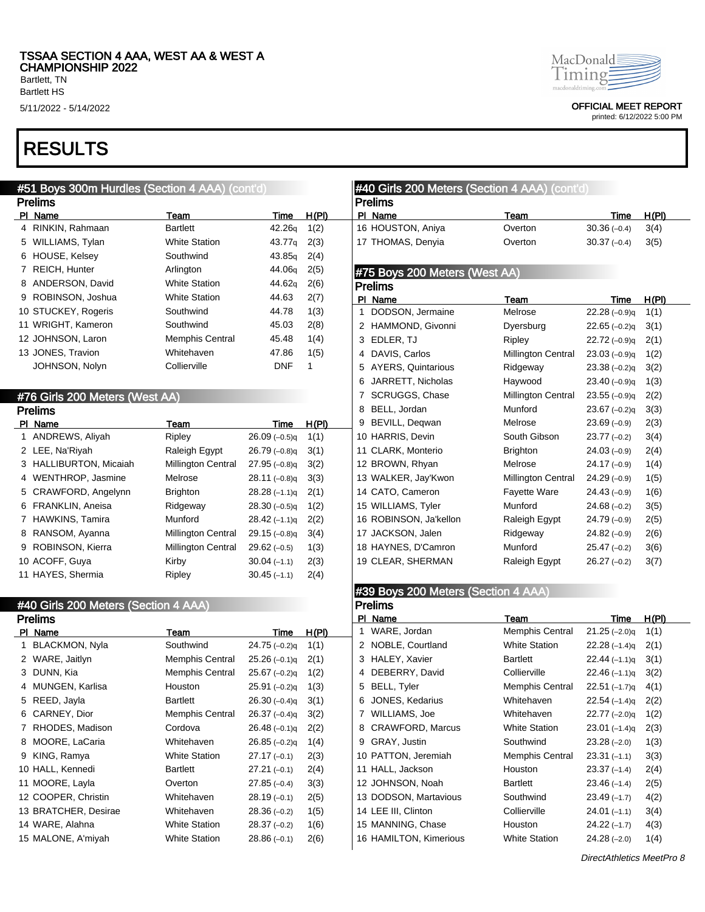Bartlett HS

## RESULTS

## #51 Boys 300m Hurdles (Section 4 AAA) (cont'd)

|    | <b>Prelims</b>       |                        |                    |       |  |  |
|----|----------------------|------------------------|--------------------|-------|--|--|
| ΡI | Name                 | Team                   | Time               | H(PI) |  |  |
| 4  | RINKIN, Rahmaan      | <b>Bartlett</b>        | 42.26q             | 1(2)  |  |  |
| 5  | WILLIAMS, Tylan      | <b>White Station</b>   | 43.77a             | 2(3)  |  |  |
| 6  | HOUSE, Kelsey        | Southwind              | 43.85 <sub>a</sub> | 2(4)  |  |  |
| 7  | <b>REICH, Hunter</b> | Arlington              | 44.06a             | 2(5)  |  |  |
| 8  | ANDERSON, David      | <b>White Station</b>   | 44.62g             | 2(6)  |  |  |
| 9  | ROBINSON, Joshua     | <b>White Station</b>   | 44.63              | 2(7)  |  |  |
|    | 10 STUCKEY, Rogeris  | Southwind              | 44.78              | 1(3)  |  |  |
|    | 11 WRIGHT, Kameron   | Southwind              | 45.03              | 2(8)  |  |  |
|    | 12 JOHNSON, Laron    | <b>Memphis Central</b> | 45.48              | 1(4)  |  |  |
|    | 13 JONES, Travion    | Whitehaven             | 47.86              | 1(5)  |  |  |
|    | JOHNSON, Nolyn       | Collierville           | <b>DNF</b>         | 1     |  |  |

### #76 Girls 200 Meters (West AA)

|   | <b>Prelims</b>         |                           |                |       |  |  |  |
|---|------------------------|---------------------------|----------------|-------|--|--|--|
|   | PI Name                | Team                      | Time           | H(PI) |  |  |  |
|   | 1 ANDREWS, Aliyah      | Ripley                    | $26.09(-0.5)q$ | 1(1)  |  |  |  |
|   | 2 LEE, Na'Riyah        | Raleigh Egypt             | $26.79(-0.8)q$ | 3(1)  |  |  |  |
|   | 3 HALLIBURTON, Micaiah | <b>Millington Central</b> | $27.95(-0.8)q$ | 3(2)  |  |  |  |
|   | 4 WENTHROP, Jasmine    | Melrose                   | $28.11(-0.8)q$ | 3(3)  |  |  |  |
|   | 5 CRAWFORD, Angelynn   | <b>Brighton</b>           | $28.28(-1.1)q$ | 2(1)  |  |  |  |
|   | 6 FRANKLIN, Aneisa     | Ridgeway                  | $28.30(-0.5)q$ | 1(2)  |  |  |  |
|   | 7 HAWKINS, Tamira      | Munford                   | $28.42(-1.1)q$ | 2(2)  |  |  |  |
| 8 | RANSOM, Ayanna         | <b>Millington Central</b> | $29.15(-0.8)q$ | 3(4)  |  |  |  |
|   | 9 ROBINSON, Kierra     | <b>Millington Central</b> | $29.62(-0.5)$  | 1(3)  |  |  |  |
|   | 10 ACOFF, Guya         | Kirby                     | $30.04(-1.1)$  | 2(3)  |  |  |  |
|   | 11 HAYES, Shermia      | Ripley                    | $30.45(-1.1)$  | 2(4)  |  |  |  |

#### #40 Girls 200 Meters (Section 4 AAA) Prelims

|    | Prelims               |                        |                |       |  |  |
|----|-----------------------|------------------------|----------------|-------|--|--|
| PI | Name                  | Team                   | Time           | H(PI) |  |  |
| 1  | <b>BLACKMON, Nyla</b> | Southwind              | $24.75(-0.2)q$ | 1(1)  |  |  |
| 2  | WARE, Jaitlyn         | <b>Memphis Central</b> | $25.26(-0.1)q$ | 2(1)  |  |  |
| 3  | DUNN, Kia             | Memphis Central        | $25.67(-0.2)q$ | 1(2)  |  |  |
| 4  | MUNGEN, Karlisa       | Houston                | $25.91(-0.2)q$ | 1(3)  |  |  |
| 5  | REED, Jayla           | <b>Bartlett</b>        | $26.30(-0.4)q$ | 3(1)  |  |  |
| 6  | CARNEY, Dior          | <b>Memphis Central</b> | $26.37(-0.4)q$ | 3(2)  |  |  |
| 7  | RHODES, Madison       | Cordova                | $26.48(-0.1)q$ | 2(2)  |  |  |
| 8  | MOORE, LaCaria        | Whitehaven             | $26.85(-0.2)q$ | 1(4)  |  |  |
| 9  | KING, Ramya           | <b>White Station</b>   | $27.17(-0.1)$  | 2(3)  |  |  |
|    | 10 HALL, Kennedi      | <b>Bartlett</b>        | $27.21(-0.1)$  | 2(4)  |  |  |
|    | 11 MOORE, Layla       | Overton                | $27.85(-0.4)$  | 3(3)  |  |  |
|    | 12 COOPER, Christin   | Whitehaven             | $28.19(-0.1)$  | 2(5)  |  |  |
|    | 13 BRATCHER, Desirae  | Whitehaven             | $28.36(-0.2)$  | 1(5)  |  |  |
|    | 14 WARE, Alahna       | <b>White Station</b>   | $28.37(-0.2)$  | 1(6)  |  |  |
|    | 15 MALONE, A'miyah    | <b>White Station</b>   | $28.86(-0.1)$  | 2(6)  |  |  |
|    |                       |                        |                |       |  |  |



5/11/2022 - 5/14/2022 OFFICIAL MEET REPORT

printed: 6/12/2022 5:00 PM

| #40 Girls 200 Meters (Section 4 AAA) (cont'd) |                           |                |       |
|-----------------------------------------------|---------------------------|----------------|-------|
| <b>Prelims</b>                                |                           |                |       |
| PI Name                                       | Team                      | <b>Time</b>    | H(PI) |
| 16 HOUSTON, Aniya                             | Overton                   | $30.36(-0.4)$  | 3(4)  |
| 17 THOMAS, Denyia                             | Overton                   | $30.37(-0.4)$  | 3(5)  |
|                                               |                           |                |       |
| #75 Boys 200 Meters (West AA)                 |                           |                |       |
| <b>Prelims</b>                                |                           |                |       |
| PI Name                                       | Team                      | <b>Time</b>    | H(PI) |
| DODSON, Jermaine<br>1                         | Melrose                   | $22.28(-0.9)q$ | 1(1)  |
| HAMMOND, Givonni<br>2                         | Dyersburg                 | $22.65(-0.2)q$ | 3(1)  |
| 3 EDLER, TJ                                   | Ripley                    | $22.72(-0.9)q$ | 2(1)  |
| 4 DAVIS, Carlos                               | Millington Central        | $23.03(-0.9)q$ | 1(2)  |
| 5 AYERS, Quintarious                          | Ridgeway                  | $23.38(-0.2)q$ | 3(2)  |
| JARRETT, Nicholas<br>6                        | Haywood                   | $23.40(-0.9)q$ | 1(3)  |
| <b>SCRUGGS, Chase</b><br>7                    | Millington Central        | $23.55(-0.9)q$ | 2(2)  |
| BELL, Jordan<br>8                             | Munford                   | $23.67(-0.2)q$ | 3(3)  |
| 9 BEVILL, Deqwan                              | Melrose                   | $23.69(-0.9)$  | 2(3)  |
| 10 HARRIS, Devin                              | South Gibson              | $23.77(-0.2)$  | 3(4)  |
| 11 CLARK, Monterio                            | <b>Brighton</b>           | $24.03(-0.9)$  | 2(4)  |
| 12 BROWN, Rhyan                               | Melrose                   | $24.17(-0.9)$  | 1(4)  |
| 13 WALKER, Jay'Kwon                           | <b>Millington Central</b> | $24.29(-0.9)$  | 1(5)  |
| 14 CATO, Cameron                              | <b>Fayette Ware</b>       | $24.43(-0.9)$  | 1(6)  |
| 15 WILLIAMS, Tyler                            | Munford                   | $24.68(-0.2)$  | 3(5)  |
| 16 ROBINSON, Ja'kellon                        | Raleigh Egypt             | $24.79(-0.9)$  | 2(5)  |
| 17 JACKSON, Jalen                             | Ridgeway                  | $24.82(-0.9)$  | 2(6)  |
| 18 HAYNES, D'Camron                           | Munford                   | $25.47(-0.2)$  | 3(6)  |
| 19 CLEAR, SHERMAN                             | Raleigh Egypt             | $26.27(-0.2)$  | 3(7)  |
|                                               |                           |                |       |
| #39 Boys 200 Meters (Section 4 AAA)           |                           |                |       |
| <b>Prelims</b>                                |                           |                |       |
| PI Name                                       | Team                      | Time           | H(PI) |
| WARE, Jordan<br>1                             | <b>Memphis Central</b>    | 21.25 (-2.0)q  | 1(1)  |

 NOBLE, Courtland White Station 22.28 (–1.4)q 2(1) HALEY, Xavier Bartlett 22.44 (–1.1)q 3(1) DEBERRY, David Collierville 22.46 (–1.1)q 3(2) BELL, Tyler Memphis Central 22.51 (–1.7)q 4(1) JONES, Kedarius Whitehaven 22.54 (–1.4)q 2(2) WILLIAMS, Joe Whitehaven 22.77 (–2.0)q 1(2) 8 CRAWFORD, Marcus White Station 23.01 (-1.4)q 2(3) GRAY, Justin Southwind 23.28 (–2.0) 1(3) PATTON, Jeremiah Memphis Central 23.31 (–1.1) 3(3) HALL, Jackson Houston 23.37 (–1.4) 2(4) JOHNSON, Noah Bartlett 23.46 (–1.4) 2(5) DODSON, Martavious Southwind 23.49 (–1.7) 4(2) LEE III, Clinton Collierville 24.01 (–1.1) 3(4) MANNING, Chase Houston 24.22 (–1.7) 4(3)

| 16 HAMILTON, Kimerious | <b>White Station</b> | $24.28(-2.0)$ | 1(4) |
|------------------------|----------------------|---------------|------|
|                        |                      |               |      |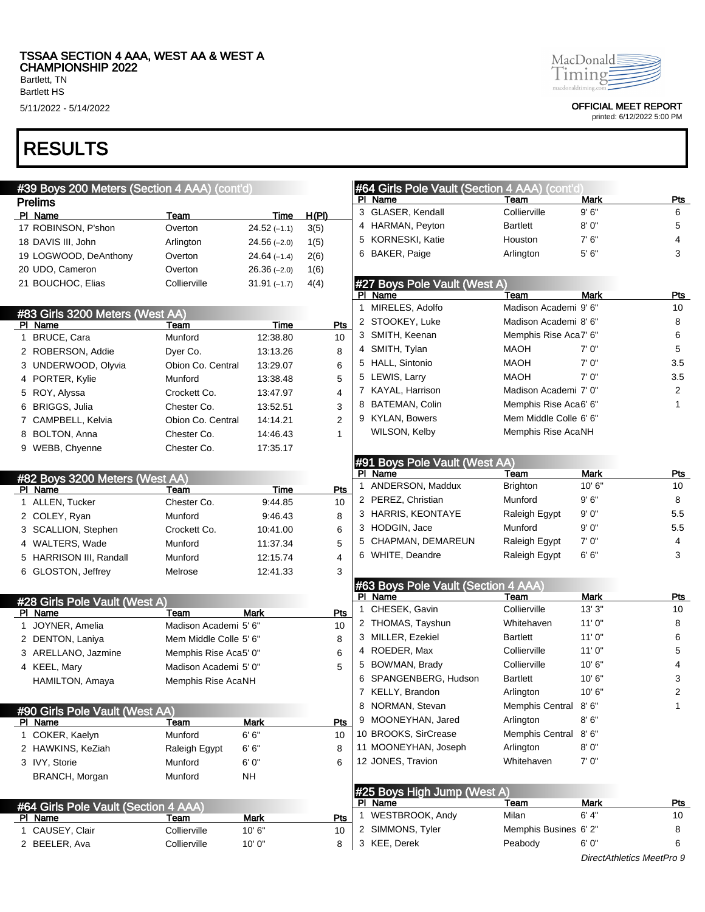Bartlett, TN Bartlett HS

# RESULTS

| #39 Boys 200 Meters (Section 4 AAA) (cont'd) |                        |               |                |   | #64 Girls Pole Vault (Section 4 AAA) (cont'd) |                        |             |                |
|----------------------------------------------|------------------------|---------------|----------------|---|-----------------------------------------------|------------------------|-------------|----------------|
| <b>Prelims</b>                               |                        |               |                |   | PI Name                                       | Team                   | <b>Mark</b> | <b>Pts</b>     |
| PI Name                                      | Team                   | Time          | H(PI)          |   | 3 GLASER, Kendall                             | Collierville           | 9'6''       | 6              |
| 17 ROBINSON, P'shon                          | Overton                | $24.52(-1.1)$ | 3(5)           |   | 4 HARMAN, Peyton                              | <b>Bartlett</b>        | 8' 0"       | 5              |
| 18 DAVIS III, John                           | Arlington              | $24.56(-2.0)$ | 1(5)           |   | 5 KORNESKI, Katie                             | Houston                | 7' 6''      | 4              |
| 19 LOGWOOD, DeAnthony                        | Overton                | $24.64(-1.4)$ | 2(6)           |   | 6 BAKER, Paige                                | Arlington              | 5'6''       | 3              |
| 20 UDO, Cameron                              | Overton                | $26.36(-2.0)$ | 1(6)           |   |                                               |                        |             |                |
| 21 BOUCHOC, Elias                            | Collierville           | $31.91(-1.7)$ | 4(4)           |   | #27 Boys Pole Vault (West A)                  |                        |             |                |
|                                              |                        |               |                |   | PI Name                                       | Team                   | <b>Mark</b> | <b>Pts</b>     |
| #83 Girls 3200 Meters (West AA)              |                        |               |                |   | 1 MIRELES, Adolfo                             | Madison Academi 9'6"   |             | 10             |
| PI Name                                      | <b>Team</b>            | Time          | Pts            |   | 2 STOOKEY, Luke                               | Madison Academi 8' 6"  |             | 8              |
| 1 BRUCE, Cara                                | Munford                | 12:38.80      | 10             |   | 3 SMITH, Keenan                               | Memphis Rise Aca7' 6"  |             | 6              |
| 2 ROBERSON, Addie                            | Dyer Co.               | 13:13.26      | 8              |   | 4 SMITH, Tylan                                | <b>MAOH</b>            | 7' 0"       | 5              |
| 3 UNDERWOOD, Olyvia                          | Obion Co. Central      | 13:29.07      | 6              |   | 5 HALL, Sintonio                              | <b>MAOH</b>            | 7' 0"       | 3.5            |
| 4 PORTER, Kylie                              | Munford                | 13:38.48      | 5              |   | 5 LEWIS, Larry                                | <b>MAOH</b>            | 7' 0"       | 3.5            |
| 5 ROY, Alyssa                                | Crockett Co.           | 13:47.97      | 4              |   | 7 KAYAL, Harrison                             | Madison Academi 7' 0"  |             | 2              |
| 6 BRIGGS, Julia                              | Chester Co.            | 13:52.51      | 3              |   | 8 BATEMAN, Colin                              | Memphis Rise Aca6' 6"  |             | 1              |
| 7 CAMPBELL, Kelvia                           | Obion Co. Central      | 14:14.21      | $\overline{2}$ |   | 9 KYLAN, Bowers                               | Mem Middle Colle 6' 6" |             |                |
| 8 BOLTON, Anna                               | Chester Co.            | 14:46.43      | $\mathbf{1}$   |   | WILSON, Kelby                                 | Memphis Rise AcaNH     |             |                |
| 9 WEBB, Chyenne                              | Chester Co.            | 17:35.17      |                |   |                                               |                        |             |                |
|                                              |                        |               |                |   | #91 Boys Pole Vault (West AA)                 |                        |             |                |
| #82 Boys 3200 Meters (West AA)               |                        |               |                |   | PI Name                                       | Team                   | Mark        | Pts            |
| PI Name                                      | Team                   | Time          | Pts            | 1 | ANDERSON, Maddux                              | <b>Brighton</b>        | 10'6''      | 10             |
| 1 ALLEN, Tucker                              | Chester Co.            | 9:44.85       | 10             |   | 2 PEREZ, Christian                            | Munford                | 9'6''       | 8              |
| 2 COLEY, Ryan                                | Munford                | 9:46.43       | 8              |   | 3 HARRIS, KEONTAYE                            | Raleigh Egypt          | 9'0''       | 5.5            |
| 3 SCALLION, Stephen                          | Crockett Co.           | 10:41.00      | 6              |   | 3 HODGIN, Jace                                | Munford                | 9'0''       | 5.5            |
| 4 WALTERS, Wade                              | Munford                | 11:37.34      | 5              |   | 5 CHAPMAN, DEMAREUN                           | Raleigh Egypt          | 7' 0"       | 4              |
| 5 HARRISON III, Randall                      | Munford                | 12:15.74      | 4              |   | 6 WHITE, Deandre                              | Raleigh Egypt          | 6'6''       | 3              |
| 6 GLOSTON, Jeffrey                           | Melrose                | 12:41.33      | 3              |   |                                               |                        |             |                |
|                                              |                        |               |                |   | #63 Boys Pole Vault (Section 4 AAA)           |                        |             |                |
| #28 Girls Pole Vault (West A)                |                        |               |                |   | PI Name                                       | Team                   | <b>Mark</b> | <b>Pts</b>     |
| PI Name                                      | Team                   | <b>Mark</b>   | Pts            | 1 | CHESEK, Gavin                                 | Collierville           | 13'3''      | 10             |
| 1 JOYNER, Amelia                             | Madison Academi 5' 6"  |               | 10             |   | 2 THOMAS, Tayshun                             | Whitehaven             | 11'0''      | 8              |
| 2 DENTON, Laniya                             | Mem Middle Colle 5' 6" |               | 8              |   | 3 MILLER, Ezekiel                             | <b>Bartlett</b>        | 11'0"       | 6              |
| 3 ARELLANO, Jazmine                          | Memphis Rise Aca5' 0"  |               | 6              |   | 4 ROEDER, Max                                 | Collierville           | 11'0''      | 5              |
| 4 KEEL, Mary                                 | Madison Academi 5' 0"  |               | 5              |   | 5 BOWMAN, Brady                               | Collierville           | 10'6"       | 4              |
| HAMILTON, Amaya                              | Memphis Rise AcaNH     |               |                |   | 6 SPANGENBERG, Hudson                         | <b>Bartlett</b>        | 10'6"       | 3              |
|                                              |                        |               |                |   | 7 KELLY, Brandon                              | Arlington              | 10'6''      | $\overline{2}$ |
| #90 Girls Pole Vault (West AA)               |                        |               |                |   | 8 NORMAN, Stevan                              | Memphis Central 8'6"   |             | $\mathbf{1}$   |
| PI Name                                      | Team                   | Mark          | Pts            |   | 9 MOONEYHAN, Jared                            | Arlington              | 8'6''       |                |
| 1 COKER, Kaelyn                              | Munford                | 6' 6"         | 10             |   | 10 BROOKS, SirCrease                          | Memphis Central        | 8'6''       |                |
| 2 HAWKINS, KeZiah                            | Raleigh Egypt          | 6'6''         | 8              |   | 11 MOONEYHAN, Joseph                          | Arlington              | 8' 0"       |                |
| 3 IVY, Storie                                | Munford                | 6'0''         | 6              |   | 12 JONES, Travion                             | Whitehaven             | 7' 0"       |                |
| BRANCH, Morgan                               | Munford                | <b>NH</b>     |                |   |                                               |                        |             |                |
|                                              |                        |               |                |   | #25 Boys High Jump (West A)                   |                        |             |                |
| #64 Girls Pole Vault (Section 4 AAA)         |                        |               |                |   | PI Name                                       | <b>Team</b>            | <b>Mark</b> | <b>Pts</b>     |
| PI Name                                      | Team                   | Mark          | Pts            |   | 1 WESTBROOK, Andy                             | Milan                  | 6' 4''      | 10             |
| 1 CAUSEY, Clair                              | Collierville           | 10'6"         | 10             |   | 2 SIMMONS, Tyler                              | Memphis Busines 6'2"   |             | 8              |
| 2 BEELER, Ava                                | Collierville           | 10'0"         | 8              |   | 3 KEE, Derek                                  | Peabody                | 6'0''       | 6              |
|                                              |                        |               |                |   |                                               |                        |             |                |



5/11/2022 - 5/14/2022 OFFICIAL MEET REPORT

printed: 6/12/2022 5:00 PM

DirectAthletics MeetPro 9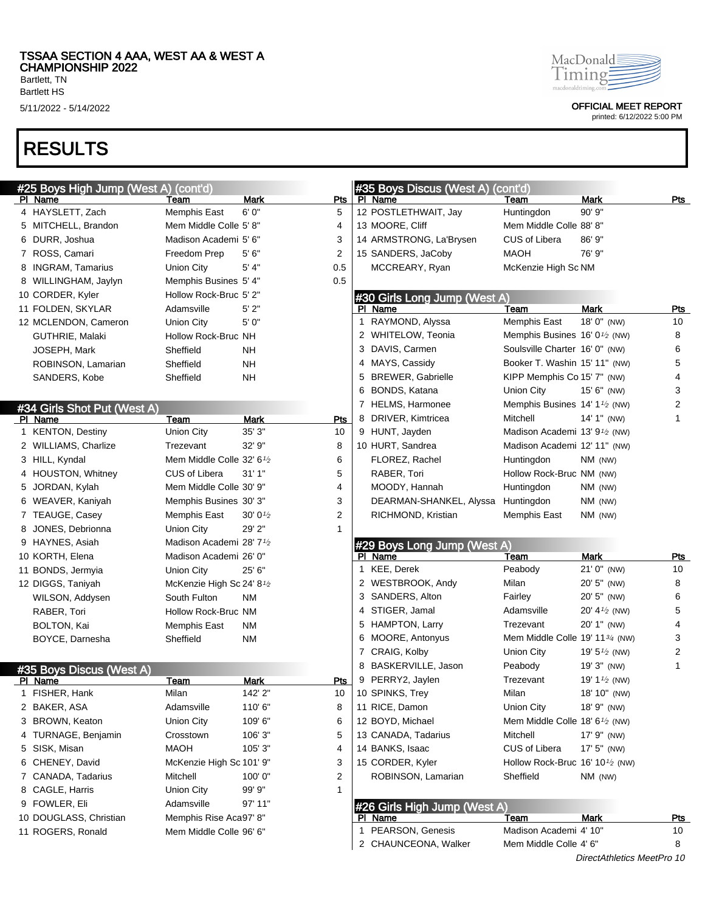Bartlett HS

## RESULTS



5/11/2022 - 5/14/2022 OFFICIAL MEET REPORT

| #25 Boys High Jump (West A) (cont'd) |                                                    |             |                | #35 Boys Discus (West A) (cont'd) |                                                          |                            |                |
|--------------------------------------|----------------------------------------------------|-------------|----------------|-----------------------------------|----------------------------------------------------------|----------------------------|----------------|
| PI Name                              | Team                                               | Mark        | Pts            | PI Name                           | Team                                                     | Mark                       | Pts            |
| 4 HAYSLETT, Zach                     | <b>Memphis East</b>                                | 6'0''       | 5              | 12 POSTLETHWAIT, Jay              | Huntingdon                                               | 90' 9"                     |                |
| 5 MITCHELL, Brandon                  | Mem Middle Colle 5' 8"                             |             | 4              | 13 MOORE, Cliff                   | Mem Middle Colle 88' 8"                                  |                            |                |
| 6 DURR, Joshua                       | Madison Academi 5' 6"                              |             | 3              | 14 ARMSTRONG, La'Brysen           | <b>CUS of Libera</b>                                     | 86' 9"                     |                |
| 7 ROSS, Camari                       | Freedom Prep                                       | 5'6''       | 2              | 15 SANDERS, JaCoby                | <b>MAOH</b>                                              | 76' 9"                     |                |
| 8 INGRAM, Tamarius                   | Union City                                         | 5' 4"       | 0.5            | MCCREARY, Ryan                    | McKenzie High Sc NM                                      |                            |                |
| 8 WILLINGHAM, Jaylyn                 | Memphis Busines 5' 4"                              |             | 0.5            |                                   |                                                          |                            |                |
| 10 CORDER, Kyler                     | Hollow Rock-Bruc 5' 2"                             |             |                | #30 Girls Long Jump (West A)      |                                                          |                            |                |
| 11 FOLDEN, SKYLAR                    | Adamsville                                         | 5'2"        |                | PI Name                           | Team                                                     | <b>Mark</b>                | Pts            |
| 12 MCLENDON, Cameron                 | Union City                                         | 5'0''       |                | 1 RAYMOND, Alyssa                 | Memphis East                                             | 18' 0" (NW)                | 10             |
| GUTHRIE, Malaki                      | Hollow Rock-Bruc NH                                |             |                | 2 WHITELOW, Teonia                | Memphis Busines 16' 0 <sup>1</sup> / <sub>2</sub> (NW)   |                            | 8              |
| JOSEPH, Mark                         | Sheffield                                          | <b>NH</b>   |                | 3 DAVIS, Carmen                   | Soulsville Charter 16' 0" (NW)                           |                            | 6              |
| ROBINSON, Lamarian                   | Sheffield                                          | <b>NH</b>   |                | 4 MAYS, Cassidy                   | Booker T. Washin 15' 11" (NW)                            |                            | 5              |
| SANDERS, Kobe                        | Sheffield                                          | <b>NH</b>   |                | 5 BREWER, Gabrielle               | KIPP Memphis Co 15' 7" (NW)                              |                            | 4              |
|                                      |                                                    |             |                | 6 BONDS, Katana                   | Union City                                               | 15' 6" (NW)                | 3              |
| #34 Girls Shot Put (West A)          |                                                    |             |                | 7 HELMS, Harmonee                 | Memphis Busines 14' 1 <sup>1</sup> / <sub>2</sub> (NW)   |                            | 2              |
| PI Name                              | Team                                               | <b>Mark</b> | Pts            | 8 DRIVER, Kimtricea               | Mitchell                                                 | 14' 1" (NW)                | 1              |
| 1 KENTON, Destiny                    | <b>Union City</b>                                  | 35' 3"      | 10             | 9 HUNT, Jayden                    | Madison Academi 13' 91/2 (NW)                            |                            |                |
| 2 WILLIAMS, Charlize                 | Trezevant                                          | 32' 9"      | 8              | 10 HURT, Sandrea                  | Madison Academi 12' 11" (NW)                             |                            |                |
| 3 HILL, Kyndal                       | Mem Middle Colle 32' 6 <sup>1</sup> / <sub>2</sub> |             | 6              | FLOREZ, Rachel                    | Huntingdon                                               | $NM$ (NW)                  |                |
| 4 HOUSTON, Whitney                   | CUS of Libera                                      | 31'1''      | 5              | RABER, Tori                       | Hollow Rock-Bruc NM (NW)                                 |                            |                |
| 5 JORDAN, Kylah                      | Mem Middle Colle 30' 9"                            |             | 4              | MOODY, Hannah                     | Huntingdon                                               | NM (NW)                    |                |
| 6 WEAVER, Kaniyah                    | Memphis Busines 30' 3"                             |             | 3              | DEARMAN-SHANKEL, Alyssa           | Huntingdon                                               | NM (NW)                    |                |
| 7 TEAUGE, Casey                      | <b>Memphis East</b>                                | 30'01/2     | $\overline{2}$ | RICHMOND, Kristian                | Memphis East                                             | $NM$ (NW)                  |                |
| 8 JONES, Debrionna                   | Union City                                         | 29' 2"      | 1              |                                   |                                                          |                            |                |
| 9 HAYNES, Asiah                      | Madison Academi 28' 7 <sup>1</sup> /2              |             |                | #29 Boys Long Jump (West A)       |                                                          |                            |                |
| 10 KORTH, Elena                      | Madison Academi 26' 0"                             |             |                | PI Name                           | Team                                                     | <b>Mark</b>                | Pts            |
| 11 BONDS, Jermyia                    | Union City                                         | 25' 6"      |                | 1 KEE, Derek                      | Peabody                                                  | $21'0''$ (NW)              | 10             |
| 12 DIGGS, Taniyah                    | McKenzie High Sc 24' 8 <sup>1</sup> /2             |             |                | 2 WESTBROOK, Andy                 | Milan                                                    | 20' 5" (NW)                | 8              |
| WILSON, Addysen                      | South Fulton                                       | <b>NM</b>   |                | 3 SANDERS, Alton                  | Fairley                                                  | 20' 5" (NW)                | 6              |
| RABER, Tori                          | Hollow Rock-Bruc NM                                |             |                | 4 STIGER, Jamal                   | Adamsville                                               | 20' 4 $\frac{1}{2}$ (NW)   | 5              |
| <b>BOLTON, Kai</b>                   | Memphis East                                       | <b>NM</b>   |                | 5 HAMPTON, Larry                  | Trezevant                                                | 20' 1" (NW)                | 4              |
| BOYCE, Darnesha                      | Sheffield                                          | <b>NM</b>   |                | 6 MOORE, Antonyus                 | Mem Middle Colle 19' 1134 (NW)                           |                            | 3              |
|                                      |                                                    |             |                | 7 CRAIG, Kolby                    | Union City                                               | 19' $5\frac{1}{2}$ (NW)    | $\overline{2}$ |
| #35 Boys Discus (West A)             |                                                    |             |                | 8 BASKERVILLE, Jason              | Peabody                                                  | 19' 3" (NW)                | $\mathbf{1}$   |
| PI Name                              | Team                                               | Mark        | Pts            | 9 PERRY2, Jaylen                  | Trezevant                                                | 19' $1\frac{1}{2}$ (NW)    |                |
| 1 FISHER, Hank                       | Milan                                              | 142' 2"     | 10             | 10 SPINKS, Trey                   | Milan                                                    | 18' 10" (NW)               |                |
| 2 BAKER, ASA                         | Adamsville                                         | 110'6"      | 8              | 11 RICE, Damon                    | Union City                                               | 18' 9" (NW)                |                |
| 3 BROWN, Keaton                      | Union City                                         | 109'6"      | 6              | 12 BOYD, Michael                  | Mem Middle Colle 18' 6 <sup>1</sup> / <sub>2</sub> (NW)  |                            |                |
| 4 TURNAGE, Benjamin                  | Crosstown                                          | 106' 3"     | 5              | 13 CANADA, Tadarius               | Mitchell                                                 | 17' 9" (NW)                |                |
| 5 SISK, Misan                        | <b>MAOH</b>                                        | 105' 3"     | 4              | 14 BANKS, Isaac                   | CUS of Libera                                            | 17' 5" (NW)                |                |
| 6 CHENEY, David                      | McKenzie High Sc 101' 9"                           |             | 3              | 15 CORDER, Kyler                  | Hollow Rock-Bruc 16' 10 <sup>1</sup> / <sub>2</sub> (NW) |                            |                |
| 7 CANADA, Tadarius                   | Mitchell                                           | 100'0"      | 2              | ROBINSON, Lamarian                | Sheffield                                                | NM (NW)                    |                |
| 8 CAGLE, Harris                      | Union City                                         | 99' 9"      | $\mathbf{1}$   |                                   |                                                          |                            |                |
| 9 FOWLER, Eli                        | Adamsville                                         | 97' 11"     |                | #26 Girls High Jump (West A)      |                                                          |                            |                |
| 10 DOUGLASS, Christian               | Memphis Rise Aca97' 8"                             |             |                | PI Name                           | Team                                                     | Mark                       | <u>Pts</u>     |
| 11 ROGERS, Ronald                    | Mem Middle Colle 96' 6"                            |             |                | 1 PEARSON, Genesis                | Madison Academi 4' 10"                                   |                            | 10             |
|                                      |                                                    |             |                | 2 CHAUNCEONA, Walker              | Mem Middle Colle 4' 6"                                   |                            | 8              |
|                                      |                                                    |             |                |                                   |                                                          | DirectAthletics MeetPro 10 |                |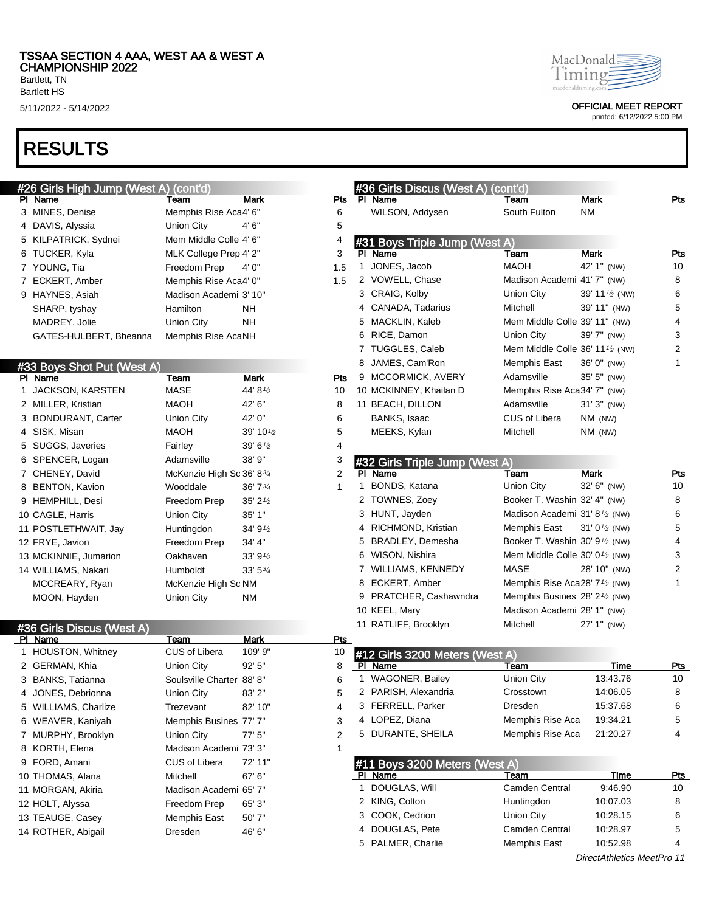Bartlett, TN Bartlett HS

# RESULTS

| MacDonald           |
|---------------------|
| חומודו              |
| macdonaldriming con |

5/11/2022 - 5/14/2022 OFFICIAL MEET REPORT

| #26 Girls High Jump (West A) (cont'd) |                           |                       |              | #36 Girls Discus (West A) (cont'd) |                                                         |                            |            |
|---------------------------------------|---------------------------|-----------------------|--------------|------------------------------------|---------------------------------------------------------|----------------------------|------------|
| <u>PI Name</u>                        | Team                      | Mark                  | Pts          | PI Name                            | Team                                                    | Mark                       | Pts        |
| 3 MINES, Denise                       | Memphis Rise Aca4' 6"     |                       | 6            | WILSON, Addysen                    | South Fulton                                            | <b>NM</b>                  |            |
| 4 DAVIS, Alyssia                      | Union City                | 4'6''                 | 5            |                                    |                                                         |                            |            |
| 5 KILPATRICK, Sydnei                  | Mem Middle Colle 4' 6"    | 4                     |              | #31 Boys Triple Jump (West A)      |                                                         |                            |            |
| 6 TUCKER, Kyla                        | MLK College Prep 4' 2"    |                       | 3            | PI Name                            | Team                                                    | <b>Mark</b>                | Pts        |
| 7 YOUNG, Tia                          | Freedom Prep              | 4'0''                 | 1.5          | 1 JONES, Jacob                     | <b>MAOH</b>                                             | 42' 1" (NW)                | 10         |
| 7 ECKERT, Amber                       | Memphis Rise Aca4' 0"     |                       | 1.5          | 2 VOWELL, Chase                    | Madison Academi 41' 7" (NW)                             |                            | 8          |
| 9 HAYNES, Asiah                       | Madison Academi 3' 10"    |                       |              | 3 CRAIG, Kolby                     | Union City                                              | 39' 11 $\frac{1}{2}$ (NW)  | 6          |
| SHARP, tyshay                         | Hamilton                  | <b>NH</b>             |              | 4 CANADA, Tadarius                 | Mitchell                                                | 39' 11" (NW)               | 5          |
| MADREY, Jolie                         | Union City                | <b>NH</b>             |              | 5 MACKLIN, Kaleb                   | Mem Middle Colle 39' 11" (NW)                           |                            | 4          |
| GATES-HULBERT, Bheanna                | Memphis Rise AcaNH        |                       |              | 6 RICE, Damon                      | Union City                                              | 39' 7" (NW)                | 3          |
|                                       |                           |                       |              | 7 TUGGLES, Caleb                   | Mem Middle Colle 36' 11 $\frac{1}{2}$ (NW)              |                            | 2          |
| #33 Boys Shot Put (West A)            |                           |                       | 8            | JAMES, Cam'Ron                     | Memphis East                                            | 36' 0" (NW)                | 1          |
| PI Name                               | <b>Team</b>               | <b>Mark</b>           | <b>Pts</b>   | 9 MCCORMICK, AVERY                 | Adamsville                                              | 35' 5" (NW)                |            |
| 1 JACKSON, KARSTEN                    | <b>MASE</b>               | 44' 81/2              | 10           | 10 MCKINNEY, Khailan D             | Memphis Rise Aca34' 7" (NW)                             |                            |            |
| 2 MILLER, Kristian                    | <b>MAOH</b>               | 42' 6"                | 8            | 11 BEACH, DILLON                   | Adamsville                                              | $31'3''$ (NW)              |            |
| 3 BONDURANT, Carter                   | Union City                | 42' 0"                | 6            | <b>BANKS, Isaac</b>                | CUS of Libera                                           | NM (NW)                    |            |
| 4 SISK, Misan                         | <b>MAOH</b>               | 39' 101/2             | 5            | MEEKS, Kylan                       | Mitchell                                                | NM (NW)                    |            |
| 5 SUGGS, Javeries                     | Fairley                   | $39'6\%$              | 4            |                                    |                                                         |                            |            |
| 6 SPENCER, Logan                      | Adamsville                | 38' 9"                | 3            | #32 Girls Triple Jump (West A)     |                                                         |                            |            |
| 7 CHENEY, David                       | McKenzie High Sc 36' 834  |                       | 2            | PI Name                            | Team                                                    | <b>Mark</b>                | Pts        |
| 8 BENTON, Kavion                      | Wooddale                  | 36'73/4               | $\mathbf{1}$ | 1 BONDS, Katana                    | Union City                                              | 32' 6" (NW)                | 10         |
| 9 HEMPHILL, Desi                      | Freedom Prep              | $35'$ 2 $\frac{1}{2}$ |              | 2 TOWNES, Zoey                     | Booker T. Washin 32' 4" (NW)                            |                            | 8          |
| 10 CAGLE, Harris                      | Union City                | 35'1"                 |              | 3 HUNT, Jayden                     | Madison Academi 31'8 <sup>1</sup> / <sub>2</sub> (NW)   |                            | 6          |
| 11 POSTLETHWAIT, Jay                  | Huntingdon                | 34' 91/2              |              | 4 RICHMOND, Kristian               | Memphis East                                            | 31' $0\frac{1}{2}$ (NW)    | 5          |
| 12 FRYE, Javion                       | Freedom Prep              | 34' 4"                |              | 5 BRADLEY, Demesha                 | Booker T. Washin 30' 9 <sup>1</sup> / <sub>2</sub> (NW) |                            | 4          |
| 13 MCKINNIE, Jumarion                 | Oakhaven                  | 33'9'' <sub>2</sub>   |              | 6 WISON, Nishira                   | Mem Middle Colle 30' 0 <sup>1</sup> / <sub>2</sub> (NW) |                            | 3          |
| 14 WILLIAMS, Nakari                   | Humboldt                  | $33'5^{3/4}$          |              | 7 WILLIAMS, KENNEDY                | <b>MASE</b>                                             | 28' 10" (NW)               | 2          |
| MCCREARY, Ryan                        | McKenzie High Sc NM       |                       |              | 8 ECKERT, Amber                    | Memphis Rise Aca28' 7 <sup>1</sup> / <sub>2</sub> (NW)  |                            | 1          |
| MOON, Hayden                          | Union City                | ΝM                    |              | 9 PRATCHER, Cashawndra             | Memphis Busines 28' 2 <sup>1</sup> / <sub>2</sub> (NW)  |                            |            |
|                                       |                           |                       |              | 10 KEEL, Mary                      | Madison Academi 28' 1" (NW)                             |                            |            |
| #36 Girls Discus (West A)             |                           |                       |              | 11 RATLIFF, Brooklyn               | Mitchell                                                | 27' 1" (NW)                |            |
| PI Name                               | Team                      | <b>Mark</b>           | Pts          |                                    |                                                         |                            |            |
| 1 HOUSTON, Whitney                    | CUS of Libera             | 109' 9"               | 10           | #12 Girls 3200 Meters (West A)     |                                                         |                            |            |
| 2 GERMAN, Khia                        | Union City                | 92' 5"<br>8           |              | PI Name                            | Team                                                    | <b>Time</b>                | <u>Pts</u> |
| 3 BANKS, Tatianna                     | Soulsville Charter 88' 8" |                       | 6            | 1 WAGONER, Bailey                  | Union City                                              | 13:43.76                   | 10         |
| 4 JONES, Debrionna                    | Union City                | 83' 2"                | 5            | 2 PARISH, Alexandria               | Crosstown                                               | 14:06.05                   | 8          |
| 5 WILLIAMS, Charlize                  | Trezevant                 | 82' 10"               | 4            | 3 FERRELL, Parker                  | Dresden                                                 | 15:37.68                   | 6          |
| 6 WEAVER, Kaniyah                     | Memphis Busines 77' 7"    |                       | 3            | 4 LOPEZ, Diana                     | Memphis Rise Aca                                        | 19:34.21                   | 5          |
| 7 MURPHY, Brooklyn                    | Union City                | 77' 5"                | 2            | 5 DURANTE, SHEILA                  | Memphis Rise Aca                                        | 21:20.27                   | 4          |
| 8 KORTH, Elena                        | Madison Academi 73' 3"    |                       | 1            |                                    |                                                         |                            |            |
| 9 FORD, Amani                         | CUS of Libera             | 72' 11"               |              | #11 Boys 3200 Meters (West A)      |                                                         |                            |            |
| 10 THOMAS, Alana                      | Mitchell                  | 67' 6"                |              | <b>PI</b> Name                     | Team                                                    | <b>Time</b>                | <u>Pts</u> |
| 11 MORGAN, Akiria                     | Madison Academi 65' 7"    |                       |              | 1 DOUGLAS, Will                    | Camden Central                                          | 9:46.90                    | 10         |
| 12 HOLT, Alyssa                       | Freedom Prep              | 65' 3"                |              | 2 KING, Colton                     | Huntingdon                                              | 10:07.03                   | 8          |
| 13 TEAUGE, Casey                      | Memphis East              | 50' 7"                |              | 3 COOK, Cedrion                    | Union City                                              | 10:28.15                   | 6          |
| 14 ROTHER, Abigail                    | Dresden                   | 46' 6"                | 4            | DOUGLAS, Pete                      | Camden Central                                          | 10:28.97                   | 5          |
|                                       |                           |                       |              | 5 PALMER, Charlie                  | Memphis East                                            | 10:52.98                   | 4          |
|                                       |                           |                       |              |                                    |                                                         | DirectAthletics MeetPro 11 |            |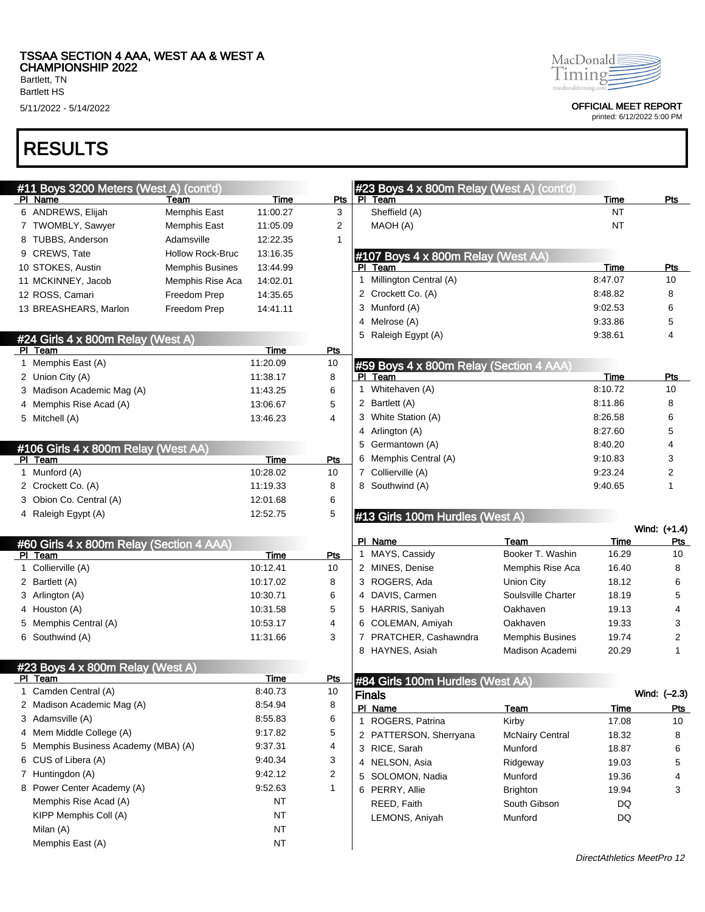Bartlett HS

## RESULTS

| MacDonald           |
|---------------------|
| חווחו               |
| maedonaldrimine com |

5/11/2022 - 5/14/2022 OFFICIAL MEET REPORT

|   | #11 Boys 3200 Meters (West A) (cont'd)              |                         |             |                | #23 Boys 4 x 800m Relay (West A) (cont'd) |                        |           |              |
|---|-----------------------------------------------------|-------------------------|-------------|----------------|-------------------------------------------|------------------------|-----------|--------------|
|   | PI Name                                             | Team                    | Time        | Pts            | PL<br>Team                                |                        | Time      | Pts          |
|   | 6 ANDREWS, Elijah                                   | Memphis East            | 11:00.27    | 3              | Sheffield (A)                             |                        | <b>NT</b> |              |
|   | 7 TWOMBLY, Sawyer                                   | Memphis East            | 11:05.09    | 2              | MAOH (A)                                  |                        | <b>NT</b> |              |
|   | 8 TUBBS, Anderson                                   | Adamsville              | 12:22.35    | 1              |                                           |                        |           |              |
|   | 9 CREWS, Tate                                       | <b>Hollow Rock-Bruc</b> | 13:16.35    |                | #107 Boys 4 x 800m Relay (West AA)        |                        |           |              |
|   | 10 STOKES, Austin                                   | <b>Memphis Busines</b>  | 13:44.99    |                | PI Team                                   |                        | Time      | <b>Pts</b>   |
|   | 11 MCKINNEY, Jacob                                  | Memphis Rise Aca        | 14:02.01    |                | 1 Millington Central (A)                  |                        | 8:47.07   | 10           |
|   | 12 ROSS, Camari                                     | Freedom Prep            | 14:35.65    |                | 2 Crockett Co. (A)                        |                        | 8:48.82   | 8            |
|   | 13 BREASHEARS, Marlon                               | Freedom Prep            | 14:41.11    |                | 3 Munford (A)                             |                        | 9:02.53   | 6            |
|   |                                                     |                         |             |                | 4 Melrose (A)                             |                        | 9:33.86   | 5            |
|   | #24 Girls 4 x 800m Relay (West A)                   |                         |             |                | 5 Raleigh Egypt (A)                       |                        | 9:38.61   | 4            |
|   | PI Team                                             |                         | Time        | Pts            |                                           |                        |           |              |
|   | 1 Memphis East (A)                                  |                         | 11:20.09    | 10             | #59 Boys 4 x 800m Relay (Section 4 AAA)   |                        |           |              |
|   | 2 Union City (A)                                    |                         | 11:38.17    | 8              | Team<br>PI.                               |                        | Time      | Pts          |
|   | 3 Madison Academic Mag (A)                          |                         | 11:43.25    | 6              | 1 Whitehaven (A)                          |                        | 8:10.72   | 10           |
|   | Memphis Rise Acad (A)                               |                         | 13:06.67    | 5              | 2 Bartlett (A)                            |                        | 8:11.86   | 8            |
|   | 5 Mitchell (A)                                      |                         | 13:46.23    | 4              | 3 White Station (A)                       |                        | 8:26.58   | 6            |
|   |                                                     |                         |             |                | 4 Arlington (A)                           |                        | 8:27.60   | 5            |
|   | #106 Girls 4 x 800m Relay (West AA)                 |                         |             |                | 5 Germantown (A)                          |                        | 8:40.20   | 4            |
|   | PI Team                                             |                         | <b>Time</b> | Pts            | Memphis Central (A)                       |                        | 9:10.83   | 3            |
|   | 1 Munford (A)                                       |                         | 10:28.02    | 10             | 7 Collierville (A)                        |                        | 9:23.24   | 2            |
|   | 2 Crockett Co. (A)                                  |                         | 11:19.33    | 8              | 8 Southwind (A)                           |                        | 9:40.65   | 1            |
|   | 3 Obion Co. Central (A)                             |                         | 12:01.68    | 6              |                                           |                        |           |              |
|   | 4 Raleigh Egypt (A)                                 |                         |             |                |                                           |                        |           |              |
|   |                                                     |                         | 12:52.75    | 5              |                                           |                        |           |              |
|   |                                                     |                         |             |                | #13 Girls 100m Hurdles (West A)           |                        |           | Wind: (+1.4) |
|   |                                                     |                         |             |                | PI Name                                   | Team                   | Time      | Pts          |
|   | #60 Girls 4 x 800m Relay (Section 4 AAA)<br>PI Team |                         | Time        | Pts            | 1 MAYS, Cassidy                           | Booker T. Washin       | 16.29     | 10           |
|   | 1 Collierville (A)                                  |                         | 10:12.41    | 10             | 2 MINES, Denise                           | Memphis Rise Aca       | 16.40     | 8            |
|   | 2 Bartlett (A)                                      |                         | 10:17.02    | 8              | 3 ROGERS, Ada                             | Union City             | 18.12     | 6            |
|   | 3 Arlington (A)                                     |                         | 10:30.71    | 6              | 4 DAVIS, Carmen                           | Soulsville Charter     | 18.19     | 5            |
|   | 4 Houston (A)                                       |                         | 10:31.58    | 5              | 5 HARRIS, Saniyah                         | Oakhaven               | 19.13     | 4            |
|   | Memphis Central (A)                                 |                         | 10:53.17    | 4              | 6 COLEMAN, Amiyah                         | Oakhaven               | 19.33     | 3            |
|   | 6 Southwind (A)                                     |                         | 11:31.66    | 3              | 7 PRATCHER, Cashawndra                    | <b>Memphis Busines</b> | 19.74     | 2            |
|   |                                                     |                         |             |                | 8 HAYNES, Asiah                           | Madison Academi        | 20.29     | 1            |
|   |                                                     |                         |             |                |                                           |                        |           |              |
|   | #23 Boys 4 x 800m Relay (West A)<br>PI Team         |                         | <b>Time</b> | <u>Pts</u>     | #84 Girls 100m Hurdles (West AA)          |                        |           |              |
|   | 1 Camden Central (A)                                |                         | 8:40.73     | 10             | <b>Finals</b>                             |                        |           | Wind: (-2.3) |
|   | 2 Madison Academic Mag (A)                          |                         | 8:54.94     | 8              | PI Name                                   | Team                   | Time      | Pts          |
|   | 3 Adamsville (A)                                    |                         | 8:55.83     | 6              | 1 ROGERS, Patrina                         | Kirby                  | 17.08     | 10           |
|   | 4 Mem Middle College (A)                            |                         | 9:17.82     | 5              | 2 PATTERSON, Sherryana                    | <b>McNairy Central</b> | 18.32     | 8            |
| 5 | Memphis Business Academy (MBA) (A)                  |                         | 9:37.31     | 4              | 3 RICE, Sarah                             | Munford                | 18.87     | 6            |
|   | 6 CUS of Libera (A)                                 |                         | 9:40.34     | 3              | 4 NELSON, Asia                            | Ridgeway               | 19.03     | 5            |
|   | 7 Huntingdon (A)                                    |                         | 9:42.12     | $\overline{2}$ | 5 SOLOMON, Nadia                          | Munford                | 19.36     | 4            |
|   | 8 Power Center Academy (A)                          |                         | 9:52.63     | $\mathbf{1}$   | 6 PERRY, Allie                            | <b>Brighton</b>        | 19.94     | 3            |
|   | Memphis Rise Acad (A)                               |                         | NT          |                | REED, Faith                               | South Gibson           | DQ        |              |
|   | KIPP Memphis Coll (A)                               |                         | <b>NT</b>   |                | LEMONS, Aniyah                            | Munford                | DQ        |              |
|   | Milan (A)                                           |                         | <b>NT</b>   |                |                                           |                        |           |              |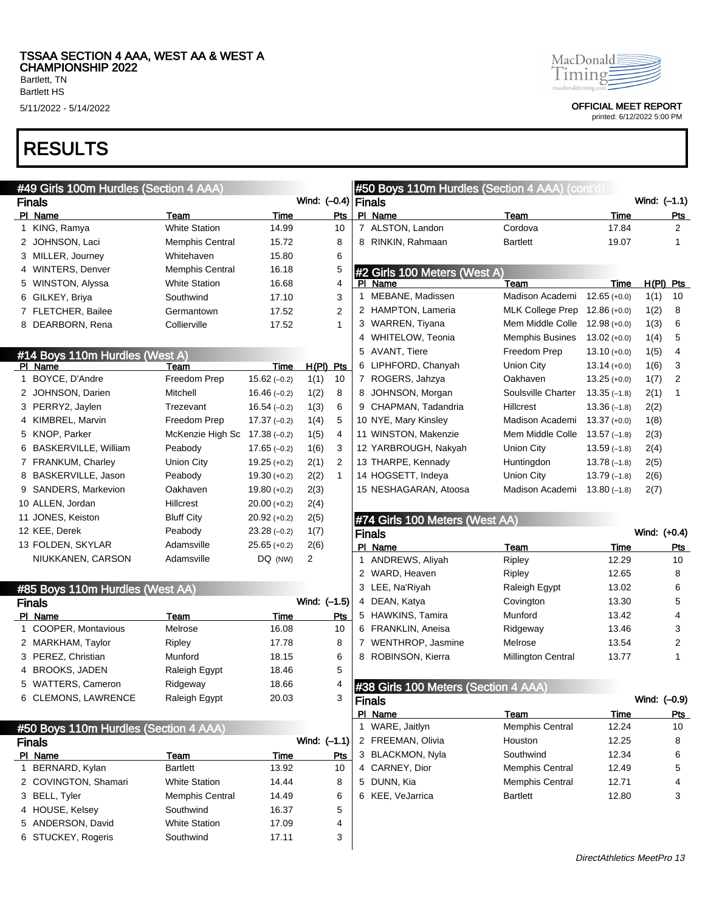Bartlett, TN Bartlett HS

## RESULTS

### #49 Girls 100m Hurdles (Section 4 AAA)

|   | <b>Finals</b>      |                        | Wind: |     |  |
|---|--------------------|------------------------|-------|-----|--|
|   | PI Name            | Team                   | Time  | Pts |  |
|   | 1 KING, Ramya      | <b>White Station</b>   | 14.99 | 10  |  |
|   | 2 JOHNSON, Laci    | <b>Memphis Central</b> | 15.72 | 8   |  |
|   | 3 MILLER, Journey  | Whitehaven             | 15.80 | 6   |  |
|   | 4 WINTERS, Denver  | <b>Memphis Central</b> | 16.18 | 5   |  |
|   | 5 WINSTON, Alyssa  | <b>White Station</b>   | 16.68 | 4   |  |
| 6 | GILKEY, Briya      | Southwind              | 17.10 | 3   |  |
|   | 7 FLETCHER, Bailee | Germantown             | 17.52 | 2   |  |
| 8 | DEARBORN, Rena     | Collierville           | 17.52 |     |  |

### #14 Boys 110m Hurdles (West A)

| PI | Name                        | Team              | Time           | H(PI) | Pts |
|----|-----------------------------|-------------------|----------------|-------|-----|
| 1  | BOYCE, D'Andre              | Freedom Prep      | $15.62(-0.2)$  | 1(1)  | 10  |
| 2  | JOHNSON, Darien             | Mitchell          | $16.46(-0.2)$  | 1(2)  | 8   |
|    | 3 PERRY2, Jaylen            | Trezevant         | $16.54(-0.2)$  | 1(3)  | 6   |
| 4  | KIMBREL, Marvin             | Freedom Prep      | $17.37(-0.2)$  | 1(4)  | 5   |
|    | 5 KNOP, Parker              | McKenzie High Sc  | $17.38(-0.2)$  | 1(5)  | 4   |
| 6  | <b>BASKERVILLE, William</b> | Peabody           | $17.65(-0.2)$  | 1(6)  | 3   |
| 7  | <b>FRANKUM, Charley</b>     | <b>Union City</b> | $19.25 (+0.2)$ | 2(1)  | 2   |
| 8  | BASKERVILLE, Jason          | Peabody           | $19.30 (+0.2)$ | 2(2)  | 1   |
|    | 9 SANDERS, Markevion        | Oakhaven          | $19.80 (+0.2)$ | 2(3)  |     |
|    | 10 ALLEN, Jordan            | <b>Hillcrest</b>  | $20.00 (+0.2)$ | 2(4)  |     |
|    | 11 JONES, Keiston           | <b>Bluff City</b> | $20.92 (+0.2)$ | 2(5)  |     |
|    | 12 KEE, Derek               | Peabody           | $23.28(-0.2)$  | 1(7)  |     |
|    | 13 FOLDEN, SKYLAR           | Adamsville        | $25.65 (+0.2)$ | 2(6)  |     |
|    | NIUKKANEN, CARSON           | Adamsville        | DQ (NW)        | 2     |     |

|    | #85 Boys 110m Hurdles (West AA) |                      |       |     |  |  |  |  |
|----|---------------------------------|----------------------|-------|-----|--|--|--|--|
|    | Wind: $(-1.5)$<br><b>Finals</b> |                      |       |     |  |  |  |  |
|    | PI Name                         | Team                 | Time  | Pts |  |  |  |  |
| 1  | COOPER, Montavious              | Melrose              | 16.08 | 10  |  |  |  |  |
|    | 2 MARKHAM, Taylor               | Ripley               | 17.78 | 8   |  |  |  |  |
|    | 3 PEREZ, Christian              | Munford              | 18.15 | 6   |  |  |  |  |
|    | 4 BROOKS, JADEN                 | Raleigh Egypt        | 18.46 | 5   |  |  |  |  |
| 5. | <b>WATTERS, Cameron</b>         | Ridgeway             | 18.66 | 4   |  |  |  |  |
| 6  | <b>CLEMONS, LAWRENCE</b>        | <b>Raleigh Egypt</b> | 20.03 | 3   |  |  |  |  |

### #50 Boys 110m Hurdles (Section 4 AAA)

| <b>Finals</b>        |                        | Wind: $(-1.1)$ |     |
|----------------------|------------------------|----------------|-----|
| PI Name              | Team                   | Time           | Pts |
| 1 BERNARD, Kylan     | <b>Bartlett</b>        | 13.92          | 10  |
| 2 COVINGTON, Shamari | <b>White Station</b>   | 14.44          | 8   |
| 3 BELL, Tyler        | <b>Memphis Central</b> | 14.49          | 6   |
| 4 HOUSE, Kelsey      | Southwind              | 16.37          | 5   |
| 5 ANDERSON, David    | <b>White Station</b>   | 17.09          | 4   |
| 6 STUCKEY, Rogeris   | Southwind              | 17.11          | 3   |
|                      |                        |                |     |

#### MacDonald Timing macdonaldtimi

5/11/2022 - 5/14/2022 OFFICIAL MEET REPORT

printed: 6/12/2022 5:00 PM

|    | #50 Boys 110m Hurdles (Section 4 AAA) (cont'd) |                         |                |              |                |  |  |  |
|----|------------------------------------------------|-------------------------|----------------|--------------|----------------|--|--|--|
|    | Finals                                         |                         |                | Wind: (-1.1) |                |  |  |  |
| ΡI | Name                                           | Team                    | Time           |              | Pts            |  |  |  |
| 7  | ALSTON, Landon                                 | Cordova                 | 17.84          |              | 2              |  |  |  |
| 8  | RINKIN, Rahmaan                                | <b>Bartlett</b>         | 19.07          |              | 1              |  |  |  |
|    |                                                |                         |                |              |                |  |  |  |
| PI | #2 Girls 100 Meters (West A)<br>Name           | Team                    | Time           | H(PI)        | Pts            |  |  |  |
| 1  | MEBANE, Madissen                               | Madison Academi         | $12.65 (+0.0)$ | 1(1)         | 10             |  |  |  |
| 2  | HAMPTON, Lameria                               | <b>MLK College Prep</b> | $12.86(+0.0)$  | 1(2)         | 8              |  |  |  |
| 3  | WARREN, Tiyana                                 | Mem Middle Colle        | $12.98(+0.0)$  | 1(3)         | 6              |  |  |  |
| 4  | WHITELOW, Teonia                               | <b>Memphis Busines</b>  | $13.02 (+0.0)$ | 1(4)         | 5              |  |  |  |
| 5  | <b>AVANT, Tiere</b>                            | Freedom Prep            | $13.10 (+0.0)$ | 1(5)         | 4              |  |  |  |
| 6  | LIPHFORD, Chanyah                              | Union City              | $13.14 (+0.0)$ | 1(6)         | 3              |  |  |  |
| 7  | ROGERS, Jahzya                                 | Oakhaven                | $13.25 (+0.0)$ | 1(7)         | $\overline{2}$ |  |  |  |
| 8  | JOHNSON, Morgan                                | Soulsville Charter      | $13.35(-1.8)$  | 2(1)         | 1              |  |  |  |
| 9  | CHAPMAN, Tadandria                             | <b>Hillcrest</b>        | $13.36(-1.8)$  | 2(2)         |                |  |  |  |
|    | 10 NYE, Mary Kinsley                           | Madison Academi         | $13.37 (+0.0)$ | 1(8)         |                |  |  |  |
|    | 11 WINSTON, Makenzie                           | Mem Middle Colle        | $13.57(-1.8)$  | 2(3)         |                |  |  |  |
|    | 12 YARBROUGH, Nakyah                           | Union City              | $13.59(-1.8)$  | 2(4)         |                |  |  |  |
|    | 13 THARPE, Kennady                             | Huntingdon              | $13.78(-1.8)$  | 2(5)         |                |  |  |  |
|    | 14 HOGSETT, Indeya                             | Union City              | $13.79(-1.8)$  | 2(6)         |                |  |  |  |
|    | 15 NESHAGARAN, Atoosa                          | Madison Academi         | $13.80(-1.8)$  | 2(7)         |                |  |  |  |
|    |                                                |                         |                |              |                |  |  |  |

### #74 Girls 100 Meters (West AA)

|   | <b>Finals</b>       |                           |       | Wind: (+0.4) |
|---|---------------------|---------------------------|-------|--------------|
|   | PI Name             | Team                      | Time  | Pts          |
|   | 1 ANDREWS, Aliyah   | Ripley                    | 12.29 | 10           |
|   | 2 WARD, Heaven      | Ripley                    | 12.65 | 8            |
|   | 3 LEE, Na'Riyah     | Raleigh Egypt             | 13.02 | 6            |
|   | 4 DEAN, Katya       | Covington                 | 13.30 | 5            |
|   | 5 HAWKINS, Tamira   | Munford                   | 13.42 | 4            |
|   | 6 FRANKLIN, Aneisa  | Ridgeway                  | 13.46 | 3            |
|   | 7 WENTHROP, Jasmine | Melrose                   | 13.54 | 2            |
| 8 | ROBINSON, Kierra    | <b>Millington Central</b> | 13.77 | 1            |

### #38 Girls 100 Meters (Section 4 AAA)

|    | Finals            |                        | Wind: (-0.9) |     |
|----|-------------------|------------------------|--------------|-----|
| ΡI | Name              | Team                   | Time         | Pts |
|    | 1 WARE, Jaitlyn   | <b>Memphis Central</b> | 12.24        | 10  |
|    | 2 FREEMAN, Olivia | Houston                | 12.25        | 8   |
|    | 3 BLACKMON, Nyla  | Southwind              | 12.34        | 6   |
|    | 4 CARNEY, Dior    | <b>Memphis Central</b> | 12.49        | 5   |
|    | 5 DUNN, Kia       | <b>Memphis Central</b> | 12.71        | 4   |
|    | 6 KEE, VeJarrica  | <b>Bartlett</b>        | 12.80        | 3   |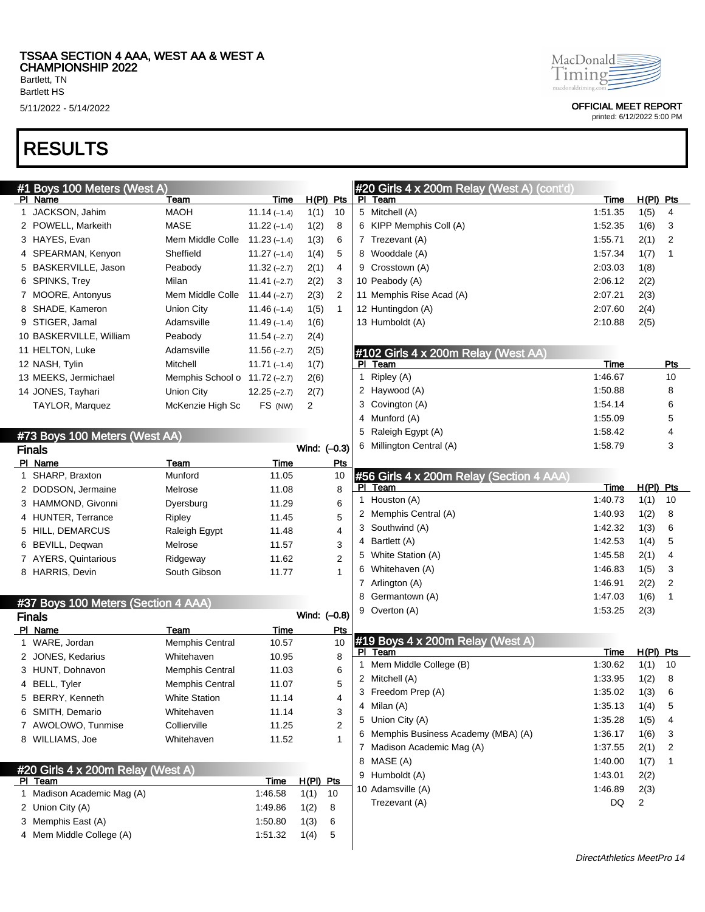Bartlett HS

# RESULTS

| #1 Boys 100 Meters (West A)         |                                                  |                      |              |                  |              | <b>#20 Girls 4 x 200m Relay (West A) (cont'd)</b> |             |             |                |
|-------------------------------------|--------------------------------------------------|----------------------|--------------|------------------|--------------|---------------------------------------------------|-------------|-------------|----------------|
| PI Name                             | Team                                             | Time                 |              | $H(PI)$ Pts      |              | PI Team                                           | <b>Time</b> | $H(PI)$ Pts |                |
| 1 JACKSON, Jahim                    | <b>MAOH</b>                                      | $11.14(-1.4)$        | 1(1)         | 10               |              | 5 Mitchell (A)                                    | 1:51.35     | 1(5)        | 4              |
| 2 POWELL, Markeith                  | <b>MASE</b>                                      | $11.22(-1.4)$        | 1(2)         | 8                |              | 6 KIPP Memphis Coll (A)                           | 1:52.35     | 1(6)        | 3              |
| 3 HAYES, Evan                       | Mem Middle Colle                                 | $11.23(-1.4)$        | 1(3)         | 6                |              | 7 Trezevant (A)                                   | 1:55.71     | 2(1)        | $\overline{2}$ |
| 4 SPEARMAN, Kenyon                  | Sheffield                                        | $11.27(-1.4)$        | 1(4)         | 5                |              | 8 Wooddale (A)                                    | 1:57.34     | 1(7)        | 1              |
| 5 BASKERVILLE, Jason                | Peabody                                          | $11.32(-2.7)$        | 2(1)         | 4                |              | 9 Crosstown (A)                                   | 2:03.03     | 1(8)        |                |
| 6 SPINKS, Trey                      | Milan                                            | $11.41(-2.7)$        | 2(2)         | 3                |              | 10 Peabody (A)                                    | 2:06.12     | 2(2)        |                |
| 7 MOORE, Antonyus                   | Mem Middle Colle                                 | $11.44(-2.7)$        | 2(3)         | $\overline{2}$   |              | 11 Memphis Rise Acad (A)                          | 2:07.21     | 2(3)        |                |
| 8 SHADE, Kameron                    | <b>Union City</b>                                | $11.46(-1.4)$        | 1(5)         | $\mathbf{1}$     |              | 12 Huntingdon (A)                                 | 2:07.60     | 2(4)        |                |
| 9 STIGER, Jamal                     | Adamsville                                       | $11.49(-1.4)$        | 1(6)         |                  |              | 13 Humboldt (A)                                   | 2:10.88     | 2(5)        |                |
| 10 BASKERVILLE, William             | Peabody                                          | $11.54(-2.7)$        | 2(4)         |                  |              |                                                   |             |             |                |
| 11 HELTON, Luke                     | Adamsville                                       | $11.56(-2.7)$        | 2(5)         |                  |              | #102 Girls 4 x 200m Relay (West AA)               |             |             |                |
| 12 NASH, Tylin                      | Mitchell                                         | $11.71(-1.4)$        | 1(7)         |                  |              | PI Team                                           | Time        |             | <u>Pts</u>     |
| 13 MEEKS, Jermichael                | Memphis School o $11.72$ (-2.7)                  |                      | 2(6)         |                  |              | 1 Ripley (A)                                      | 1:46.67     |             | 10             |
| 14 JONES, Tayhari                   | <b>Union City</b>                                | $12.25(-2.7)$        | 2(7)         |                  |              | 2 Haywood (A)                                     | 1:50.88     |             | 8              |
| TAYLOR, Marquez                     | McKenzie High Sc                                 | FS (NW)              | 2            |                  |              | 3 Covington (A)                                   | 1:54.14     |             | 6              |
|                                     |                                                  |                      |              |                  |              | 4 Munford (A)                                     | 1:55.09     |             | 5              |
| #73 Boys 100 Meters (West AA)       |                                                  |                      |              |                  |              | 5 Raleigh Egypt (A)                               | 1:58.42     |             | 4              |
| <b>Finals</b>                       |                                                  |                      | Wind: (-0.3) |                  |              | 6 Millington Central (A)                          | 1:58.79     |             | 3              |
| PI Name                             | Team                                             | Time                 |              | Pts              |              |                                                   |             |             |                |
| 1 SHARP, Braxton                    | Munford                                          | 11.05                |              | 10               |              | #56 Girls 4 x 200m Relay (Section 4 AAA)          |             |             |                |
| 2 DODSON, Jermaine                  | Melrose                                          | 11.08                |              | 8                |              | PI Team                                           | Time        | $H(PI)$ Pts |                |
| 3 HAMMOND, Givonni                  | Dyersburg                                        | 11.29                |              | 6                |              | 1 Houston (A)                                     | 1:40.73     | 1(1)        | 10             |
| 4 HUNTER, Terrance                  | Ripley                                           | 11.45                |              | 5                |              | 2 Memphis Central (A)                             | 1:40.93     | 1(2)        | 8              |
| 5 HILL, DEMARCUS                    | Raleigh Egypt                                    | 11.48                |              | 4                |              | 3 Southwind (A)                                   | 1:42.32     | 1(3)        | 6              |
| 6 BEVILL, Deqwan                    | Melrose                                          | 11.57                |              | 3                |              | 4 Bartlett (A)                                    | 1:42.53     | 1(4)        | 5              |
| 7 AYERS, Quintarious                | Ridgeway                                         | 11.62                |              | $\overline{2}$   |              | 5 White Station (A)                               | 1:45.58     | 2(1)        | 4              |
| 8 HARRIS, Devin                     | South Gibson                                     | 11.77                |              | 1                |              | 6 Whitehaven (A)                                  | 1:46.83     | 1(5)        | 3              |
|                                     |                                                  |                      |              |                  |              | 7 Arlington (A)                                   | 1:46.91     | 2(2)        | $\overline{2}$ |
|                                     |                                                  |                      |              |                  |              | 8 Germantown (A)                                  | 1:47.03     | 1(6)        | 1              |
| #37 Boys 100 Meters (Section 4 AAA) |                                                  |                      | Wind: (-0.8) |                  |              | 9 Overton (A)                                     | 1:53.25     | 2(3)        |                |
| <b>Finals</b>                       |                                                  |                      |              |                  |              |                                                   |             |             |                |
| PI Name<br>1 WARE, Jordan           | Team<br><b>Memphis Central</b>                   | <b>Time</b><br>10.57 |              | <b>Pts</b><br>10 |              | #19 Boys 4 x 200m Relay (West A)                  |             |             |                |
| 2 JONES, Kedarius                   | Whitehaven                                       | 10.95                |              | 8                |              | PI Team                                           | Time        | $H(PI)$ Pts |                |
| 3 HUNT, Dohnavon                    |                                                  | 11.03                |              |                  | $\mathbf{1}$ | Mem Middle College (B)                            | 1:30.62     | 1(1)        | 10             |
|                                     | <b>Memphis Central</b><br><b>Memphis Central</b> | 11.07                |              | 6<br>5           |              | 2 Mitchell (A)                                    | 1:33.95     | 1(2)        | 8              |
| 4 BELL, Tyler                       |                                                  |                      |              | 4                |              | 3 Freedom Prep (A)                                | 1:35.02     | 1(3)        | 6              |
| 5 BERRY, Kenneth                    | <b>White Station</b>                             | 11.14                |              |                  |              | 4 Milan (A)                                       | 1:35.13     | 1(4)        | 5              |
| 6 SMITH, Demario                    | Whitehaven                                       | 11.14                |              | 3                |              | 5 Union City (A)                                  | 1:35.28     | 1(5)        | 4              |
| 7 AWOLOWO, Tunmise                  | Collierville                                     | 11.25                |              | 2                |              | 6 Memphis Business Academy (MBA) (A)              | 1:36.17     | 1(6)        | 3              |
| 8 WILLIAMS, Joe                     | Whitehaven                                       | 11.52                |              | 1                |              | 7 Madison Academic Mag (A)                        | 1:37.55     | 2(1)        | 2              |
|                                     |                                                  |                      |              |                  |              | 8 MASE (A)                                        | 1:40.00     | 1(7)        | 1              |
| #20 Girls 4 x 200m Relay (West A)   |                                                  |                      |              |                  |              | 9 Humboldt (A)                                    | 1:43.01     | 2(2)        |                |
| <u>PI Team</u>                      |                                                  | Time                 | $H(PI)$ Pts  |                  |              | 10 Adamsville (A)                                 | 1:46.89     | 2(3)        |                |
| 1 Madison Academic Mag (A)          |                                                  | 1:46.58              | 1(1)         | 10               |              | Trezevant (A)                                     | DQ          | 2           |                |
| 2 Union City (A)                    |                                                  | 1:49.86              | 1(2)         | 8                |              |                                                   |             |             |                |
| 3 Memphis East (A)                  |                                                  | 1:50.80              | 1(3)         | 6                |              |                                                   |             |             |                |
| 4 Mem Middle College (A)            |                                                  | 1:51.32              | 1(4)         | 5                |              |                                                   |             |             |                |
|                                     |                                                  |                      |              |                  |              |                                                   |             |             |                |



5/11/2022 - 5/14/2022 OFFICIAL MEET REPORT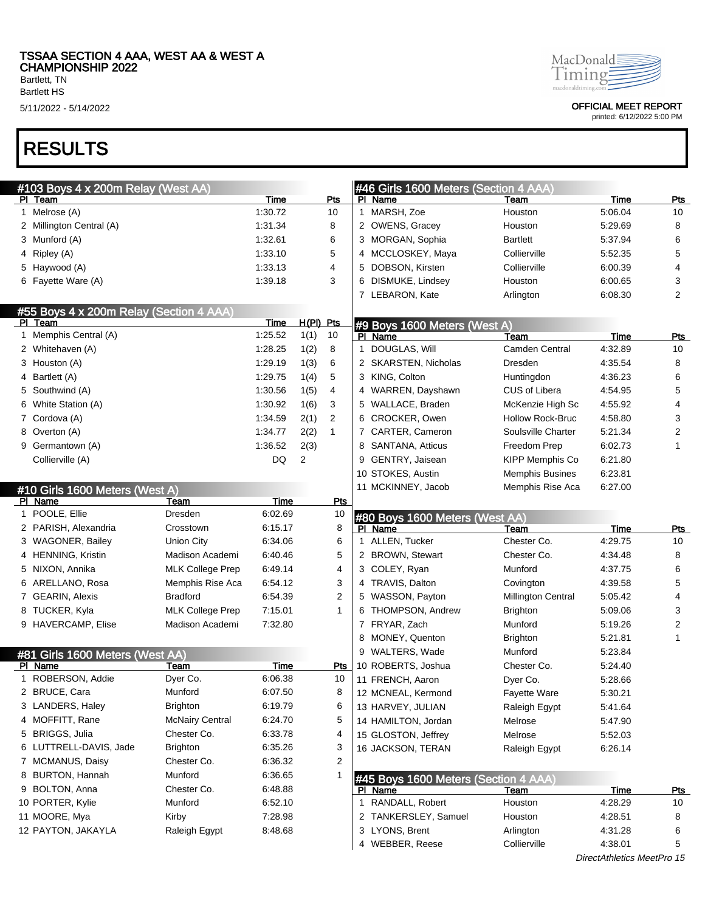Bartlett, TN Bartlett HS

# RESULTS

|   | #103 Boys 4 x 200m Relay (West AA)      |                         |             |           |                | #46 Girls 1600 Meters (Section 4 AAA) |                           |                    |                |
|---|-----------------------------------------|-------------------------|-------------|-----------|----------------|---------------------------------------|---------------------------|--------------------|----------------|
|   | PI Team                                 |                         | Time        |           | Pts            | PI Name                               | Team                      | <b>Time</b>        | <b>Pts</b>     |
|   | 1 Melrose (A)                           |                         | 1:30.72     |           | 10             | 1 MARSH, Zoe                          | Houston                   | 5:06.04            | 10             |
|   | 2 Millington Central (A)                |                         | 1.31.34     |           | 8              | 2 OWENS, Gracey                       | Houston                   | 5:29.69            | 8              |
|   | 3 Munford (A)                           |                         | 1:32.61     |           | 6              | 3 MORGAN, Sophia                      | Bartlett                  | 5:37.94            | 6              |
|   | 4 Ripley (A)                            |                         | 1:33.10     |           | 5              | 4 MCCLOSKEY, Maya                     | Collierville              | 5:52.35            | 5              |
|   | 5 Haywood (A)                           |                         | 1.33.13     |           | 4              | 5 DOBSON, Kirsten                     | Collierville              | 6:00.39            | 4              |
|   | 6 Fayette Ware (A)                      |                         | 1:39.18     |           | 3              | 6 DISMUKE, Lindsey                    | Houston                   | 6:00.65            | 3              |
|   |                                         |                         |             |           |                | 7 LEBARON, Kate                       | Arlington                 | 6:08.30            | $\overline{2}$ |
|   | #55 Boys 4 x 200m Relay (Section 4 AAA) |                         |             |           |                |                                       |                           |                    |                |
|   | PI Team                                 |                         | <b>Time</b> | H(PI) Pts |                | #9 Boys 1600 Meters (West A)          |                           |                    |                |
|   | 1 Memphis Central (A)                   |                         | 1:25.52     | 1(1)      | 10             | PI Name                               | Team                      | Time               | <b>Pts</b>     |
|   | 2 Whitehaven (A)                        |                         | 1:28.25     | 1(2)      | 8              | 1 DOUGLAS, Will                       | Camden Central            | 4:32.89            | 10             |
|   | 3 Houston (A)                           |                         | 1:29.19     | 1(3)      | 6              | 2 SKARSTEN, Nicholas                  | Dresden                   | 4:35.54            | 8              |
|   | 4 Bartlett (A)                          |                         | 1:29.75     | 1(4)      | 5              | 3 KING, Colton                        | Huntingdon                | 4:36.23            | 6              |
|   | 5 Southwind (A)                         |                         | 1:30.56     | 1(5)      | 4              | 4 WARREN, Dayshawn                    | CUS of Libera             | 4:54.95            | 5              |
|   | 6 White Station (A)                     |                         | 1:30.92     | 1(6)      | 3              | 5 WALLACE, Braden                     | McKenzie High Sc          | 4:55.92            | 4              |
|   | 7 Cordova (A)                           |                         | 1:34.59     | 2(1)      | $\overline{2}$ | 6 CROCKER, Owen                       | <b>Hollow Rock-Bruc</b>   | 4:58.80            | 3              |
|   | 8 Overton (A)                           |                         | 1:34.77     | 2(2)      | $\mathbf{1}$   | 7 CARTER, Cameron                     | Soulsville Charter        | 5:21.34            | $\overline{c}$ |
| 9 | Germantown (A)                          |                         | 1:36.52     | 2(3)      |                | SANTANA, Atticus<br>8                 | Freedom Prep              | 6:02.73            | 1              |
|   | Collierville (A)                        |                         | DQ          | 2         |                | 9 GENTRY, Jaisean                     | <b>KIPP Memphis Co</b>    | 6:21.80            |                |
|   |                                         |                         |             |           |                | 10 STOKES, Austin                     | <b>Memphis Busines</b>    | 6:23.81            |                |
|   | #10 Girls 1600 Meters (West A)          |                         |             |           |                | 11 MCKINNEY, Jacob                    | Memphis Rise Aca          | 6:27.00            |                |
|   | PI Name                                 | Team                    | Time        |           | Pts            |                                       |                           |                    |                |
|   | 1 POOLE, Ellie                          | Dresden                 | 6:02.69     |           | 10             | #80 Boys 1600 Meters (West AA)        |                           |                    |                |
|   | 2 PARISH, Alexandria                    | Crosstown               | 6:15.17     |           | 8              | PI Name                               | Team                      | Time               | Pts            |
|   |                                         |                         |             |           |                |                                       |                           |                    |                |
|   |                                         |                         |             |           |                |                                       |                           |                    |                |
|   | 3 WAGONER, Bailey                       | Union City              | 6:34.06     |           | 6              | 1 ALLEN, Tucker                       | Chester Co.               | 4:29.75            | 10             |
|   | 4 HENNING, Kristin                      | Madison Academi         | 6:40.46     |           | 5              | 2 BROWN, Stewart                      | Chester Co.               | 4:34.48            | 8              |
|   | 5 NIXON, Annika                         | <b>MLK College Prep</b> | 6:49.14     |           | 4              | 3 COLEY, Ryan                         | Munford                   | 4:37.75            | 6              |
|   | 6 ARELLANO, Rosa                        | Memphis Rise Aca        | 6:54.12     |           | 3              | 4 TRAVIS, Dalton                      | Covington                 | 4:39.58            | 5              |
|   | 7 GEARIN, Alexis                        | <b>Bradford</b>         | 6:54.39     |           | 2              | 5 WASSON, Payton                      | <b>Millington Central</b> | 5:05.42            | 4              |
|   | 8 TUCKER, Kyla                          | <b>MLK College Prep</b> | 7:15.01     |           | $\mathbf{1}$   | <b>THOMPSON, Andrew</b><br>6          | <b>Brighton</b>           | 5:09.06            | 3              |
|   | 9 HAVERCAMP, Elise                      | Madison Academi         | 7:32.80     |           |                | 7 FRYAR, Zach                         | Munford                   | 5:19.26            | $\overline{c}$ |
|   |                                         |                         |             |           |                | MONEY, Quenton<br>8                   | <b>Brighton</b>           | 5:21.81            | 1              |
|   | #81 Girls 1600 Meters (West AA)         |                         |             |           |                | 9 WALTERS, Wade                       | Munford                   | 5:23.84            |                |
|   | PI Name                                 | Team                    | Time        |           | Pts            | 10 ROBERTS, Joshua                    | Chester Co.               | 5:24.40            |                |
|   | 1 ROBERSON, Addie                       | Dyer Co.                | 6:06.38     |           | 10             | 11 FRENCH, Aaron                      | Dyer Co.                  | 5:28.66            |                |
|   | 2 BRUCE, Cara                           | Munford                 | 6:07.50     |           | 8              | 12 MCNEAL, Kermond                    | Fayette Ware              | 5:30.21            |                |
|   | 3 LANDERS, Haley                        | <b>Brighton</b>         | 6:19.79     |           | 6              | 13 HARVEY, JULIAN                     | Raleigh Egypt             | 5:41.64            |                |
|   | 4 MOFFITT, Rane                         | <b>McNairy Central</b>  | 6:24.70     |           | 5              | 14 HAMILTON, Jordan                   | Melrose                   | 5:47.90            |                |
|   | 5 BRIGGS, Julia                         | Chester Co.             | 6:33.78     |           | 4              | 15 GLOSTON, Jeffrey                   | Melrose                   | 5:52.03            |                |
|   | 6 LUTTRELL-DAVIS, Jade                  | <b>Brighton</b>         | 6:35.26     |           | 3              | 16 JACKSON, TERAN                     | Raleigh Egypt             | 6:26.14            |                |
|   | 7 MCMANUS, Daisy                        | Chester Co.             | 6:36.32     |           | 2              |                                       |                           |                    |                |
|   | 8 BURTON, Hannah                        | Munford                 | 6:36.65     |           |                | #45 Boys 1600 Meters (Section 4 AAA)  |                           |                    |                |
|   | 9 BOLTON, Anna                          | Chester Co.             | 6:48.88     |           |                | PI Name                               | Team                      | <u>Time</u>        | <u>Pts</u>     |
|   | 10 PORTER, Kylie                        | Munford                 | 6:52.10     |           |                | 1 RANDALL, Robert                     | Houston                   | 4:28.29            | 10             |
|   | 11 MOORE, Mya                           | Kirby                   | 7:28.98     |           |                | 2 TANKERSLEY, Samuel                  | Houston                   | 4:28.51            | 8              |
|   | 12 PAYTON, JAKAYLA                      | Raleigh Egypt           | 8:48.68     |           |                | 3 LYONS, Brent<br>4 WEBBER, Reese     | Arlington<br>Collierville | 4:31.28<br>4:38.01 | 6<br>5         |



5/11/2022 - 5/14/2022 OFFICIAL MEET REPORT

printed: 6/12/2022 5:00 PM

DirectAthletics MeetPro 15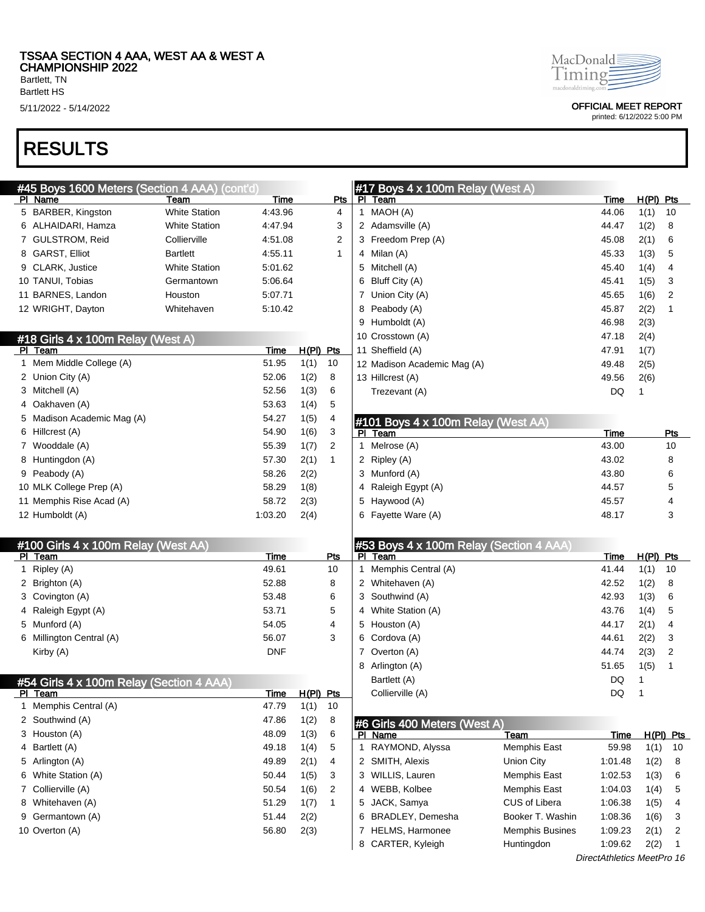Bartlett, TN Bartlett HS

# RESULTS

| MacDonald           |  |
|---------------------|--|
| amin                |  |
| macdonaldriming cor |  |

5/11/2022 - 5/14/2022 OFFICIAL MEET REPORT

|              | #45 Boys 1600 Meters (Section 4 AAA) (cont'd) |                      |             |                  |                |     | #17 Boys 4 x 100m Relay (West A)            |             |              |             |
|--------------|-----------------------------------------------|----------------------|-------------|------------------|----------------|-----|---------------------------------------------|-------------|--------------|-------------|
|              | PI Name                                       | Team                 | Time        |                  | Pts            |     | PI Team                                     | Time        | $H(PI)$ Pts  |             |
|              | 5 BARBER, Kingston                            | <b>White Station</b> | 4:43.96     |                  | 4              |     | 1 MAOH (A)                                  | 44.06       | 1(1)         | 10          |
|              | 6 ALHAIDARI, Hamza                            | <b>White Station</b> | 4.47.94     |                  | 3              |     | 2 Adamsville (A)                            | 44.47       | 1(2)         | 8           |
|              | 7 GULSTROM, Reid                              | Collierville         | 4:51.08     |                  | 2              |     | 3 Freedom Prep (A)                          | 45.08       | 2(1)         | 6           |
|              | 8 GARST, Elliot                               | <b>Bartlett</b>      | 4:55.11     |                  | 1              |     | 4 Milan (A)                                 | 45.33       | 1(3)         | 5           |
|              | 9 CLARK, Justice                              | <b>White Station</b> | 5:01.62     |                  |                |     | 5 Mitchell (A)                              | 45.40       | 1(4)         | 4           |
|              | 10 TANUI, Tobias                              | Germantown           | 5:06.64     |                  |                | 6   | Bluff City (A)                              | 45.41       | 1(5)         | 3           |
|              | 11 BARNES, Landon                             | Houston              | 5:07.71     |                  |                |     | 7 Union City (A)                            | 45.65       | 1(6)         | 2           |
|              | 12 WRIGHT, Dayton                             | Whitehaven           | 5:10.42     |                  |                | 8   | Peabody (A)                                 | 45.87       | 2(2)         | 1           |
|              |                                               |                      |             |                  |                | 9   | Humboldt (A)                                | 46.98       | 2(3)         |             |
|              | #18 Girls 4 x 100m Relay (West A)             |                      |             |                  |                |     | 10 Crosstown (A)                            | 47.18       | 2(4)         |             |
|              | PI Team                                       |                      | Time        | $H(PI)$ Pts      |                |     | 11 Sheffield (A)                            | 47.91       | 1(7)         |             |
|              | 1 Mem Middle College (A)                      |                      | 51.95       | 1(1)             | 10             |     | 12 Madison Academic Mag (A)                 | 49.48       | 2(5)         |             |
|              | 2 Union City (A)                              |                      | 52.06       | 1(2)             | 8              |     | 13 Hillcrest (A)                            | 49.56       | 2(6)         |             |
|              | 3 Mitchell (A)                                |                      | 52.56       | 1(3)             | 6              |     | Trezevant (A)                               | DQ          | 1            |             |
|              | 4 Oakhaven (A)                                |                      | 53.63       | 1(4)             | 5              |     |                                             |             |              |             |
|              | 5 Madison Academic Mag (A)                    |                      | 54.27       | 1(5)             | 4              |     | #101 Boys 4 x 100m Relay (West AA)          |             |              |             |
|              | 6 Hillcrest (A)                               |                      | 54.90       | 1(6)             | 3              | PI. | Team                                        | Time        |              | Pts         |
|              | 7 Wooddale (A)                                |                      | 55.39       | 1(7)             | $\overline{2}$ |     | 1 Melrose (A)                               | 43.00       |              | 10          |
|              | 8 Huntingdon (A)                              |                      | 57.30       | 2(1)             | $\mathbf{1}$   |     | 2 Ripley (A)                                | 43.02       |              | 8           |
|              | 9 Peabody (A)                                 |                      | 58.26       | 2(2)             |                |     | 3 Munford (A)                               | 43.80       |              | 6           |
|              | 10 MLK College Prep (A)                       |                      | 58.29       | 1(8)             |                |     | 4 Raleigh Egypt (A)                         | 44.57       |              | 5           |
|              | 11 Memphis Rise Acad (A)                      |                      | 58.72       | 2(3)             |                |     | 5 Haywood (A)                               | 45.57       |              | 4           |
|              | 12 Humboldt (A)                               |                      | 1:03.20     | 2(4)             |                |     | 6 Fayette Ware (A)                          | 48.17       |              | 3           |
|              |                                               |                      |             |                  |                |     |                                             |             |              |             |
|              | #100 Girls 4 x 100m Relay (West AA)           |                      |             |                  |                |     | #53 Boys 4 x 100m Relay (Section 4 AAA)     |             |              |             |
|              | PI Team                                       |                      | Time        |                  | Pts            | PI. | Team                                        | Time        | H(PI) Pts    |             |
| $\mathbf{1}$ | Ripley (A)                                    |                      | 49.61       |                  | 10             |     | 1 Memphis Central (A)                       | 41.44       | 1(1)         | 10          |
|              | 2 Brighton (A)                                |                      | 52.88       |                  | 8              |     | 2 Whitehaven (A)                            | 42.52       | 1(2)         | 8           |
|              | 3 Covington (A)                               |                      | 53.48       |                  | 6              |     | 3 Southwind (A)                             | 42.93       | 1(3)         | 6           |
|              | 4 Raleigh Egypt (A)                           |                      | 53.71       |                  | 5              |     | 4 White Station (A)                         | 43.76       | 1(4)         | 5           |
|              | 5 Munford (A)                                 |                      | 54.05       |                  | 4              |     |                                             |             |              | 4           |
|              |                                               |                      |             |                  |                |     | 5 Houston (A)                               | 44.17       | 2(1)         |             |
|              | 6 Millington Central (A)                      |                      | 56.07       |                  | 3              |     | 6 Cordova (A)                               | 44.61       | 2(2)         | 3           |
|              | Kirby (A)                                     |                      | <b>DNF</b>  |                  |                |     | 7 Overton (A)                               | 44.74       | 2(3)         | 2           |
|              |                                               |                      |             |                  |                |     | 8 Arlington (A)                             | 51.65       | 1(5)         | 1           |
|              | #54 Girls 4 x 100m Relay (Section 4 AAA)      |                      |             |                  |                |     | Bartlett (A)                                | DQ          | $\mathbf{1}$ |             |
|              | PI Team                                       |                      | <u>Time</u> | <u>H(PI) Pts</u> |                |     | Collierville (A)                            | DQ          | $\mathbf{1}$ |             |
|              | Memphis Central (A)                           |                      | 47.79       | 1(1)             | 10             |     |                                             |             |              |             |
|              | 2 Southwind (A)                               |                      | 47.86       | 1(2)             | 8              |     | #6 Girls 400 Meters (West A)                |             |              |             |
|              | 3 Houston (A)                                 |                      | 48.09       | 1(3)             | 6              |     | PI Name<br>Team                             | <b>Time</b> |              | $H(PI)$ Pts |
|              | 4 Bartlett (A)                                |                      | 49.18       | 1(4)             | 5              |     | 1 RAYMOND, Alyssa<br>Memphis East           | 59.98       | 1(1)         | 10          |
|              | 5 Arlington (A)                               |                      | 49.89       | 2(1)             | 4              |     | 2 SMITH, Alexis<br>Union City               | 1:01.48     | 1(2)         | 8           |
| 6            | White Station (A)                             |                      | 50.44       | 1(5)             | 3              |     | 3 WILLIS, Lauren<br><b>Memphis East</b>     | 1:02.53     | 1(3)         | 6           |
|              | 7 Collierville (A)                            |                      | 50.54       | 1(6)             | 2              |     | 4 WEBB, Kolbee<br><b>Memphis East</b>       | 1:04.03     | 1(4)         | 5           |
| 8            | Whitehaven (A)                                |                      | 51.29       | 1(7)             | 1              |     | 5 JACK, Samya<br>CUS of Libera              | 1:06.38     | 1(5)         | 4           |
| 9            | Germantown (A)                                |                      | 51.44       | 2(2)             |                |     | 6 BRADLEY, Demesha<br>Booker T. Washin      | 1:08.36     | 1(6)         | 3           |
|              | 10 Overton (A)                                |                      | 56.80       | 2(3)             |                |     | 7 HELMS, Harmonee<br><b>Memphis Busines</b> | 1:09.23     | 2(1)         | 2           |
|              |                                               |                      |             |                  |                | 8   | CARTER, Kyleigh<br>Huntingdon               | 1:09.62     | 2(2)         | 1           |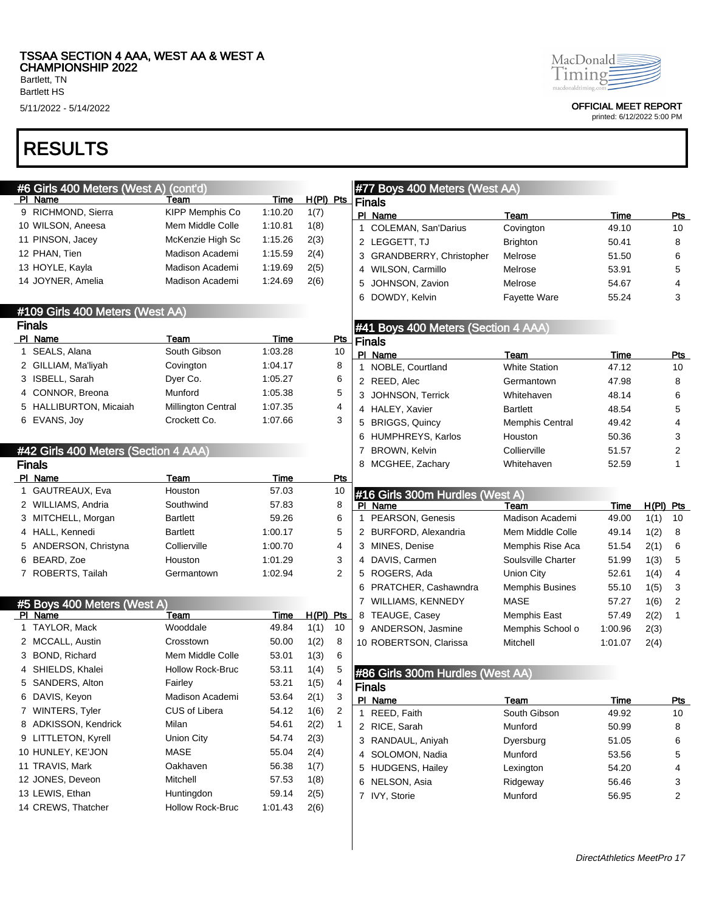Bartlett HS

# RESULTS

| #6 Girls 400 Meters (West A)         | (cont'd)                  |                 |              |              |   | #77 Boys 400 Meters (West AA)       |                        |                      |             |                  |
|--------------------------------------|---------------------------|-----------------|--------------|--------------|---|-------------------------------------|------------------------|----------------------|-------------|------------------|
| PI Name<br>9 RICHMOND, Sierra        | Team<br>KIPP Memphis Co   | Time<br>1:10.20 | $H(PI)$ Pts  |              |   | <b>Finals</b>                       |                        |                      |             |                  |
| 10 WILSON, Aneesa                    | Mem Middle Colle          | 1:10.81         | 1(7)<br>1(8) |              |   | PI Name                             | Team                   | Time                 |             | <u>Pts</u>       |
| 11 PINSON, Jacey                     | McKenzie High Sc          | 1:15.26         |              |              |   | 1 COLEMAN, San'Darius               | Covington              | 49.10                |             | 10               |
|                                      |                           |                 | 2(3)         |              |   | 2 LEGGETT, TJ                       | <b>Brighton</b>        | 50.41                |             | 8                |
| 12 PHAN, Tien                        | Madison Academi           | 1:15.59         | 2(4)         |              |   | 3 GRANDBERRY, Christopher           | Melrose                | 51.50                |             | 6                |
| 13 HOYLE, Kayla                      | Madison Academi           | 1:19.69         | 2(5)         |              |   | 4 WILSON, Carmillo                  | Melrose                | 53.91                |             | 5                |
| 14 JOYNER, Amelia                    | Madison Academi           | 1:24.69         | 2(6)         |              | 5 | JOHNSON, Zavion                     | Melrose                | 54.67                |             | 4                |
|                                      |                           |                 |              |              | 6 | DOWDY, Kelvin                       | <b>Fayette Ware</b>    | 55.24                |             | 3                |
| #109 Girls 400 Meters (West AA)      |                           |                 |              |              |   |                                     |                        |                      |             |                  |
| <b>Finals</b>                        |                           |                 |              |              |   | #41 Boys 400 Meters (Section 4 AAA) |                        |                      |             |                  |
| PI Name<br>1 SEALS, Alana            | Team<br>South Gibson      | Time<br>1:03.28 |              | Pts<br>10    |   | <b>Finals</b>                       |                        |                      |             |                  |
|                                      |                           |                 |              |              |   | PI Name                             | Team                   | Time                 |             | <b>Pts</b>       |
| 2 GILLIAM, Ma'liyah                  | Covington                 | 1:04.17         |              | 8            |   | 1 NOBLE, Courtland                  | <b>White Station</b>   | 47.12                |             | 10               |
| 3 ISBELL, Sarah                      | Dyer Co.                  | 1:05.27         |              | 6            |   | 2 REED, Alec                        | Germantown             | 47.98                |             | 8                |
| 4 CONNOR, Breona                     | Munford                   | 1:05.38         |              | 5            |   | 3 JOHNSON, Terrick                  | Whitehaven             | 48.14                |             | 6                |
| 5 HALLIBURTON, Micaiah               | <b>Millington Central</b> | 1:07.35         |              | 4            |   | 4 HALEY, Xavier                     | <b>Bartlett</b>        | 48.54                |             | 5                |
| 6 EVANS, Joy                         | Crockett Co.              | 1:07.66         |              | 3            |   | 5 BRIGGS, Quincy                    | <b>Memphis Central</b> | 49.42                |             | 4                |
|                                      |                           |                 |              |              |   | 6 HUMPHREYS, Karlos                 | Houston                | 50.36                |             | 3                |
| #42 Girls 400 Meters (Section 4 AAA) |                           |                 |              |              | 7 | <b>BROWN, Kelvin</b>                | Collierville           | 51.57                |             | $\overline{2}$   |
| <b>Finals</b>                        |                           |                 |              |              | 8 | MCGHEE, Zachary                     | Whitehaven             | 52.59                |             | 1                |
| PI Name                              | Team                      | Time            |              | <b>Pts</b>   |   |                                     |                        |                      |             |                  |
| 1 GAUTREAUX, Eva                     | Houston                   | 57.03           |              | 10           |   | #16 Girls 300m Hurdles (West A)     |                        |                      |             |                  |
| 2 WILLIAMS, Andria                   | Southwind                 | 57.83           |              | 8            |   | PI Name                             | Team                   | <b>Time</b>          | $H(PI)$ Pts |                  |
| 3 MITCHELL, Morgan                   | <b>Bartlett</b>           | 59.26           |              | 6            |   | 1 PEARSON, Genesis                  | Madison Academi        | 49.00                | 1(1)        | 10               |
| 4 HALL, Kennedi                      | <b>Bartlett</b>           | 1:00.17         |              | 5            |   | 2 BURFORD, Alexandria               | Mem Middle Colle       | 49.14                | 1(2)        | 8                |
| 5 ANDERSON, Christyna                | Collierville              | 1:00.70         |              | 4            |   | 3 MINES, Denise                     | Memphis Rise Aca       | 51.54                | 2(1)        | 6                |
| 6 BEARD, Zoe                         | Houston                   | 1:01.29         |              | 3            |   | 4 DAVIS, Carmen                     | Soulsville Charter     | 51.99                | 1(3)        | 5                |
| 7 ROBERTS, Tailah                    | Germantown                | 1:02.94         |              | 2            |   | 5 ROGERS, Ada                       | <b>Union City</b>      | 52.61                | 1(4)        | 4                |
|                                      |                           |                 |              |              |   | 6 PRATCHER, Cashawndra              | <b>Memphis Busines</b> | 55.10                | 1(5)        | 3                |
| #5 Boys 400 Meters (West A)          |                           |                 |              |              |   | 7 WILLIAMS, KENNEDY                 | <b>MASE</b>            | 57.27                | 1(6)        | $\overline{2}$   |
| PI Name                              | Team                      | Time            | $H(PI)$ Pts  |              |   | 8 TEAUGE, Casey                     | Memphis East           | 57.49                | 2(2)        | 1                |
| 1 TAYLOR, Mack                       | Wooddale                  | 49.84           | 1(1)         | 10           |   | 9 ANDERSON, Jasmine                 | Memphis School o       | 1:00.96              | 2(3)        |                  |
| 2 MCCALL, Austin                     | Crosstown                 | 50.00           | 1(2)         | 8            |   | 10 ROBERTSON, Clarissa              | Mitchell               | 1:01.07              | 2(4)        |                  |
| 3 BOND, Richard                      | Mem Middle Colle          | 53.01           | 1(3)         | 6            |   |                                     |                        |                      |             |                  |
| 4 SHIELDS, Khalei                    | <b>Hollow Rock-Bruc</b>   | 53.11           | 1(4)         | 5            |   | #86 Girls 300m Hurdles (West AA)    |                        |                      |             |                  |
| 5 SANDERS, Alton                     | Fairley                   | 53.21           | 1(5)         | 4            |   | Finals                              |                        |                      |             |                  |
| 6 DAVIS, Keyon                       | Madison Academi           | 53.64           | 2(1)         | 3            |   |                                     |                        |                      |             |                  |
| 7 WINTERS, Tyler                     | CUS of Libera             | 54.12           | 1(6)         | 2            |   | PI Name<br>1 REED, Faith            | Team<br>South Gibson   | <u>Time</u><br>49.92 |             | <u>Pts</u><br>10 |
| 8 ADKISSON, Kendrick                 | Milan                     | 54.61           | 2(2)         | $\mathbf{1}$ |   | 2 RICE, Sarah                       | Munford                |                      |             |                  |
| 9 LITTLETON, Kyrell                  | <b>Union City</b>         | 54.74           | 2(3)         |              |   |                                     |                        | 50.99                |             | 8                |
| 10 HUNLEY, KE'JON                    | <b>MASE</b>               | 55.04           | 2(4)         |              |   | 3 RANDAUL, Aniyah                   | Dyersburg              | 51.05                |             | 6                |
| 11 TRAVIS, Mark                      | Oakhaven                  | 56.38           | 1(7)         |              |   | 4 SOLOMON, Nadia                    | Munford                | 53.56                |             | 5                |
| 12 JONES, Deveon                     | Mitchell                  | 57.53           |              |              |   | 5 HUDGENS, Hailey                   | Lexington              | 54.20                |             | 4                |
|                                      |                           |                 | 1(8)         |              |   | 6 NELSON, Asia                      | Ridgeway               | 56.46                |             | 3                |
| 13 LEWIS, Ethan                      | Huntingdon                | 59.14           | 2(5)         |              |   | 7 IVY, Storie                       | Munford                | 56.95                |             | $\overline{2}$   |
| 14 CREWS, Thatcher                   | Hollow Rock-Bruc          | 1:01.43         | 2(6)         |              |   |                                     |                        |                      |             |                  |



5/11/2022 - 5/14/2022 OFFICIAL MEET REPORT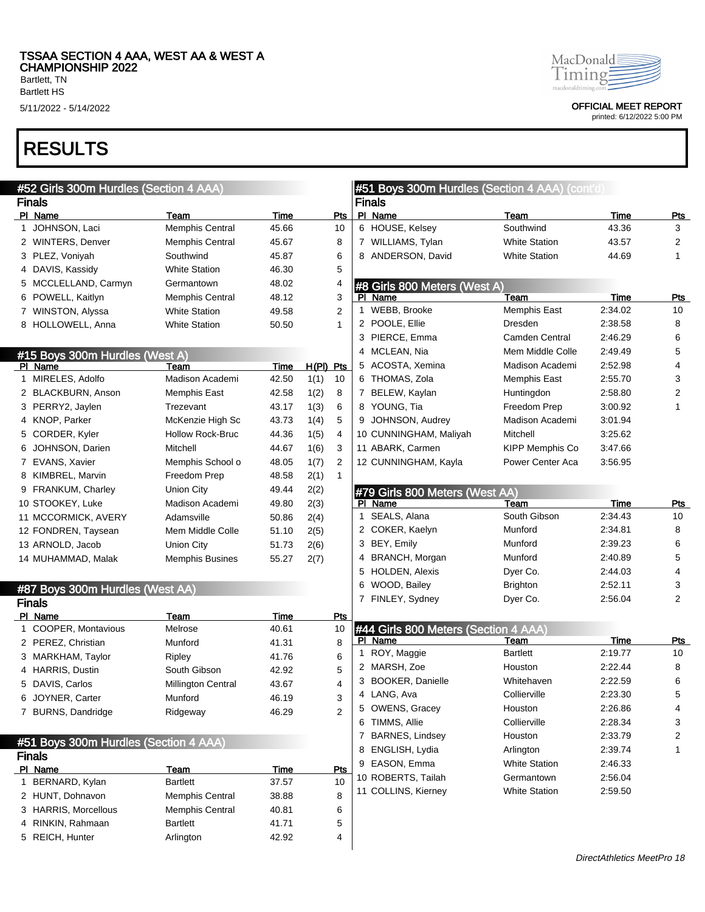Bartlett HS

## RESULTS

| #52 Girls 300m Hurdles (Section 4 AAA) |                        |       |             |                |              | #51 Boys 300m Hurdles (Section 4 AAA) (cont'd) |                        |         |                         |
|----------------------------------------|------------------------|-------|-------------|----------------|--------------|------------------------------------------------|------------------------|---------|-------------------------|
| <b>Finals</b>                          |                        |       |             |                |              | <b>Finals</b>                                  |                        |         |                         |
| PI Name                                | Team                   | Time  |             | Pts            |              | PI Name                                        | Team                   | Time    | <u>Pts</u>              |
| 1 JOHNSON, Laci                        | <b>Memphis Central</b> | 45.66 |             | 10             |              | 6 HOUSE, Kelsey                                | Southwind              | 43.36   | 3                       |
| 2 WINTERS, Denver                      | <b>Memphis Central</b> | 45.67 |             | 8              |              | 7 WILLIAMS, Tylan                              | <b>White Station</b>   | 43.57   | $\overline{2}$          |
| 3 PLEZ, Voniyah                        | Southwind              | 45.87 |             | 6              |              | 8 ANDERSON, David                              | <b>White Station</b>   | 44.69   | $\mathbf{1}$            |
| 4 DAVIS, Kassidy                       | <b>White Station</b>   | 46.30 |             | 5              |              |                                                |                        |         |                         |
| 5 MCCLELLAND, Carmyn                   | Germantown             | 48.02 |             | 4              |              | #8 Girls 800 Meters (West A)                   |                        |         |                         |
| 6 POWELL, Kaitlyn                      | <b>Memphis Central</b> | 48.12 |             | 3              |              | PI Name                                        | Team                   | Time    | <u>Pts</u>              |
| 7 WINSTON, Alyssa                      | <b>White Station</b>   | 49.58 |             | 2              |              | 1 WEBB, Brooke                                 | Memphis East           | 2:34.02 | 10                      |
| 8 HOLLOWELL, Anna                      | <b>White Station</b>   | 50.50 |             | 1              |              | 2 POOLE, Ellie                                 | Dresden                | 2:38.58 | 8                       |
|                                        |                        |       |             |                |              | 3 PIERCE, Emma                                 | Camden Central         | 2:46.29 | 6                       |
| #15 Boys 300m Hurdles (West A)         |                        |       |             |                |              | 4 MCLEAN, Nia                                  | Mem Middle Colle       | 2:49.49 | 5                       |
| PI Name                                | Team                   | Time  | $H(PI)$ Pts |                |              | 5 ACOSTA, Xemina                               | Madison Academi        | 2:52.98 | $\overline{4}$          |
| 1 MIRELES, Adolfo                      | Madison Academi        | 42.50 | 1(1)        | 10             |              | 6 THOMAS, Zola                                 | Memphis East           | 2:55.70 | 3                       |
| 2 BLACKBURN, Anson                     | <b>Memphis East</b>    | 42.58 | 1(2)        | 8              |              | 7 BELEW, Kaylan                                | Huntingdon             | 2:58.80 | $\overline{\mathbf{c}}$ |
| 3 PERRY2, Jaylen                       | Trezevant              | 43.17 | 1(3)        | 6              |              | 8 YOUNG, Tia                                   | Freedom Prep           | 3:00.92 | 1                       |
| 4 KNOP, Parker                         | McKenzie High Sc       | 43.73 | 1(4)        | 5              |              | 9 JOHNSON, Audrey                              | Madison Academi        | 3:01.94 |                         |
| 5 CORDER, Kyler                        | Hollow Rock-Bruc       | 44.36 | 1(5)        | 4              |              | 10 CUNNINGHAM, Maliyah                         | Mitchell               | 3:25.62 |                         |
| 6 JOHNSON, Darien                      | Mitchell               | 44.67 | 1(6)        | 3              |              | 11 ABARK, Carmen                               | <b>KIPP Memphis Co</b> | 3:47.66 |                         |
| 7 EVANS, Xavier                        | Memphis School o       | 48.05 | 1(7)        | $\overline{c}$ |              | 12 CUNNINGHAM, Kayla                           | Power Center Aca       | 3:56.95 |                         |
| 8 KIMBREL, Marvin                      | Freedom Prep           | 48.58 | 2(1)        | $\mathbf{1}$   |              |                                                |                        |         |                         |
| 9 FRANKUM, Charley                     | Union City             | 49.44 | 2(2)        |                |              | #79 Girls 800 Meters (West AA)                 |                        |         |                         |
| 10 STOOKEY, Luke                       | Madison Academi        | 49.80 | 2(3)        |                |              | PI Name                                        | Team                   | Time    | <b>Pts</b>              |
| 11 MCCORMICK, AVERY                    | Adamsville             | 50.86 | 2(4)        |                |              | 1 SEALS, Alana                                 | South Gibson           | 2:34.43 | 10                      |
| 12 FONDREN, Taysean                    | Mem Middle Colle       | 51.10 | 2(5)        |                |              | 2 COKER, Kaelyn                                | Munford                | 2:34.81 | 8                       |
| 13 ARNOLD, Jacob                       | Union City             | 51.73 | 2(6)        |                |              | 3 BEY, Emily                                   | Munford                | 2:39.23 | 6                       |
| 14 MUHAMMAD, Malak                     | <b>Memphis Busines</b> | 55.27 | 2(7)        |                |              | 4 BRANCH, Morgan                               | Munford                | 2:40.89 | 5                       |
|                                        |                        |       |             |                | 5            | HOLDEN, Alexis                                 | Dyer Co.               | 2:44.03 | 4                       |
| #87 Boys 300m Hurdles (West AA)        |                        |       |             |                |              | 6 WOOD, Bailey                                 | <b>Brighton</b>        | 2:52.11 | 3                       |
| <b>Finals</b>                          |                        |       |             |                |              | 7 FINLEY, Sydney                               | Dyer Co.               | 2:56.04 | 2                       |
| PI Name                                | Team                   | Time  |             | Pts            |              |                                                |                        |         |                         |
| 1 COOPER, Montavious                   | Melrose                | 40.61 |             | 10             |              | #44 Girls 800 Meters (Section 4 AAA)           |                        |         |                         |
| 2 PEREZ, Christian                     | Munford                | 41.31 |             | 8              |              | PI Name                                        | Team                   | Time    | <b>Pts</b>              |
| 3 MARKHAM, Taylor                      | Ripley                 | 41.76 |             | 6              | $\mathbf{1}$ | ROY, Maggie                                    | <b>Bartlett</b>        | 2:19.77 | 10                      |
| 4 HARRIS, Dustin                       | South Gibson           | 42.92 |             | 5              |              | 2 MARSH, Zoe                                   | Houston                | 2:22.44 | 8                       |
| 5 DAVIS, Carlos                        | Millington Central     | 43.67 |             | 4              |              | 3 BOOKER, Danielle                             | Whitehaven             | 2:22.59 | 6                       |
| 6 JOYNER, Carter                       | Munford                | 46.19 |             | 3              |              | 4 LANG, Ava                                    | Collierville           | 2:23.30 | $\mathbf{p}$            |
| 7 BURNS, Dandridge                     | Ridgeway               | 46.29 |             | 2              |              | 5 OWENS, Gracey                                | Houston                | 2:26.86 | 4                       |
|                                        |                        |       |             |                |              | 6 TIMMS, Allie                                 | Collierville           | 2:28.34 | 3                       |
| #51 Boys 300m Hurdles (Section 4 AAA)  |                        |       |             |                |              | 7 BARNES, Lindsey                              | Houston                | 2:33.79 | 2                       |
| <b>Finals</b>                          |                        |       |             |                |              | 8 ENGLISH, Lydia                               | Arlington              | 2:39.74 | 1                       |
| PI Name                                | <b>Team</b>            | Time  |             | Pts            |              | 9 EASON, Emma                                  | <b>White Station</b>   | 2:46.33 |                         |
| 1 BERNARD, Kylan                       | <b>Bartlett</b>        | 37.57 |             | 10             |              | 10 ROBERTS, Tailah                             | Germantown             | 2:56.04 |                         |
| 2 HUNT, Dohnavon                       | <b>Memphis Central</b> | 38.88 |             | 8              |              | 11 COLLINS, Kierney                            | <b>White Station</b>   | 2:59.50 |                         |
| 3 HARRIS, Morcellous                   | Memphis Central        | 40.81 |             | 6              |              |                                                |                        |         |                         |
| 4 RINKIN, Rahmaan                      | <b>Bartlett</b>        | 41.71 |             | 5              |              |                                                |                        |         |                         |
| 5 REICH, Hunter                        | Arlington              | 42.92 |             | 4              |              |                                                |                        |         |                         |
|                                        |                        |       |             |                |              |                                                |                        |         |                         |



5/11/2022 - 5/14/2022 OFFICIAL MEET REPORT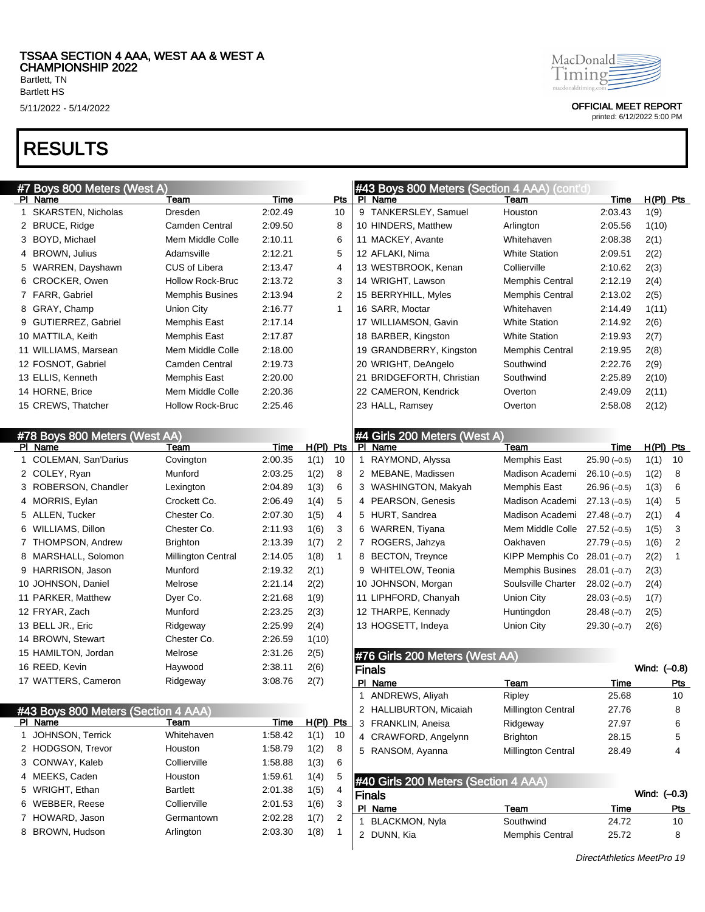## RESULTS

|   | #7 Boys 800 Meters (West A)         |                           |             |             |                |             | #43 Boys 800 Meters (Section 4 AAA) (cont'd) |                           |               |              |            |
|---|-------------------------------------|---------------------------|-------------|-------------|----------------|-------------|----------------------------------------------|---------------------------|---------------|--------------|------------|
|   | PI Name                             | Team                      | Time        |             | Pts            |             | PI Name                                      | Team                      | Time          | $H(PI)$ Pts  |            |
|   | 1 SKARSTEN, Nicholas                | Dresden                   | 2:02.49     |             | 10             |             | 9 TANKERSLEY, Samuel                         | Houston                   | 2:03.43       | 1(9)         |            |
|   | 2 BRUCE, Ridge                      | <b>Camden Central</b>     | 2:09.50     |             | 8              |             | 10 HINDERS, Matthew                          | Arlington                 | 2:05.56       | 1(10)        |            |
|   | 3 BOYD, Michael                     | Mem Middle Colle          | 2:10.11     |             | 6              |             | 11 MACKEY, Avante                            | Whitehaven                | 2:08.38       | 2(1)         |            |
|   | 4 BROWN, Julius                     | Adamsville                | 2:12.21     |             | 5              |             | 12 AFLAKI, Nima                              | <b>White Station</b>      | 2:09.51       | 2(2)         |            |
|   | 5 WARREN, Dayshawn                  | <b>CUS of Libera</b>      | 2:13.47     |             | 4              |             | 13 WESTBROOK, Kenan                          | Collierville              | 2:10.62       | 2(3)         |            |
|   | 6 CROCKER, Owen                     | <b>Hollow Rock-Bruc</b>   | 2:13.72     |             | 3              |             | 14 WRIGHT, Lawson                            | <b>Memphis Central</b>    | 2:12.19       | 2(4)         |            |
|   | 7 FARR, Gabriel                     | <b>Memphis Busines</b>    | 2:13.94     |             | $\overline{2}$ |             | 15 BERRYHILL, Myles                          | <b>Memphis Central</b>    | 2:13.02       | 2(5)         |            |
|   | 8 GRAY, Champ                       | Union City                | 2:16.77     |             | $\mathbf{1}$   |             | 16 SARR, Moctar                              | Whitehaven                | 2:14.49       | 1(11)        |            |
|   | 9 GUTIERREZ, Gabriel                | Memphis East              | 2:17.14     |             |                |             | 17 WILLIAMSON, Gavin                         | <b>White Station</b>      | 2:14.92       | 2(6)         |            |
|   | 10 MATTILA, Keith                   | Memphis East              | 2:17.87     |             |                |             | 18 BARBER, Kingston                          | <b>White Station</b>      | 2:19.93       | 2(7)         |            |
|   | 11 WILLIAMS, Marsean                | Mem Middle Colle          | 2:18.00     |             |                |             | 19 GRANDBERRY, Kingston                      | <b>Memphis Central</b>    | 2:19.95       | 2(8)         |            |
|   | 12 FOSNOT, Gabriel                  | <b>Camden Central</b>     | 2:19.73     |             |                |             | 20 WRIGHT, DeAngelo                          | Southwind                 | 2:22.76       | 2(9)         |            |
|   | 13 ELLIS, Kenneth                   | Memphis East              | 2:20.00     |             |                |             | 21 BRIDGEFORTH, Christian                    | Southwind                 | 2:25.89       | 2(10)        |            |
|   | 14 HORNE, Brice                     | Mem Middle Colle          | 2:20.36     |             |                |             | 22 CAMERON, Kendrick                         | Overton                   | 2:49.09       | 2(11)        |            |
|   | 15 CREWS, Thatcher                  | <b>Hollow Rock-Bruc</b>   | 2:25.46     |             |                |             | 23 HALL, Ramsey                              | Overton                   | 2:58.08       | 2(12)        |            |
|   |                                     |                           |             |             |                |             |                                              |                           |               |              |            |
|   | #78 Boys 800 Meters (West AA)       |                           |             |             |                |             | #4 Girls 200 Meters (West A)                 |                           |               |              |            |
|   | PI Name                             | Team                      | <b>Time</b> | $H(PI)$ Pts |                |             | PI Name                                      | Team                      | Time          | H(PI) Pts    |            |
|   | 1 COLEMAN, San'Darius               | Covington                 | 2:00.35     | 1(1)        | 10             |             | 1 RAYMOND, Alyssa                            | Memphis East              | $25.90(-0.5)$ | 1(1)         | 10         |
|   | 2 COLEY, Ryan                       | Munford                   | 2:03.25     | 1(2)        | 8              |             | 2 MEBANE, Madissen                           | Madison Academi           | $26.10(-0.5)$ | 1(2)         | 8          |
|   | 3 ROBERSON, Chandler                | Lexington                 | 2:04.89     | 1(3)        | 6              |             | 3 WASHINGTON, Makyah                         | Memphis East              | $26.96(-0.5)$ | 1(3)         | 6          |
|   | 4 MORRIS, Eylan                     | Crockett Co.              | 2:06.49     | 1(4)        | 5              |             | 4 PEARSON, Genesis                           | Madison Academi           | $27.13(-0.5)$ | 1(4)         | 5          |
|   | 5 ALLEN, Tucker                     | Chester Co.               | 2:07.30     | 1(5)        | 4              |             | 5 HURT, Sandrea                              | Madison Academi           | $27.48(-0.7)$ | 2(1)         | 4          |
|   | 6 WILLIAMS, Dillon                  | Chester Co.               | 2:11.93     | 1(6)        | 3              |             | 6 WARREN, Tiyana                             | Mem Middle Colle          | $27.52(-0.5)$ | 1(5)         | 3          |
|   | 7 THOMPSON, Andrew                  | <b>Brighton</b>           | 2:13.39     | 1(7)        | 2              |             | 7 ROGERS, Jahzya                             | Oakhaven                  | $27.79(-0.5)$ | 1(6)         | 2          |
|   | 8 MARSHALL, Solomon                 | <b>Millington Central</b> | 2:14.05     | 1(8)        | $\mathbf{1}$   |             | 8 BECTON, Treynce                            | KIPP Memphis Co           | $28.01(-0.7)$ | 2(2)         | 1          |
|   | 9 HARRISON, Jason                   | Munford                   | 2:19.32     | 2(1)        |                |             | 9 WHITELOW, Teonia                           | <b>Memphis Busines</b>    | $28.01(-0.7)$ | 2(3)         |            |
|   | 10 JOHNSON, Daniel                  | Melrose                   | 2:21.14     | 2(2)        |                |             | 10 JOHNSON, Morgan                           | Soulsville Charter        | $28.02(-0.7)$ | 2(4)         |            |
|   | 11 PARKER, Matthew                  | Dyer Co.                  | 2:21.68     | 1(9)        |                |             | 11 LIPHFORD, Chanyah                         | Union City                | $28.03(-0.5)$ | 1(7)         |            |
|   | 12 FRYAR, Zach                      | Munford                   | 2:23.25     | 2(3)        |                |             | 12 THARPE, Kennady                           | Huntingdon                | $28.48(-0.7)$ | 2(5)         |            |
|   | 13 BELL JR., Eric                   | Ridgeway                  | 2:25.99     | 2(4)        |                |             | 13 HOGSETT, Indeya                           | Union City                | $29.30(-0.7)$ | 2(6)         |            |
|   | 14 BROWN, Stewart                   | Chester Co.               | 2:26.59     | 1(10)       |                |             |                                              |                           |               |              |            |
|   | 15 HAMILTON, Jordan                 | Melrose                   | 2:31.26     | 2(5)        |                |             | #76 Girls 200 Meters (West AA)               |                           |               |              |            |
|   | 16 REED, Kevin                      | Haywood                   | 2:38.11     | 2(6)        |                |             | <b>Finals</b>                                |                           |               | Wind: (-0.8) |            |
|   | 17 WATTERS, Cameron                 | Ridgeway                  | 3:08.76     | 2(7)        |                |             | PI Name                                      | Team                      | Time          |              | <u>Pts</u> |
|   |                                     |                           |             |             |                |             | 1 ANDREWS, Aliyah                            | Ripley                    | 25.68         |              | $10$       |
|   | #43 Boys 800 Meters (Section 4 AAA) |                           |             |             |                |             | 2 HALLIBURTON, Micaiah                       | <b>Millington Central</b> | 27.76         |              | 8          |
|   | PI Name                             | Team                      | Time        | H(PI) Pts   |                |             | 3 FRANKLIN, Aneisa                           | Ridgeway                  | 27.97         |              | 6          |
| 1 | JOHNSON, Terrick                    | Whitehaven                | 1:58.42     | 1(1)        | 10             |             | 4 CRAWFORD, Angelynn                         | <b>Brighton</b>           | 28.15         |              | 5          |
|   | 2 HODGSON, Trevor                   | Houston                   | 1:58.79     | 1(2)        | 8              |             | 5 RANSOM, Ayanna                             | Millington Central        | 28.49         |              | 4          |
|   | 3 CONWAY, Kaleb                     | Collierville              | 1:58.88     | 1(3)        | 6              |             |                                              |                           |               |              |            |
|   | 4 MEEKS, Caden                      | Houston                   | 1:59.61     | 1(4)        | 5              |             | #40 Girls 200 Meters (Section 4 AAA)         |                           |               |              |            |
|   | 5 WRIGHT, Ethan                     | <b>Bartlett</b>           | 2:01.38     | 1(5)        | 4              |             | <b>Finals</b>                                |                           |               | Wind: (-0.3) |            |
|   | 6 WEBBER, Reese                     | Collierville              | 2:01.53     | 1(6)        | 3              |             | PI Name                                      | Team                      | <u>Time</u>   |              | <u>Pts</u> |
|   | 7 HOWARD, Jason                     | Germantown                | 2:02.28     | 1(7)        | 2              | $\mathbf 1$ | <b>BLACKMON, Nyla</b>                        | Southwind                 | 24.72         |              | 10         |
|   | 8 BROWN, Hudson                     | Arlington                 | 2:03.30     | 1(8)        | 1              |             | 2 DUNN, Kia                                  | Memphis Central           | 25.72         |              | 8          |
|   |                                     |                           |             |             |                |             |                                              |                           |               |              |            |



5/11/2022 - 5/14/2022 OFFICIAL MEET REPORT

printed: 6/12/2022 5:00 PM

DirectAthletics MeetPro 19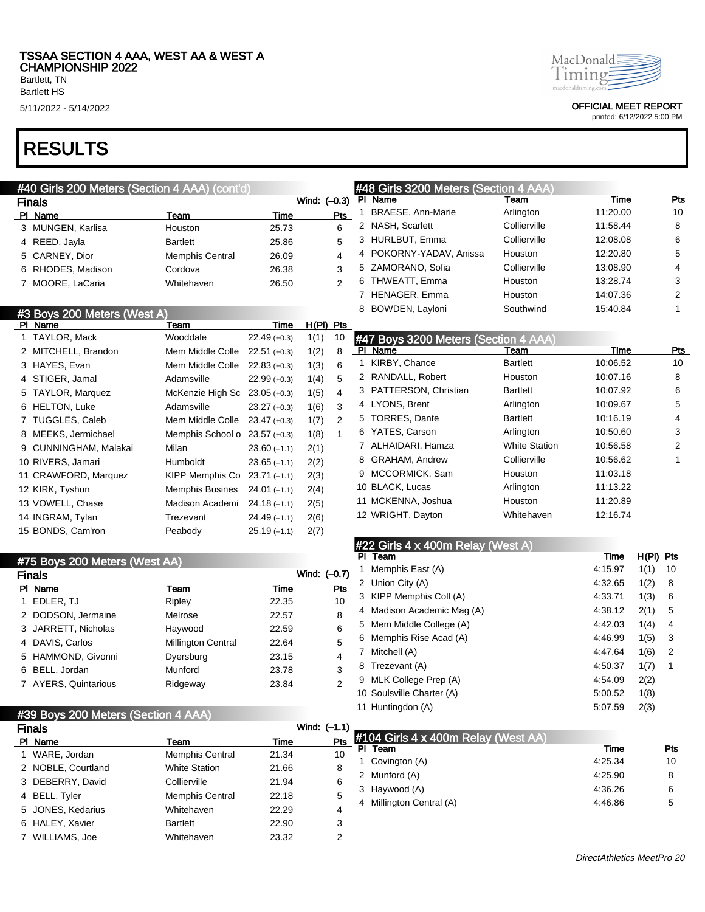Bartlett, TN Bartlett HS

# RESULTS

|                               | #40 Girls 200 Meters (Section 4 AAA) (cont'd) |                |                |                |              | #48 Girls 3200 Meters (Section 4 AAA) |                      |                            |                |
|-------------------------------|-----------------------------------------------|----------------|----------------|----------------|--------------|---------------------------------------|----------------------|----------------------------|----------------|
| <b>Finals</b>                 |                                               |                | Wind: (-0.3)   |                |              | PI Name                               | Team                 | <b>Time</b>                | <b>Pts</b>     |
| PI Name                       | Team                                          | Time           |                | Pts            |              | 1 BRAESE, Ann-Marie                   | Arlington            | 11:20.00                   | 10             |
| 3 MUNGEN, Karlisa             | Houston                                       | 25.73          |                | 6              |              | 2 NASH, Scarlett                      | Collierville         | 11:58.44                   | 8              |
| 4 REED, Jayla                 | <b>Bartlett</b>                               | 25.86          |                | 5              |              | 3 HURLBUT, Emma                       | Collierville         | 12:08.08                   | 6              |
| 5 CARNEY, Dior                | <b>Memphis Central</b>                        | 26.09          |                | 4              |              | 4 POKORNY-YADAV, Anissa               | Houston              | 12:20.80                   | 5              |
| 6 RHODES, Madison             | Cordova                                       | 26.38          |                | 3              |              | 5 ZAMORANO, Sofia                     | Collierville         | 13:08.90                   | 4              |
| 7 MOORE, LaCaria              | Whitehaven                                    | 26.50          |                | $\overline{2}$ |              | 6 THWEATT, Emma                       | Houston              | 13:28.74                   | 3              |
|                               |                                               |                |                |                |              | 7 HENAGER, Emma                       | Houston              | 14:07.36                   | $\overline{c}$ |
| #3 Boys 200 Meters (West A)   |                                               |                |                |                |              | 8 BOWDEN, Layloni                     | Southwind            | 15:40.84                   | 1              |
| PI Name                       | Team                                          | Time           | H(PI) Pts      |                |              |                                       |                      |                            |                |
| 1 TAYLOR, Mack                | Wooddale                                      | $22.49 (+0.3)$ | 1(1)           | 10             |              | #47 Boys 3200 Meters (Section 4 AAA)  |                      |                            |                |
| 2 MITCHELL, Brandon           | Mem Middle Colle                              | $22.51 (+0.3)$ | 1(2)           | 8              |              | PI Name                               | Team                 | Time                       | <b>Pts</b>     |
| 3 HAYES, Evan                 | Mem Middle Colle 22.83 (+0.3)                 |                | 1(3)           | 6              | $\mathbf{1}$ | KIRBY, Chance                         | <b>Bartlett</b>      | 10:06.52                   | 10             |
| 4 STIGER, Jamal               | Adamsville                                    | $22.99 (+0.3)$ | 1(4)           | 5              |              | 2 RANDALL, Robert                     | Houston              | 10:07.16                   | 8              |
| 5 TAYLOR, Marquez             | McKenzie High Sc 23.05 (+0.3)                 |                | 1(5)           | 4              |              | 3 PATTERSON, Christian                | <b>Bartlett</b>      | 10:07.92                   | 6              |
| 6 HELTON, Luke                | Adamsville                                    | $23.27 (+0.3)$ | 1(6)           | 3              |              | 4 LYONS, Brent                        | Arlington            | 10:09.67                   | 5              |
| 7 TUGGLES, Caleb              | Mem Middle Colle                              | $23.47 (+0.3)$ | 1(7)           | 2              |              | 5 TORRES, Dante                       | <b>Bartlett</b>      | 10:16.19                   | 4              |
| 8 MEEKS, Jermichael           | Memphis School o 23.57 (+0.3)                 |                | 1(8)           | $\mathbf{1}$   |              | 6 YATES, Carson                       | Arlington            | 10:50.60                   | 3              |
| 9 CUNNINGHAM, Malakai         | Milan                                         | $23.60(-1.1)$  | 2(1)           |                |              | 7 ALHAIDARI, Hamza                    | <b>White Station</b> | 10:56.58                   | 2              |
| 10 RIVERS, Jamari             | Humboldt                                      | $23.65(-1.1)$  | 2(2)           |                |              | 8 GRAHAM, Andrew                      | Collierville         | 10:56.62                   | $\mathbf{1}$   |
| 11 CRAWFORD, Marquez          | KIPP Memphis Co $23.71(-1.1)$                 |                | 2(3)           |                |              | 9 MCCORMICK, Sam                      | Houston              | 11:03.18                   |                |
| 12 KIRK, Tyshun               | Memphis Busines                               | $24.01(-1.1)$  | 2(4)           |                |              | 10 BLACK, Lucas                       | Arlington            | 11:13.22                   |                |
| 13 VOWELL, Chase              | Madison Academi                               | $24.18(-1.1)$  | 2(5)           |                |              | 11 MCKENNA, Joshua                    | Houston              | 11:20.89                   |                |
| 14 INGRAM, Tylan              | Trezevant                                     | $24.49(-1.1)$  | 2(6)           |                |              | 12 WRIGHT, Dayton                     | Whitehaven           | 12:16.74                   |                |
| 15 BONDS, Cam'ron             | Peabody                                       | $25.19(-1.1)$  | 2(7)           |                |              |                                       |                      |                            |                |
|                               |                                               |                |                |                |              | #22 Girls 4 x 400m Relay (West A)     |                      |                            |                |
| #75 Boys 200 Meters (West AA) |                                               |                |                |                |              | PI Team                               |                      | Time                       | $H(PI)$ Pts    |
| <b>Finals</b>                 |                                               |                | Wind: (-0.7)   |                | 1            | Memphis East (A)                      |                      | 4:15.97                    | 1(1)<br>10     |
| PI Name                       | Team                                          | Time           |                | Pts            |              | 2 Union City (A)                      |                      | 4:32.65                    | 1(2)<br>8      |
| 1 EDLER, TJ                   | Ripley                                        | 22.35          |                | 10             |              | 3 KIPP Memphis Coll (A)               |                      | 4:33.71                    | 1(3)<br>6      |
| 2 DODSON, Jermaine            | Melrose                                       | 22.57          |                | 8              |              | 4 Madison Academic Mag (A)            |                      | 4:38.12                    | 5<br>2(1)      |
| 3 JARRETT, Nicholas           | Haywood                                       | 22.59          |                | 6              |              | 5 Mem Middle College (A)              |                      | 4:42.03                    | 1(4)<br>4      |
| 4 DAVIS, Carlos               | <b>Millington Central</b>                     | 22.64          |                | 5              |              | 6 Memphis Rise Acad (A)               |                      | 4:46.99                    | 1(5)<br>3      |
| 5 HAMMOND, Givonni            | Dyersburg                                     | 23.15          |                | 4              |              | 7 Mitchell (A)                        |                      | 4:47.64                    | 1(6)<br>2      |
| 6 BELL, Jordan                | Munford                                       | 23.78          |                | 3              | 8            | Trezevant (A)                         |                      | 4:50.37                    | 1(7)<br>1      |
|                               |                                               |                |                | $\overline{2}$ |              | 9 MLK College Prep (A)                |                      | 4:54.09                    | 2(2)           |
| 7 AYERS, Quintarious          | Ridgeway                                      | 23.84          |                |                |              | 10 Soulsville Charter (A)             |                      | 5:00.52                    | 1(8)           |
|                               |                                               |                |                |                |              | 11 Huntingdon (A)                     |                      | 5:07.59                    | 2(3)           |
|                               | #39 Boys 200 Meters (Section 4 AAA)           |                |                |                |              |                                       |                      |                            |                |
| <b>Finals</b>                 |                                               |                | Wind: $(-1.1)$ |                |              | #104 Girls 4 x 400m Relay (West AA)   |                      |                            |                |
| PI Name                       | Team                                          | Time           |                | <b>Pts</b>     |              | PI Team                               |                      | <b>Time</b>                | <u>Pts</u>     |
| 1 WARE, Jordan                | Memphis Central                               | 21.34          |                | 10             |              | 1 Covington (A)                       |                      | 4:25.34                    | 10             |
| 2 NOBLE, Courtland            | <b>White Station</b>                          | 21.66          |                | 8              |              | 2 Munford (A)                         |                      | 4:25.90                    | 8              |
| 3 DEBERRY, David              | Collierville                                  | 21.94          |                | 6              |              | 3 Haywood (A)                         |                      | 4:36.26                    | 6              |
| 4 BELL, Tyler                 | <b>Memphis Central</b>                        | 22.18          |                | 5              |              | 4 Millington Central (A)              |                      | 4:46.86                    | 5              |
| 5 JONES, Kedarius             | Whitehaven                                    | 22.29          |                | 4              |              |                                       |                      |                            |                |
| 6 HALEY, Xavier               | <b>Bartlett</b>                               | 22.90          |                | 3              |              |                                       |                      |                            |                |
| 7 WILLIAMS, Joe               | Whitehaven                                    | 23.32          |                | 2              |              |                                       |                      |                            |                |
|                               |                                               |                |                |                |              |                                       |                      | DirectAthletics MeetPro 20 |                |



5/11/2022 - 5/14/2022 OFFICIAL MEET REPORT